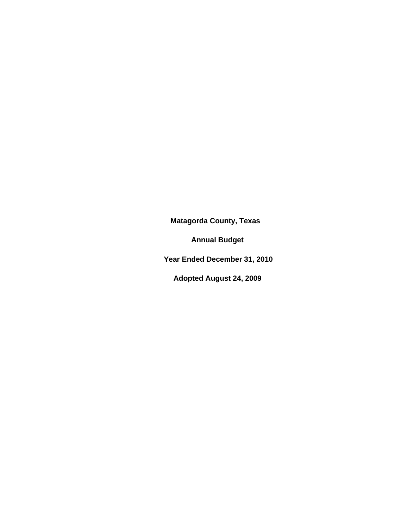**Matagorda County, Texas**

 **Annual Budget**

 **Year Ended December 31, 2010**

 **Adopted August 24, 2009**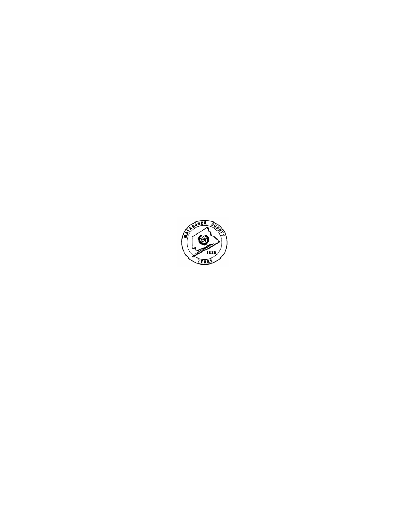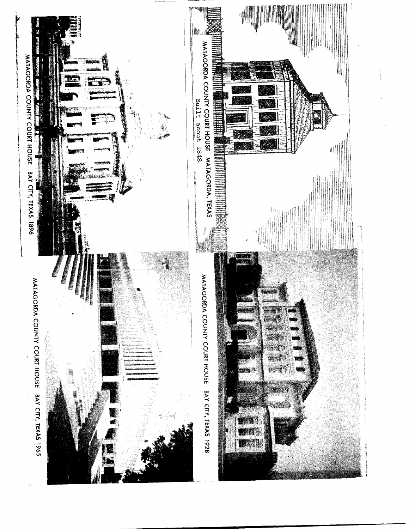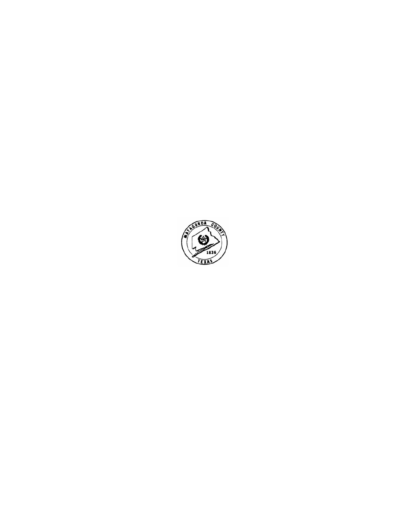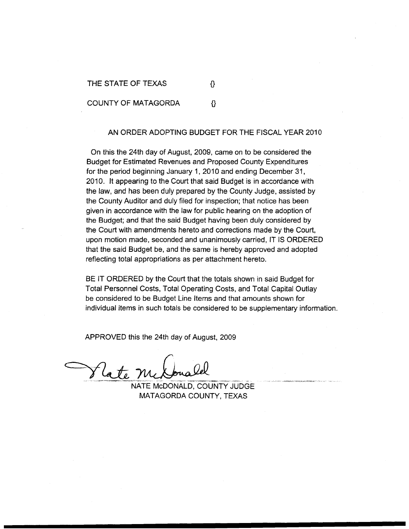THE STATE OF TEXAS

**COUNTY OF MATAGORDA** 

### AN ORDER ADOPTING BUDGET FOR THE FISCAL YEAR 2010

₽

₽

On this the 24th day of August, 2009, came on to be considered the Budget for Estimated Revenues and Proposed County Expenditures for the period beginning January 1, 2010 and ending December 31, 2010. It appearing to the Court that said Budget is in accordance with the law, and has been duly prepared by the County Judge, assisted by the County Auditor and duly filed for inspection; that notice has been given in accordance with the law for public hearing on the adoption of the Budget; and that the said Budget having been duly considered by the Court with amendments hereto and corrections made by the Court, upon motion made, seconded and unanimously carried, IT IS ORDERED that the said Budget be, and the same is hereby approved and adopted reflecting total appropriations as per attachment hereto.

BE IT ORDERED by the Court that the totals shown in said Budget for Total Personnel Costs, Total Operating Costs, and Total Capital Outlay be considered to be Budget Line Items and that amounts shown for individual items in such totals be considered to be supplementary information.

APPROVED this the 24th day of August, 2009

Vlate McKonald

NATE McDONALD, COUNTY JUDGE MATAGORDA COUNTY, TEXAS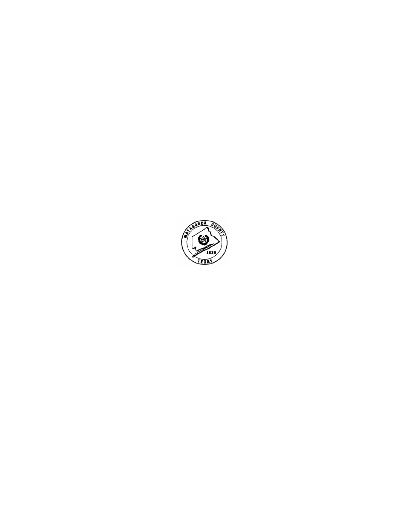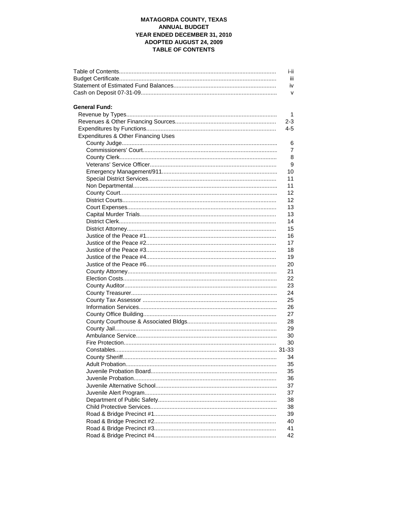#### **MATAGORDA COUNTY, TEXAS ANNUAL BUDGET** YEAR ENDED DECEMBER 31, 2010 ADOPTED AUGUST 24, 2009 **TABLE OF CONTENTS**

|                                     | i-ii    |
|-------------------------------------|---------|
|                                     | iii     |
|                                     | iv      |
|                                     | v       |
|                                     |         |
| <b>General Fund:</b>                |         |
|                                     | 1       |
|                                     | $2 - 3$ |
|                                     | 4-5     |
| Expenditures & Other Financing Uses |         |
|                                     | 6       |
|                                     | 7       |
|                                     | 8       |
|                                     | 9       |
|                                     | 10      |
|                                     | 11      |
|                                     | 11      |
|                                     | 12      |
|                                     | 12      |
|                                     | 13      |
|                                     | 13      |
|                                     | 14      |
|                                     | 15      |
|                                     | 16      |
|                                     | 17      |
|                                     | 18      |
|                                     | 19      |
|                                     | 20      |
|                                     | 21      |
|                                     | 22      |
|                                     |         |
|                                     | 23      |
|                                     | 24      |
|                                     | 25      |
|                                     | 26      |
|                                     | 27      |
|                                     | 28      |
|                                     | 29      |
|                                     | 30      |
|                                     | 30      |
|                                     |         |
|                                     | 34      |
|                                     | 35      |
|                                     | 35      |
|                                     | 36      |
|                                     | 37      |
|                                     | 37      |
|                                     | 38      |
|                                     | 38      |
|                                     | 39      |
|                                     | 40      |
|                                     | 41      |
|                                     | 42      |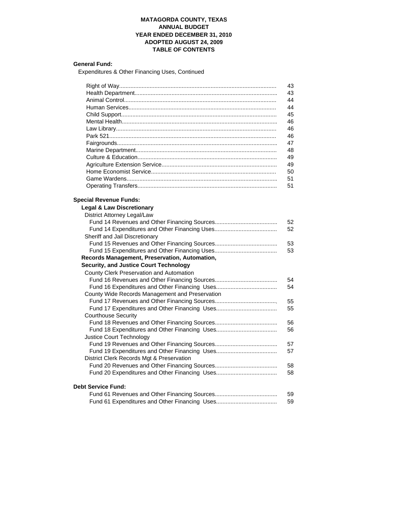#### **MATAGORDA COUNTY, TEXAS ANNUAL BUDGET YEAR ENDED DECEMBER 31, 2010 ADOPTED AUGUST 24, 2009 TABLE OF CONTENTS**

#### **General Fund:**

Expenditures & Other Financing Uses, Continued

|                                                 | 43 |
|-------------------------------------------------|----|
|                                                 | 43 |
|                                                 | 44 |
|                                                 | 44 |
|                                                 | 45 |
|                                                 | 46 |
|                                                 | 46 |
|                                                 | 46 |
|                                                 | 47 |
|                                                 | 48 |
|                                                 | 49 |
|                                                 | 49 |
|                                                 | 50 |
|                                                 | 51 |
|                                                 | 51 |
|                                                 |    |
| <b>Special Revenue Funds:</b>                   |    |
| <b>Legal &amp; Law Discretionary</b>            |    |
| District Attorney Legal/Law                     |    |
|                                                 | 52 |
|                                                 | 52 |
| Sheriff and Jail Discretionary                  |    |
|                                                 | 53 |
|                                                 | 53 |
| Records Management, Preservation, Automation,   |    |
| <b>Security, and Justice Court Technology</b>   |    |
| County Clerk Preservation and Automation        |    |
|                                                 | 54 |
|                                                 | 54 |
| County Wide Records Management and Preservation |    |
|                                                 | 55 |
|                                                 | 55 |
| <b>Courthouse Security</b>                      |    |
|                                                 | 56 |
|                                                 | 56 |
| Justice Court Technology                        |    |
|                                                 | 57 |
|                                                 | 57 |
| District Clerk Records Mgt & Preservation       |    |
|                                                 | 58 |
|                                                 | 58 |
| <b>Debt Service Fund:</b>                       |    |
|                                                 | 59 |
|                                                 | 59 |
|                                                 |    |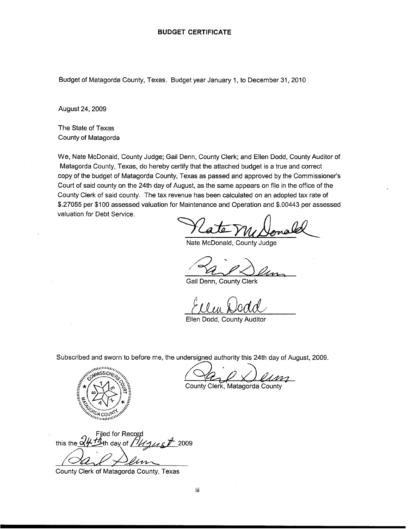Budget of Matagorda County, Texas. Budget year January 1, to December 31, 2010

August 24, 2009

The State of Texas County of Matagorda

We, Nate McDonald, County Judge; Gail Denn, County Clerk; and Ellen Dodd, County Auditor of Matagorda County, Texas, do hereby certify that the attached budget is a true and correct copy of the budget of Matagorda County, Texas as passed and approved by the Commissioner's Court of said county on the 24th day of August, as the same appears on file in the office of the County Clerk of said county. The tax revenue has been calculated on an adopted tax rate of \$.27055 per \$100 assessed valuation for Maintenance and Operation and \$.00443 per assessed valuation for Debt Service.

Nate McDonald, County Judge

Gail Denn, County Clerk

Ellen Dodd, County Auditor

Subscribed and sworn to before me, the undersigned authority this 24th day of August, 2009.



County Clerk, Matagorda County

iled for Record 2009 this the C h dav of

County Clerk of Matagorda County, Texas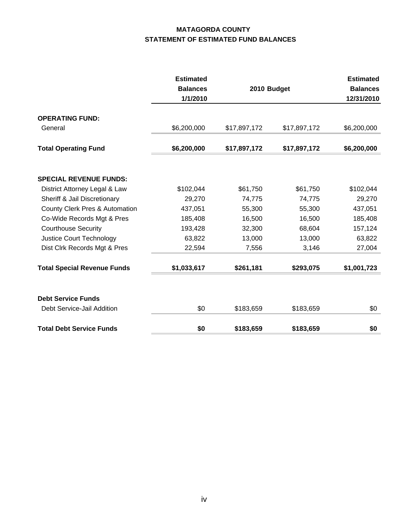## **MATAGORDA COUNTY STATEMENT OF ESTIMATED FUND BALANCES**

|                                    | <b>Estimated</b> |              |              | <b>Estimated</b> |
|------------------------------------|------------------|--------------|--------------|------------------|
|                                    | <b>Balances</b>  | 2010 Budget  |              | <b>Balances</b>  |
|                                    | 1/1/2010         |              |              | 12/31/2010       |
| <b>OPERATING FUND:</b>             |                  |              |              |                  |
| General                            | \$6,200,000      | \$17,897,172 | \$17,897,172 | \$6,200,000      |
| <b>Total Operating Fund</b>        | \$6,200,000      | \$17,897,172 | \$17,897,172 | \$6,200,000      |
|                                    |                  |              |              |                  |
| <b>SPECIAL REVENUE FUNDS:</b>      |                  |              |              |                  |
| District Attorney Legal & Law      | \$102,044        | \$61,750     | \$61,750     | \$102,044        |
| Sheriff & Jail Discretionary       | 29,270           | 74,775       | 74,775       | 29,270           |
| County Clerk Pres & Automation     | 437,051          | 55,300       | 55,300       | 437,051          |
| Co-Wide Records Mgt & Pres         | 185,408          | 16,500       | 16,500       | 185,408          |
| <b>Courthouse Security</b>         | 193,428          | 32,300       | 68,604       | 157,124          |
| <b>Justice Court Technology</b>    | 63,822           | 13,000       | 13,000       | 63,822           |
| Dist Clrk Records Mgt & Pres       | 22,594           | 7,556        | 3,146        | 27,004           |
| <b>Total Special Revenue Funds</b> | \$1,033,617      | \$261,181    | \$293,075    | \$1,001,723      |
| <b>Debt Service Funds</b>          |                  |              |              |                  |
| Debt Service-Jail Addition         | \$0              | \$183,659    | \$183,659    | \$0              |
|                                    |                  |              |              |                  |
| <b>Total Debt Service Funds</b>    | \$0              | \$183,659    | \$183,659    | \$0              |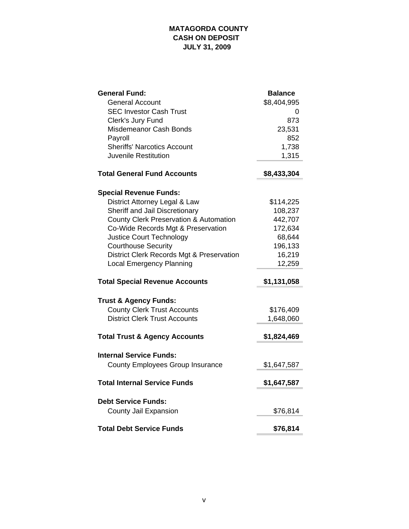# **MATAGORDA COUNTY CASH ON DEPOSIT JULY 31, 2009**

| <b>General Fund:</b>                              | <b>Balance</b> |
|---------------------------------------------------|----------------|
| <b>General Account</b>                            | \$8,404,995    |
| <b>SEC Investor Cash Trust</b>                    | 0              |
| Clerk's Jury Fund                                 | 873            |
| Misdemeanor Cash Bonds                            | 23,531         |
| Payroll                                           | 852            |
| <b>Sheriffs' Narcotics Account</b>                | 1,738          |
| Juvenile Restitution                              | 1,315          |
| <b>Total General Fund Accounts</b>                | \$8,433,304    |
| <b>Special Revenue Funds:</b>                     |                |
| District Attorney Legal & Law                     | \$114,225      |
| Sheriff and Jail Discretionary                    | 108,237        |
| <b>County Clerk Preservation &amp; Automation</b> | 442,707        |
| Co-Wide Records Mgt & Preservation                | 172,634        |
| <b>Justice Court Technology</b>                   | 68,644         |
| <b>Courthouse Security</b>                        | 196,133        |
| District Clerk Records Mgt & Preservation         | 16,219         |
| Local Emergency Planning                          | 12,259         |
| <b>Total Special Revenue Accounts</b>             | \$1,131,058    |
| <b>Trust &amp; Agency Funds:</b>                  |                |
| <b>County Clerk Trust Accounts</b>                | \$176,409      |
| <b>District Clerk Trust Accounts</b>              | 1,648,060      |
| <b>Total Trust &amp; Agency Accounts</b>          | \$1,824,469    |
| <b>Internal Service Funds:</b>                    |                |
| <b>County Employees Group Insurance</b>           | \$1,647,587    |
|                                                   |                |
| <b>Total Internal Service Funds</b>               | \$1,647,587    |
| <b>Debt Service Funds:</b>                        |                |
| County Jail Expansion                             | \$76,814       |
| <b>Total Debt Service Funds</b>                   | \$76,814       |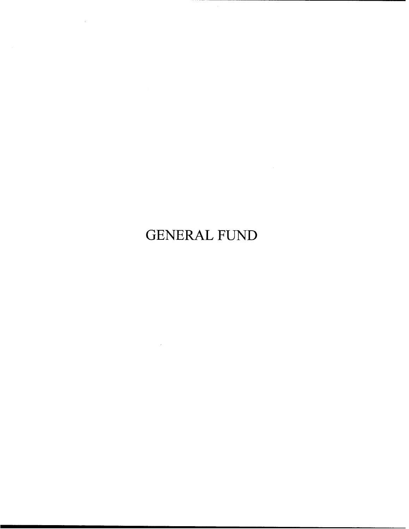# **GENERAL FUND**

 $\mathcal{L}(\mathcal{A})$  and  $\mathcal{L}(\mathcal{A})$ 

 $\bar{\beta}$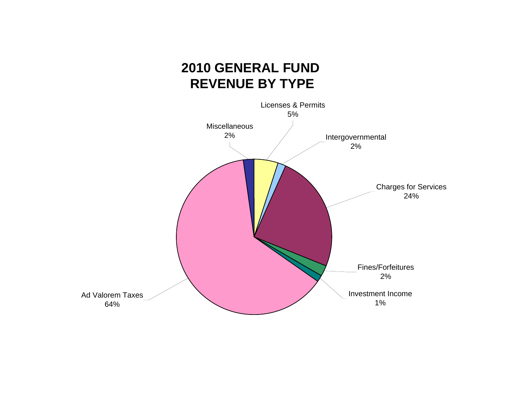# **2010 GENERAL FUND REVENUE BY TYPE**

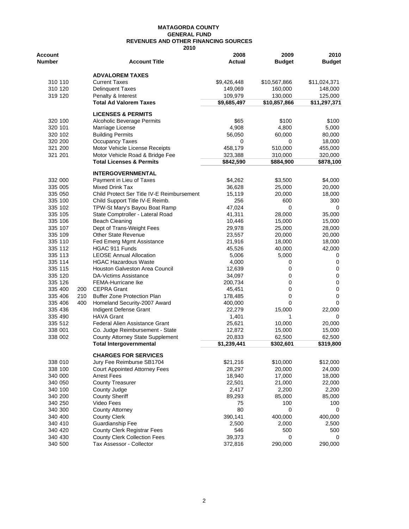#### **MATAGORDA COUNTY GENERAL FUND REVENUES AND OTHER FINANCING SOURCES 2010**

| Account       |     |                                            | 2008          | 2009          | 2010          |
|---------------|-----|--------------------------------------------|---------------|---------------|---------------|
| <b>Number</b> |     | <b>Account Title</b>                       | <b>Actual</b> | <b>Budget</b> | <b>Budget</b> |
|               |     | <b>ADVALOREM TAXES</b>                     |               |               |               |
| 310 110       |     | <b>Current Taxes</b>                       | \$9,426,448   | \$10,567,866  | \$11,024,371  |
| 310 120       |     | <b>Delinquent Taxes</b>                    | 149,069       | 160,000       | 148,000       |
| 319 120       |     | Penalty & Interest                         | 109,979       | 130,000       | 125,000       |
|               |     | <b>Total Ad Valorem Taxes</b>              | \$9,685,497   | \$10,857,866  | \$11,297,371  |
|               |     | <b>LICENSES &amp; PERMITS</b>              |               |               |               |
| 320 100       |     | Alcoholic Beverage Permits                 | \$65          | \$100         | \$100         |
| 320 101       |     | Marriage License                           | 4,908         | 4,800         | 5,000         |
| 320 102       |     | <b>Building Permits</b>                    | 56,050        | 60,000        | 80,000        |
| 320 200       |     | Occupancy Taxes                            | 0             | 0             | 18,000        |
| 321 200       |     | Motor Vehicle License Receipts             | 458,179       | 510,000       | 455,000       |
| 321 201       |     | Motor Vehicle Road & Bridge Fee            | 323,388       | 310,000       | 320,000       |
|               |     | <b>Total Licenses &amp; Permits</b>        | \$842,590     | \$884,900     | \$878,100     |
|               |     | <b>INTERGOVERNMENTAL</b>                   |               |               |               |
| 332 000       |     | Payment in Lieu of Taxes                   | \$4,262       | \$3,500       | \$4,000       |
| 335 005       |     | Mixed Drink Tax                            | 36,628        | 25,000        | 20,000        |
| 335 050       |     | Child Protect Ser Title IV-E Reimbursement | 15,119        | 20,000        | 18,000        |
| 335 100       |     | Child Support Title IV-E Reimb.            | 256           | 600           | 300           |
| 335 102       |     | TPW-St Mary's Bayou Boat Ramp              | 47,024        | 0             | 0             |
| 335 105       |     | State Comptroller - Lateral Road           | 41,311        | 28,000        | 35,000        |
| 335 106       |     | <b>Beach Cleaning</b>                      | 10,446        | 15,000        | 15,000        |
| 335 107       |     | Dept of Trans-Weight Fees                  | 29,978        | 25,000        | 28,000        |
| 335 109       |     | <b>Other State Revenue</b>                 | 23,557        | 20,000        | 20,000        |
| 335 110       |     | Fed Emerg Mgmt Assistance                  | 21,916        | 18,000        | 18,000        |
| 335 112       |     | HGAC 911 Funds                             | 45,526        | 40,000        | 42,000        |
| 335 113       |     | <b>LEOSE Annual Allocation</b>             | 5,006         | 5,000         | 0             |
| 335 114       |     | <b>HGAC Hazardous Waste</b>                | 4,000         | 0             | 0             |
| 335 115       |     | Houston Galveston Area Council             | 12,639        | 0             | $\pmb{0}$     |
| 335 120       |     | <b>DA-Victims Assistance</b>               | 34,097        | 0             | $\pmb{0}$     |
| 335 126       |     | FEMA-Hurricane Ike                         | 200,734       | 0             | $\pmb{0}$     |
| 335 400       | 200 | <b>CEPRA Grant</b>                         | 45,451        | 0             | $\mathbf 0$   |
| 335 406       | 210 | <b>Buffer Zone Protection Plan</b>         | 178,485       | 0             | $\mathbf 0$   |
| 335 406       | 400 | Homeland Security-2007 Award               | 400,000       | $\Omega$      | $\Omega$      |
| 335 436       |     | Indigent Defense Grant                     | 22,279        | 15,000        | 22,000        |
| 335 490       |     | <b>HAVA Grant</b>                          | 1,401         | 1             | 0             |
| 335 512       |     | Federal Alien Assistance Grant             | 25,621        | 10,000        | 20,000        |
| 338 001       |     | Co. Judge Reimbursement - State            | 12,872        | 15,000        | 15,000        |
| 338 002       |     | County Attorney State Supplement           | 20,833        | 62,500        | 62,500        |
|               |     | <b>Total Intergovernmental</b>             | \$1,239,441   | \$302,601     | \$319,800     |
|               |     | <b>CHARGES FOR SERVICES</b>                |               |               |               |
| 338 010       |     | Jury Fee Reimburse SB1704                  | \$21,216      | \$10,000      | \$12,000      |
| 338 100       |     | <b>Court Appointed Attorney Fees</b>       | 28,297        | 20,000        | 24,000        |
| 340 000       |     | <b>Arrest Fees</b>                         | 18,940        | 17,000        | 18,000        |
| 340 050       |     | <b>County Treasurer</b>                    | 22,501        | 21,000        | 22,000        |
| 340 100       |     | County Judge                               | 2,417         | 2,200         | 2,200         |
| 340 200       |     | <b>County Sheriff</b>                      | 89,293        | 85,000        | 85,000        |
| 340 250       |     | Video Fees                                 | 75            | 100           | 100           |
| 340 300       |     | <b>County Attorney</b>                     | 80            | 0             | 0             |
| 340 400       |     | <b>County Clerk</b>                        | 390,141       | 400,000       | 400,000       |
| 340 410       |     | Guardianship Fee                           | 2,500         | 2,000         | 2,500         |
| 340 420       |     | <b>County Clerk Registrar Fees</b>         | 546           | 500           | 500           |
| 340 430       |     | <b>County Clerk Collection Fees</b>        | 39,373        | 0             | 0             |
| 340 500       |     | Tax Assessor - Collector                   | 372,816       | 290,000       | 290,000       |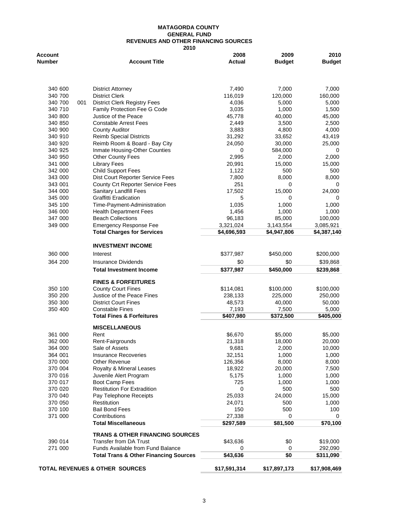#### **MATAGORDA COUNTY GENERAL FUND REVENUES AND OTHER FINANCING SOURCES**

**2010**

| Account<br><b>Number</b> |     | <b>Account Title</b>                                    | 2008<br>Actual      | 2009<br><b>Budget</b> | 2010<br><b>Budget</b> |
|--------------------------|-----|---------------------------------------------------------|---------------------|-----------------------|-----------------------|
|                          |     |                                                         |                     |                       |                       |
| 340 600                  |     | <b>District Attorney</b>                                | 7,490               | 7,000                 | 7,000                 |
| 340 700                  |     | <b>District Clerk</b>                                   | 116,019             | 120,000               | 160,000               |
| 340 700                  | 001 | <b>District Clerk Registry Fees</b>                     | 4,036               | 5,000                 | 5,000                 |
| 340 710                  |     | Family Protection Fee G Code                            | 3,035               | 1,000                 | 1,500                 |
| 340 800<br>340 850       |     | Justice of the Peace<br><b>Constable Arrest Fees</b>    | 45,778              | 40,000                | 45,000                |
|                          |     |                                                         | 2,449               | 3,500                 | 2,500<br>4,000        |
| 340 900<br>340 910       |     | <b>County Auditor</b><br><b>Reimb Special Districts</b> | 3,883<br>31,292     | 4,800<br>33,652       | 43,419                |
| 340 920                  |     | Reimb Room & Board - Bay City                           | 24,050              | 30,000                | 25,000                |
| 340 925                  |     | Inmate Housing-Other Counties                           | 0                   | 584,000               | 0                     |
| 340 950                  |     | <b>Other County Fees</b>                                | 2,995               | 2,000                 | 2,000                 |
| 341 000                  |     | <b>Library Fees</b>                                     | 20,991              | 15,000                | 15,000                |
| 342 000                  |     | <b>Child Support Fees</b>                               | 1,122               | 500                   | 500                   |
| 343 000                  |     | Dist Court Reporter Service Fees                        | 7,800               | 8,000                 | 8,000                 |
| 343 001                  |     | County Crt Reporter Service Fees                        | 251                 | 0                     | 0                     |
| 344 000                  |     | <b>Sanitary Landfill Fees</b>                           | 17,502              | 15,000                | 24,000                |
| 345 000                  |     | <b>Graffitti Eradication</b>                            | 5                   | 0                     | 0                     |
| 345 100                  |     | Time-Payment-Administration                             | 1,035               | 1,000                 | 1,000                 |
| 346 000                  |     | <b>Health Department Fees</b>                           | 1,456               | 1,000                 | 1,000                 |
| 347 000                  |     | <b>Beach Collections</b>                                | 96,183              | 85,000                | 100,000               |
| 349 000                  |     | <b>Emergency Response Fee</b>                           | 3,321,024           | 3,143,554             | 3,085,921             |
|                          |     | <b>Total Charges for Services</b>                       | \$4,696,593         | \$4,947,806           | \$4,387,140           |
|                          |     | <b>INVESTMENT INCOME</b>                                |                     |                       |                       |
| 360 000                  |     | Interest                                                | \$377,987           | \$450,000             | \$200,000             |
| 364 200                  |     |                                                         |                     | \$0                   |                       |
|                          |     | <b>Insurance Dividends</b>                              | \$0                 |                       | \$39,868              |
|                          |     | <b>Total Investment Income</b>                          | \$377,987           | \$450,000             | \$239,868             |
|                          |     | <b>FINES &amp; FORFEITURES</b>                          |                     |                       |                       |
| 350 100                  |     | <b>County Court Fines</b>                               | \$114,081           | \$100,000             | \$100,000             |
| 350 200                  |     | Justice of the Peace Fines                              | 238,133             | 225,000               | 250,000               |
| 350 300                  |     | <b>District Court Fines</b>                             | 48,573              | 40,000                | 50,000                |
| 350 400                  |     | <b>Constable Fines</b>                                  | 7,193               | 7,500                 | 5,000                 |
|                          |     | <b>Total Fines &amp; Forfeitures</b>                    | \$407,980           | \$372,500             | \$405,000             |
|                          |     | <b>MISCELLANEOUS</b>                                    |                     |                       |                       |
| 361 000                  |     | Rent                                                    | \$6,670             | \$5,000               | \$5,000               |
| 362 000                  |     | Rent-Fairgrounds                                        | 21,318              | 18,000                | 20,000                |
| 364 000                  |     | Sale of Assets                                          | 9,681               | 2,000                 | 10,000                |
| 364 001                  |     | <b>Insurance Recoveries</b>                             | 32,151              | 1,000                 | 1,000                 |
| 370 000                  |     | <b>Other Revenue</b>                                    | 126,356             | 8,000                 | 8,000                 |
| 370 004                  |     | Royalty & Mineral Leases                                | 18,922              | 20,000                | 7,500                 |
| 370 016                  |     | Juvenile Alert Program                                  | 5,175               | 1,000                 | 1,000                 |
| 370 017                  |     | Boot Camp Fees                                          | 725                 | 1,000                 | 1,000                 |
| 370 020                  |     | <b>Restitution For Extradition</b>                      | 0                   | 500                   | 500                   |
| 370 040                  |     | Pay Telephone Receipts                                  | 25,033              | 24,000                | 15,000                |
| 370 050                  |     | Restitution                                             | 24,071              | 500                   | 1,000                 |
| 370 100<br>371 000       |     | <b>Bail Bond Fees</b>                                   | 150                 | 500<br>0              | 100                   |
|                          |     | Contributions<br><b>Total Miscellaneous</b>             | 27,338<br>\$297,589 | \$81,500              | 0<br>\$70,100         |
|                          |     |                                                         |                     |                       |                       |
|                          |     | <b>TRANS &amp; OTHER FINANCING SOURCES</b>              |                     |                       |                       |
| 390 014                  |     | <b>Transfer from DA Trust</b>                           | \$43,636            | \$0                   | \$19,000              |
| 271 000                  |     | <b>Funds Available from Fund Balance</b>                | 0                   | 0                     | 292,090               |
|                          |     | <b>Total Trans &amp; Other Financing Sources</b>        | \$43,636            | \$0                   | \$311,090             |
|                          |     | <b>TOTAL REVENUES &amp; OTHER SOURCES</b>               | \$17,591,314        | \$17,897,173          | \$17,908,469          |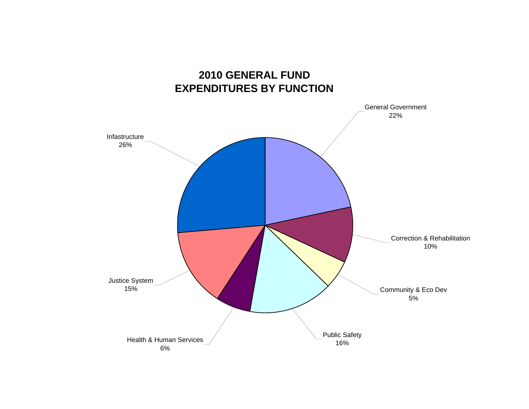# **2010 GENERAL FUND EXPENDITURES BY FUNCTION**

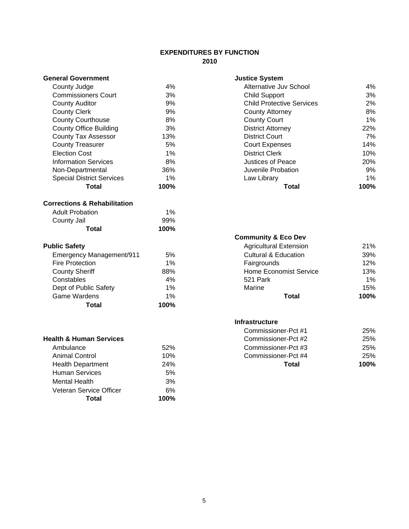### **EXPENDITURES BY FUNCTION 2010**

| <b>General Government</b>               |       | <b>Justice System</b>            |      |
|-----------------------------------------|-------|----------------------------------|------|
| County Judge                            | 4%    | Alternative Juv School           | 4%   |
| <b>Commissioners Court</b>              | 3%    | <b>Child Support</b>             | 3%   |
| <b>County Auditor</b>                   | 9%    | <b>Child Protective Services</b> | 2%   |
| <b>County Clerk</b>                     | 9%    | <b>County Attorney</b>           | 8%   |
| <b>County Courthouse</b>                | 8%    | <b>County Court</b>              | 1%   |
| <b>County Office Building</b>           | 3%    | <b>District Attorney</b>         | 22%  |
| <b>County Tax Assessor</b>              | 13%   | <b>District Court</b>            | 7%   |
| <b>County Treasurer</b>                 | 5%    | <b>Court Expenses</b>            | 14%  |
| <b>Election Cost</b>                    | 1%    | <b>District Clerk</b>            | 10%  |
| <b>Information Services</b>             | 8%    | Justices of Peace                | 20%  |
| Non-Departmental                        | 36%   | Juvenile Probation               | 9%   |
| <b>Special District Services</b>        | 1%    | Law Library                      | 1%   |
| <b>Total</b>                            | 100%  | <b>Total</b>                     | 100% |
| <b>Corrections &amp; Rehabilitation</b> |       |                                  |      |
| <b>Adult Probation</b>                  | 1%    |                                  |      |
| County Jail                             | 99%   |                                  |      |
| <b>Total</b>                            | 100%  |                                  |      |
|                                         |       | <b>Community &amp; Eco Dev</b>   |      |
| <b>Public Safety</b>                    |       | <b>Agricultural Extension</b>    | 21%  |
| Emergency Management/911                | 5%    | <b>Cultural &amp; Education</b>  | 39%  |
| <b>Fire Protection</b>                  | 1%    | Fairgrounds                      | 12%  |
| <b>County Sheriff</b>                   | 88%   | <b>Home Economist Service</b>    | 13%  |
| Constables                              | 4%    | 521 Park                         | 1%   |
| Dept of Public Safety                   | $1\%$ | Marine                           | 15%  |
| <b>Game Wardens</b>                     | 1%    | <b>Total</b>                     | 100% |
| Total                                   | 100%  |                                  |      |

| 52%  |  |
|------|--|
| 10%  |  |
| 24%  |  |
| 5%   |  |
| 3%   |  |
| 6%   |  |
| 100% |  |
|      |  |

|                |      | <b>UMONOU UYONUM</b>             |      |
|----------------|------|----------------------------------|------|
| ge             | 4%   | Alternative Juv School           | 4%   |
| ners Court     | 3%   | <b>Child Support</b>             | 3%   |
| litor          | 9%   | <b>Child Protective Services</b> | 2%   |
| rk             | 9%   | <b>County Attorney</b>           | 8%   |
| ırthouse       | 8%   | <b>County Court</b>              | 1%   |
| ce Building    | 3%   | <b>District Attorney</b>         | 22%  |
| : Assessor     | 13%  | <b>District Court</b>            | 7%   |
| asurer         | 5%   | <b>Court Expenses</b>            | 14%  |
| ιst            | 1%   | <b>District Clerk</b>            | 10%  |
| Services       | 8%   | Justices of Peace                | 20%  |
| tmental        | 36%  | Juvenile Probation               | 9%   |
| trict Services | 1%   | Law Library                      | 1%   |
| Total          | 100% | Total                            | 100% |

| Total                           | 100%  |
|---------------------------------|-------|
| Marine                          | 15%   |
| 521 Park                        | $1\%$ |
| <b>Home Economist Service</b>   | 13%   |
| Fairgrounds                     | 12%   |
| <b>Cultural &amp; Education</b> | 39%   |
| <b>Agricultural Extension</b>   | 21%   |
|                                 |       |

| <b>Infrastructure</b> |      |  |
|-----------------------|------|--|
| Commissioner-Pct #1   | 25%  |  |
| Commissioner-Pct #2   | 25%  |  |
| Commissioner-Pct #3   | 25%  |  |
| Commissioner-Pct #4   | 25%  |  |
| Total                 | 100% |  |
|                       |      |  |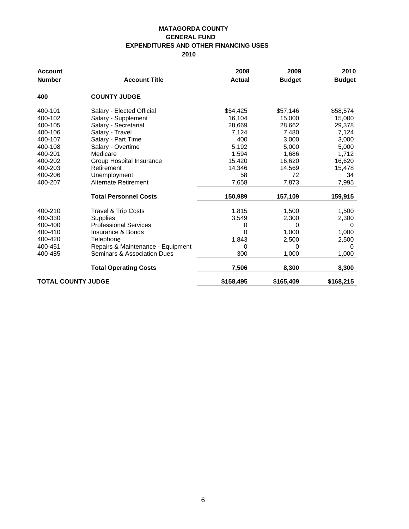| <b>Account</b>            |                                   | 2008          | 2009          | 2010          |
|---------------------------|-----------------------------------|---------------|---------------|---------------|
| <b>Number</b>             | <b>Account Title</b>              | <b>Actual</b> | <b>Budget</b> | <b>Budget</b> |
| 400                       | <b>COUNTY JUDGE</b>               |               |               |               |
| 400-101                   | Salary - Elected Official         | \$54,425      | \$57,146      | \$58,574      |
| 400-102                   | Salary - Supplement               | 16,104        | 15,000        | 15,000        |
| 400-105                   | Salary - Secretarial              | 28,669        | 28,662        | 29,378        |
| 400-106                   | Salary - Travel                   | 7,124         | 7,480         | 7,124         |
| 400-107                   | Salary - Part Time                | 400           | 3,000         | 3,000         |
| 400-108                   | Salary - Overtime                 | 5,192         | 5,000         | 5,000         |
| 400-201                   | Medicare                          | 1.594         | 1,686         | 1,712         |
| 400-202                   | Group Hospital Insurance          | 15,420        | 16,620        | 16,620        |
| 400-203                   | Retirement                        | 14,346        | 14,569        | 15,478        |
| 400-206                   | Unemployment                      | 58            | 72            | 34            |
| 400-207                   | Alternate Retirement              | 7,658         | 7,873         | 7,995         |
|                           | <b>Total Personnel Costs</b>      | 150,989       | 157,109       | 159,915       |
| 400-210                   | <b>Travel &amp; Trip Costs</b>    | 1,815         | 1,500         | 1,500         |
| 400-330                   | <b>Supplies</b>                   | 3,549         | 2,300         | 2,300         |
| 400-400                   | <b>Professional Services</b>      | 0             | 0             | $\Omega$      |
| 400-410                   | Insurance & Bonds                 | 0             | 1,000         | 1,000         |
| 400-420                   | Telephone                         | 1,843         | 2,500         | 2,500         |
| 400-451                   | Repairs & Maintenance - Equipment | 0             | 0             | 0             |
| 400-485                   | Seminars & Association Dues       | 300           | 1,000         | 1,000         |
|                           | <b>Total Operating Costs</b>      | 7,506         | 8,300         | 8,300         |
| <b>TOTAL COUNTY JUDGE</b> |                                   | \$158,495     | \$165,409     | \$168,215     |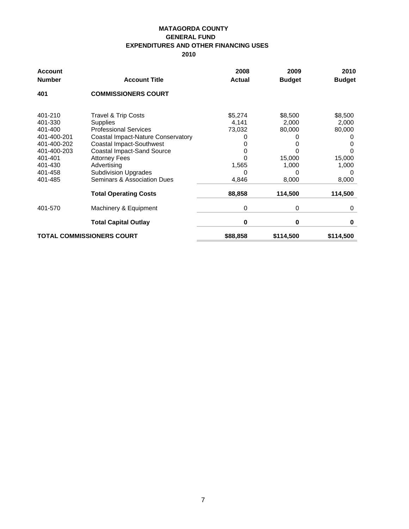| <b>Account</b><br><b>Number</b>           | <b>Account Title</b>                                                                                | 2008<br><b>Actual</b>      | 2009<br><b>Budget</b>      | 2010<br><b>Budget</b>      |
|-------------------------------------------|-----------------------------------------------------------------------------------------------------|----------------------------|----------------------------|----------------------------|
| 401                                       | <b>COMMISSIONERS COURT</b>                                                                          |                            |                            |                            |
| 401-210<br>401-330<br>401-400             | <b>Travel &amp; Trip Costs</b><br><b>Supplies</b><br><b>Professional Services</b>                   | \$5,274<br>4,141<br>73,032 | \$8,500<br>2,000<br>80,000 | \$8,500<br>2,000<br>80,000 |
| 401-400-201<br>401-400-202<br>401-400-203 | Coastal Impact-Nature Conservatory<br>Coastal Impact-Southwest<br><b>Coastal Impact-Sand Source</b> | 0<br>0<br>0                |                            | 0<br>0<br>0                |
| 401-401<br>401-430<br>401-458             | <b>Attorney Fees</b><br>Advertising<br><b>Subdivision Upgrades</b>                                  | 0<br>1,565<br>0            | 15,000<br>1,000<br>0       | 15,000<br>1,000<br>0       |
| 401-485                                   | <b>Seminars &amp; Association Dues</b>                                                              | 4,846                      | 8,000                      | 8,000                      |
|                                           | <b>Total Operating Costs</b>                                                                        | 88,858                     | 114,500                    | 114,500                    |
| 401-570                                   | Machinery & Equipment                                                                               | $\mathbf 0$                | 0                          | $\Omega$                   |
|                                           | <b>Total Capital Outlay</b>                                                                         | $\mathbf 0$                | $\bf{0}$                   | $\bf{0}$                   |
|                                           | <b>TOTAL COMMISSIONERS COURT</b>                                                                    | \$88,858                   | \$114,500                  | \$114,500                  |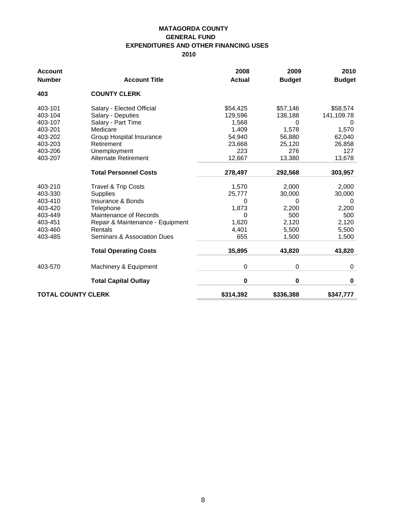| <b>Account</b><br><b>Number</b> | <b>Account Title</b>                   | 2008<br><b>Actual</b> | 2009<br><b>Budget</b> | 2010<br><b>Budget</b> |
|---------------------------------|----------------------------------------|-----------------------|-----------------------|-----------------------|
|                                 |                                        |                       |                       |                       |
| 403                             | <b>COUNTY CLERK</b>                    |                       |                       |                       |
| 403-101                         | Salary - Elected Official              | \$54.425              | \$57,146              | \$58,574              |
| 403-104                         | Salary - Deputies                      | 129,596               | 138,188               | 141,109.78            |
| 403-107                         | Salary - Part Time                     | 1,568                 | $\Omega$              | 0                     |
| 403-201                         | Medicare                               | 1,409                 | 1,578                 | 1,570                 |
| 403-202                         | Group Hospital Insurance               | 54,940                | 56,880                | 62,040                |
| 403-203                         | Retirement                             | 23,668                | 25,120                | 26,858                |
| 403-206                         | Unemployment                           | 223                   | 276                   | 127                   |
| 403-207                         | <b>Alternate Retirement</b>            | 12,667                | 13,380                | 13,678                |
|                                 | <b>Total Personnel Costs</b>           | 278,497               | 292,568               | 303,957               |
| 403-210                         | <b>Travel &amp; Trip Costs</b>         | 1,570                 | 2,000                 | 2,000                 |
| 403-330                         | <b>Supplies</b>                        | 25,777                | 30,000                | 30,000                |
| 403-410                         | Insurance & Bonds                      | 0                     | 0                     | 0                     |
| 403-420                         | Telephone                              | 1,873                 | 2,200                 | 2,200                 |
| 403-449                         | Maintenance of Records                 | 0                     | 500                   | 500                   |
| 403-451                         | Repair & Maintenance - Equipment       | 1,620                 | 2,120                 | 2,120                 |
| 403-460                         | Rentals                                | 4,401                 | 5,500                 | 5,500                 |
| 403-485                         | <b>Seminars &amp; Association Dues</b> | 655                   | 1,500                 | 1,500                 |
|                                 | <b>Total Operating Costs</b>           | 35,895                | 43,820                | 43,820                |
|                                 |                                        |                       |                       |                       |
| 403-570                         | Machinery & Equipment                  | 0                     | $\mathbf 0$           | $\mathbf 0$           |
|                                 | <b>Total Capital Outlay</b>            | $\bf{0}$              | $\mathbf 0$           | $\mathbf 0$           |
| <b>TOTAL COUNTY CLERK</b>       |                                        | \$314,392             | \$336,388             | \$347.777             |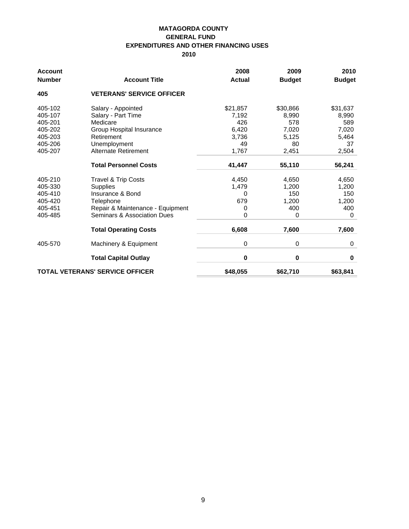| Account<br><b>Number</b> | <b>Account Title</b>                   | 2008<br><b>Actual</b> | 2009<br><b>Budget</b> | 2010<br><b>Budget</b> |
|--------------------------|----------------------------------------|-----------------------|-----------------------|-----------------------|
| 405                      | <b>VETERANS' SERVICE OFFICER</b>       |                       |                       |                       |
| 405-102                  | Salary - Appointed                     | \$21,857              | \$30,866              | \$31,637              |
| 405-107                  | Salary - Part Time                     | 7,192                 | 8,990                 | 8,990                 |
| 405-201                  | Medicare                               | 426                   | 578                   | 589                   |
| 405-202                  | Group Hospital Insurance               | 6,420                 | 7,020                 | 7,020                 |
| 405-203                  | Retirement                             | 3,736                 | 5,125                 | 5,464                 |
| 405-206                  | Unemployment                           | 49                    | 80                    | 37                    |
| 405-207                  | Alternate Retirement                   | 1,767                 | 2,451                 | 2,504                 |
|                          | <b>Total Personnel Costs</b>           | 41,447                | 55,110                | 56,241                |
| 405-210                  | <b>Travel &amp; Trip Costs</b>         | 4,450                 | 4,650                 | 4,650                 |
| 405-330                  | <b>Supplies</b>                        | 1,479                 | 1,200                 | 1,200                 |
| 405-410                  | Insurance & Bond                       | 0                     | 150                   | 150                   |
| 405-420                  | Telephone                              | 679                   | 1,200                 | 1,200                 |
| 405-451                  | Repair & Maintenance - Equipment       | 0                     | 400                   | 400                   |
| 405-485                  | <b>Seminars &amp; Association Dues</b> | $\Omega$              | 0                     | $\Omega$              |
|                          | <b>Total Operating Costs</b>           | 6,608                 | 7,600                 | 7,600                 |
| 405-570                  | Machinery & Equipment                  | $\mathbf 0$           | 0                     | $\mathbf 0$           |
|                          | <b>Total Capital Outlay</b>            | $\mathbf 0$           | $\bf{0}$              | 0                     |
|                          | TOTAL VETERANS' SERVICE OFFICER        | \$48,055              | \$62,710              | \$63,841              |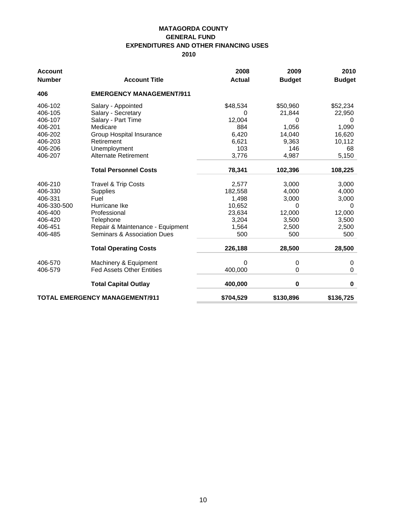| <b>Account</b><br><b>Number</b> | <b>Account Title</b>                  | 2008<br><b>Actual</b> | 2009<br><b>Budget</b> | 2010<br><b>Budget</b> |
|---------------------------------|---------------------------------------|-----------------------|-----------------------|-----------------------|
| 406                             | <b>EMERGENCY MANAGEMENT/911</b>       |                       |                       |                       |
| 406-102                         | Salary - Appointed                    | \$48,534              | \$50,960              | \$52,234              |
| 406-105                         | Salary - Secretary                    | $\Omega$              | 21,844                | 22,950                |
| 406-107                         | Salary - Part Time                    | 12,004                | 0                     | $\Omega$              |
| 406-201                         | Medicare                              | 884                   | 1,056                 | 1,090                 |
| 406-202                         | Group Hospital Insurance              | 6,420                 | 14,040                | 16,620                |
| 406-203                         | Retirement                            | 6,621                 | 9,363                 | 10,112                |
| 406-206                         | Unemployment                          | 103                   | 146                   | 68                    |
| 406-207                         | <b>Alternate Retirement</b>           | 3,776                 | 4,987                 | 5,150                 |
|                                 | <b>Total Personnel Costs</b>          | 78,341                | 102,396               | 108,225               |
| 406-210                         | <b>Travel &amp; Trip Costs</b>        | 2,577                 | 3,000                 | 3,000                 |
| 406-330                         | <b>Supplies</b>                       | 182,558               | 4,000                 | 4,000                 |
| 406-331                         | Fuel                                  | 1,498                 | 3,000                 | 3,000                 |
| 406-330-500                     | Hurricane Ike                         | 10,652                | $\Omega$              | $\Omega$              |
| 406-400                         | Professional                          | 23,634                | 12,000                | 12,000                |
| 406-420                         | Telephone                             | 3,204                 | 3,500                 | 3,500                 |
| 406-451                         | Repair & Maintenance - Equipment      | 1,564                 | 2,500                 | 2,500                 |
| 406-485                         | Seminars & Association Dues           | 500                   | 500                   | 500                   |
|                                 | <b>Total Operating Costs</b>          | 226,188               | 28,500                | 28,500                |
| 406-570                         | Machinery & Equipment                 | 0                     | 0                     | 0                     |
| 406-579                         | <b>Fed Assets Other Entities</b>      | 400,000               | $\Omega$              | $\mathbf 0$           |
|                                 | <b>Total Capital Outlay</b>           | 400,000               | $\mathbf 0$           | $\mathbf 0$           |
|                                 | <b>TOTAL EMERGENCY MANAGEMENT/911</b> | \$704,529             | \$130,896             | \$136,725             |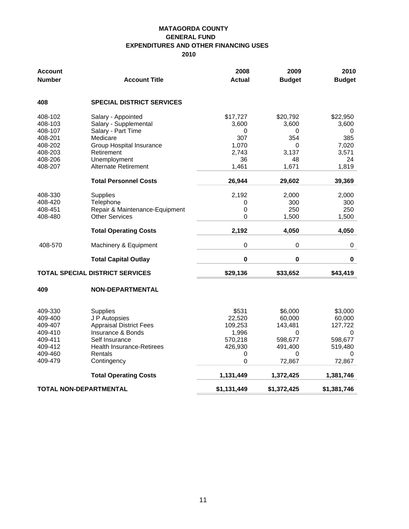| Account<br><b>Number</b>      | <b>Account Title</b>                                | 2008<br><b>Actual</b> | 2009<br><b>Budget</b> | 2010<br><b>Budget</b> |
|-------------------------------|-----------------------------------------------------|-----------------------|-----------------------|-----------------------|
| 408                           | <b>SPECIAL DISTRICT SERVICES</b>                    |                       |                       |                       |
| 408-102                       | Salary - Appointed                                  | \$17,727              | \$20,792              | \$22,950              |
| 408-103                       | Salary - Supplemental                               | 3,600                 | 3,600                 | 3,600                 |
| 408-107                       | Salary - Part Time                                  | 0                     | 0                     | 0                     |
| 408-201                       | Medicare                                            | 307                   | 354                   | 385                   |
| 408-202                       | Group Hospital Insurance                            | 1,070                 | 0                     | 7,020                 |
| 408-203                       | Retirement                                          | 2,743                 | 3,137                 | 3,571                 |
| 408-206                       | Unemployment                                        | 36                    | 48                    | 24                    |
| 408-207                       | <b>Alternate Retirement</b>                         | 1,461                 | 1,671                 | 1,819                 |
|                               | <b>Total Personnel Costs</b>                        | 26,944                | 29,602                | 39,369                |
| 408-330                       | Supplies                                            | 2,192                 | 2,000                 | 2,000                 |
| 408-420                       | Telephone                                           | 0                     | 300                   | 300                   |
| 408-451                       | Repair & Maintenance-Equipment                      | 0                     | 250                   | 250                   |
| 408-480                       | <b>Other Services</b>                               | $\Omega$              | 1,500                 | 1,500                 |
|                               | <b>Total Operating Costs</b>                        | 2,192                 | 4,050                 | 4,050                 |
| 408-570                       |                                                     | $\mathbf 0$           | 0                     | 0                     |
|                               | Machinery & Equipment                               |                       |                       |                       |
|                               | <b>Total Capital Outlay</b>                         | $\bf{0}$              | 0                     | 0                     |
|                               | <b>TOTAL SPECIAL DISTRICT SERVICES</b>              | \$29,136              | \$33,652              | \$43,419              |
| 409                           | <b>NON-DEPARTMENTAL</b>                             |                       |                       |                       |
|                               |                                                     |                       |                       |                       |
| 409-330                       | <b>Supplies</b>                                     | \$531<br>22,520       | \$6,000               | \$3,000               |
| 409-400                       | J P Autopsies                                       | 109,253               | 60,000                | 60,000                |
| 409-407                       | <b>Appraisal District Fees</b><br>Insurance & Bonds |                       | 143,481               | 127,722<br>0          |
| 409-410                       |                                                     | 1,996<br>570,218      | 0                     |                       |
| 409-411                       | Self Insurance                                      |                       | 598,677               | 598,677               |
| 409-412                       | <b>Health Insurance-Retirees</b>                    | 426,930               | 491,400               | 519,480               |
| 409-460<br>409-479            | Rentals<br>Contingency                              | 0<br>0                | 0<br>72,867           | 0<br>72,867           |
|                               | <b>Total Operating Costs</b>                        | 1,131,449             | 1,372,425             | 1,381,746             |
| <b>TOTAL NON-DEPARTMENTAL</b> |                                                     | \$1,131,449           | \$1,372,425           | \$1,381,746           |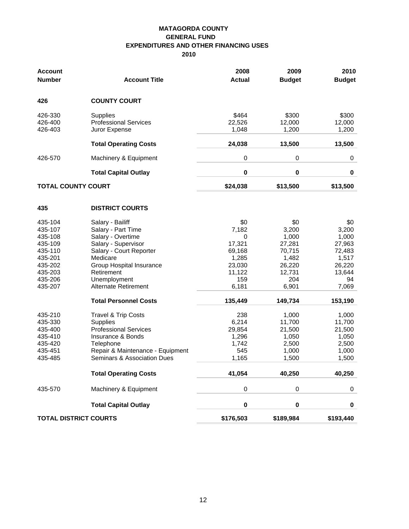| <b>Account</b><br><b>Number</b> | <b>Account Title</b>                        | 2008<br><b>Actual</b> | 2009<br><b>Budget</b> | 2010<br><b>Budget</b> |
|---------------------------------|---------------------------------------------|-----------------------|-----------------------|-----------------------|
| 426                             | <b>COUNTY COURT</b>                         |                       |                       |                       |
| 426-330                         | <b>Supplies</b>                             | \$464                 | \$300                 | \$300                 |
| 426-400                         | <b>Professional Services</b>                | 22,526                | 12,000                | 12,000                |
| 426-403                         | Juror Expense                               | 1,048                 | 1,200                 | 1,200                 |
|                                 | <b>Total Operating Costs</b>                | 24,038                | 13,500                | 13,500                |
| 426-570                         | Machinery & Equipment                       | 0                     | $\pmb{0}$             | 0                     |
|                                 | <b>Total Capital Outlay</b>                 | $\pmb{0}$             | $\mathbf 0$           | $\mathbf 0$           |
| <b>TOTAL COUNTY COURT</b>       |                                             | \$24,038              | \$13,500              | \$13,500              |
| 435                             | <b>DISTRICT COURTS</b>                      |                       |                       |                       |
| 435-104                         | Salary - Bailiff                            | \$0                   | \$0                   | \$0                   |
| 435-107                         | Salary - Part Time                          | 7,182                 | 3,200                 | 3,200                 |
| 435-108                         | Salary - Overtime                           | 0                     | 1,000                 | 1,000                 |
| 435-109                         | Salary - Supervisor                         | 17,321                | 27,281                | 27,963                |
| 435-110                         | Salary - Court Reporter                     | 69,168                | 70,715                | 72,483                |
| 435-201                         | Medicare                                    | 1,285                 | 1,482                 | 1,517                 |
| 435-202                         | Group Hospital Insurance                    | 23,030                | 26,220                | 26,220                |
| 435-203                         | Retirement                                  | 11,122                | 12,731                | 13,644                |
| 435-206                         | Unemployment<br><b>Alternate Retirement</b> | 159                   | 204                   | 94                    |
| 435-207                         |                                             | 6,181                 | 6,901                 | 7,069                 |
|                                 | <b>Total Personnel Costs</b>                | 135,449               | 149,734               | 153,190               |
| 435-210                         | <b>Travel &amp; Trip Costs</b>              | 238                   | 1,000                 | 1,000                 |
| 435-330                         | <b>Supplies</b>                             | 6,214                 | 11,700                | 11,700                |
| 435-400                         | <b>Professional Services</b>                | 29,854                | 21,500                | 21,500                |
| 435-410                         | <b>Insurance &amp; Bonds</b>                | 1,296                 | 1,050                 | 1,050                 |
| 435-420                         | Telephone                                   | 1,742                 | 2,500                 | 2,500                 |
| 435-451                         | Repair & Maintenance - Equipment            | 545                   | 1,000                 | 1,000                 |
| 435-485                         | <b>Seminars &amp; Association Dues</b>      | 1,165                 | 1,500                 | 1,500                 |
|                                 | <b>Total Operating Costs</b>                | 41,054                | 40,250                | 40,250                |
| 435-570                         | Machinery & Equipment                       | $\mathsf 0$           | $\pmb{0}$             | $\pmb{0}$             |
|                                 | <b>Total Capital Outlay</b>                 | $\pmb{0}$             | $\pmb{0}$             | $\bf{0}$              |
| <b>TOTAL DISTRICT COURTS</b>    |                                             | \$176,503             | \$189,984             | \$193,440             |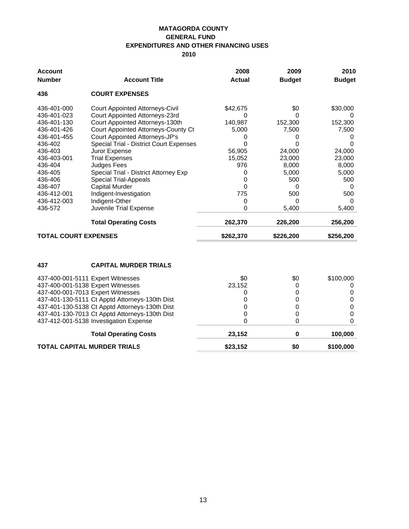| <b>Account</b><br><b>Number</b> | <b>Account Title</b>                           | 2008<br><b>Actual</b> | 2009<br><b>Budget</b> | 2010<br><b>Budget</b> |
|---------------------------------|------------------------------------------------|-----------------------|-----------------------|-----------------------|
| 436                             | <b>COURT EXPENSES</b>                          |                       |                       |                       |
| 436-401-000                     | <b>Court Appointed Attorneys-Civil</b>         | \$42,675              | \$0                   | \$30,000              |
| 436-401-023                     | Court Appointed Attorneys-23rd                 | 0                     | 0                     | 0                     |
| 436-401-130                     | Court Appointed Attorneys-130th                | 140,987               | 152,300               | 152,300               |
| 436-401-426                     | Court Appointed Attorneys-County Ct            | 5,000                 | 7,500                 | 7,500                 |
| 436-401-455                     | Court Appointed Attorneys-JP's                 | 0                     | 0                     | 0                     |
| 436-402                         | <b>Special Trial - District Court Expenses</b> | $\Omega$              | 0                     | $\Omega$              |
| 436-403                         | Juror Expense                                  | 56,905                | 24,000                | 24,000                |
| 436-403-001                     | <b>Trial Expenses</b>                          | 15,052                | 23,000                | 23,000                |
| 436-404                         | <b>Judges Fees</b>                             | 976                   | 8,000                 | 8,000                 |
| 436-405                         | Special Trial - District Attorney Exp          | 0                     | 5,000                 | 5,000                 |
| 436-406                         | <b>Special Trial-Appeals</b>                   | 0                     | 500                   | 500                   |
| 436-407                         | <b>Capital Murder</b>                          | $\Omega$              | 0                     | 0                     |
| 436-412-001                     | Indigent-Investigation                         | 775                   | 500                   | 500                   |
| 436-412-003                     | Indigent-Other                                 | $\Omega$              | 0                     | 0                     |
| 436-572                         | Juvenile Trial Expense                         | $\mathbf 0$           | 5,400                 | 5,400                 |
|                                 | <b>Total Operating Costs</b>                   | 262,370               | 226,200               | 256,200               |
| <b>TOTAL COURT EXPENSES</b>     |                                                | \$262,370             | \$226,200             | \$256,200             |
| 437                             | <b>CAPITAL MURDER TRIALS</b>                   |                       |                       |                       |
|                                 | 437-400-001-5111 Expert Witnesses              | \$0                   | \$0                   | \$100,000             |
|                                 | 437-400-001-5138 Expert Witnesses              | 23,152                | 0                     | 0                     |
|                                 | 437-400-001-7013 Expert Witnesses              | 0                     | 0                     | 0                     |
|                                 | 437-401-130-5111 Ct Apptd Attorneys-130th Dist | $\mathbf 0$           | 0                     | 0                     |
|                                 | 437-401-130-5138 Ct Apptd Attorneys-130th Dist | $\mathbf 0$           | 0                     | $\boldsymbol{0}$      |
|                                 | 437-401-130-7013 Ct Apptd Attorneys-130th Dist | $\mathbf 0$           | $\Omega$              | 0                     |
|                                 | 437-412-001-5138 Investigation Expense         | $\Omega$              | 0                     | $\Omega$              |
|                                 | <b>Total Operating Costs</b>                   | 23,152                | 0                     | 100,000               |
|                                 | <b>TOTAL CAPITAL MURDER TRIALS</b>             | \$23,152              | \$0                   | \$100,000             |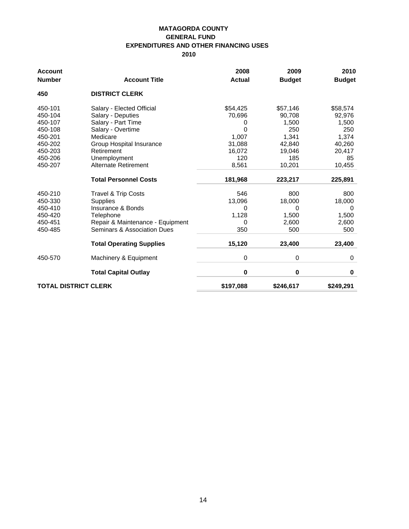| <b>Account</b><br><b>Number</b> | <b>Account Title</b>                   | 2008<br><b>Actual</b> | 2009<br><b>Budget</b> | 2010<br><b>Budget</b> |
|---------------------------------|----------------------------------------|-----------------------|-----------------------|-----------------------|
| 450                             | <b>DISTRICT CLERK</b>                  |                       |                       |                       |
| 450-101                         | Salary - Elected Official              | \$54,425              | \$57,146              | \$58,574              |
| 450-104                         | Salary - Deputies                      | 70,696                | 90,708                | 92,976                |
| 450-107                         | Salary - Part Time                     | 0                     | 1,500                 | 1,500                 |
| 450-108                         | Salary - Overtime                      | 0                     | 250                   | 250                   |
| 450-201                         | Medicare                               | 1,007                 | 1,341                 | 1,374                 |
| 450-202                         | Group Hospital Insurance               | 31,088                | 42,840                | 40,260                |
| 450-203                         | Retirement                             | 16,072                | 19,046                | 20,417                |
| 450-206                         | Unemployment                           | 120                   | 185                   | 85                    |
| 450-207                         | <b>Alternate Retirement</b>            | 8,561                 | 10,201                | 10,455                |
|                                 | <b>Total Personnel Costs</b>           | 181,968               | 223,217               | 225,891               |
| 450-210                         | <b>Travel &amp; Trip Costs</b>         | 546                   | 800                   | 800                   |
| 450-330                         | <b>Supplies</b>                        | 13,096                | 18,000                | 18,000                |
| 450-410                         | Insurance & Bonds                      | 0                     | 0                     | 0                     |
| 450-420                         | Telephone                              | 1,128                 | 1,500                 | 1,500                 |
| 450-451                         | Repair & Maintenance - Equipment       | 0                     | 2,600                 | 2,600                 |
| 450-485                         | <b>Seminars &amp; Association Dues</b> | 350                   | 500                   | 500                   |
|                                 | <b>Total Operating Supplies</b>        | 15,120                | 23,400                | 23,400                |
| 450-570                         | Machinery & Equipment                  | 0                     | $\mathbf 0$           | 0                     |
|                                 | <b>Total Capital Outlay</b>            | 0                     | $\mathbf 0$           | $\mathbf 0$           |
| <b>TOTAL DISTRICT CLERK</b>     |                                        | \$197,088             | \$246,617             | \$249,291             |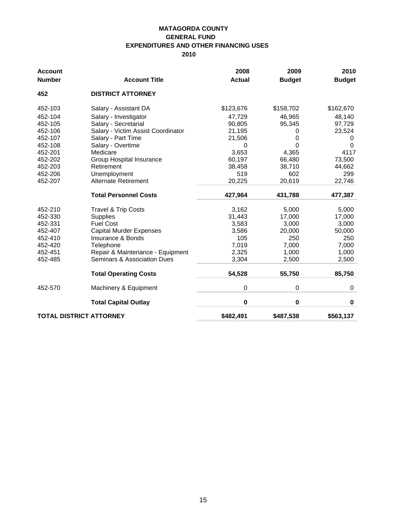| <b>Account</b> |                                        | 2008          | 2009          | 2010          |
|----------------|----------------------------------------|---------------|---------------|---------------|
| <b>Number</b>  | <b>Account Title</b>                   | <b>Actual</b> | <b>Budget</b> | <b>Budget</b> |
| 452            | <b>DISTRICT ATTORNEY</b>               |               |               |               |
| 452-103        | Salary - Assistant DA                  | \$123,676     | \$158,702     | \$162,670     |
| 452-104        | Salary - Investigator                  | 47,729        | 46.965        | 48,140        |
| 452-105        | Salary - Secretarial                   | 90,805        | 95,345        | 97,729        |
| 452-106        | Salary - Victim Assist Coordinator     | 21,195        | 0             | 23,524        |
| 452-107        | Salary - Part Time                     | 21,506        | $\mathbf 0$   | 0             |
| 452-108        | Salary - Overtime                      | $\Omega$      | $\Omega$      | $\mathbf 0$   |
| 452-201        | Medicare                               | 3,653         | 4,365         | 4117          |
| 452-202        | Group Hospital Insurance               | 60,197        | 66,480        | 73,500        |
| 452-203        | Retirement                             | 38,458        | 38,710        | 44,662        |
| 452-206        | Unemployment                           | 519           | 602           | 299           |
| 452-207        | <b>Alternate Retirement</b>            | 20,225        | 20,619        | 22,746        |
|                | <b>Total Personnel Costs</b>           | 427,964       | 431,788       | 477,387       |
| 452-210        | <b>Travel &amp; Trip Costs</b>         | 3,162         | 5,000         | 5,000         |
| 452-330        | <b>Supplies</b>                        | 31,443        | 17,000        | 17,000        |
| 452-331        | <b>Fuel Cost</b>                       | 3,583         | 3,000         | 3,000         |
| 452-407        | <b>Capital Murder Expenses</b>         | 3,586         | 20,000        | 50,000        |
| 452-410        | Insurance & Bonds                      | 105           | 250           | 250           |
| 452-420        | Telephone                              | 7,019         | 7,000         | 7,000         |
| 452-451        | Repair & Maintenance - Equipment       | 2,325         | 1,000         | 1,000         |
| 452-485        | <b>Seminars &amp; Association Dues</b> | 3,304         | 2,500         | 2,500         |
|                | <b>Total Operating Costs</b>           | 54,528        | 55,750        | 85,750        |
|                |                                        |               |               |               |
| 452-570        | Machinery & Equipment                  | $\mathbf 0$   | 0             | 0             |
|                | <b>Total Capital Outlay</b>            | $\bf{0}$      | 0             | $\mathbf 0$   |
|                | <b>TOTAL DISTRICT ATTORNEY</b>         | \$482,491     | \$487,538     | \$563,137     |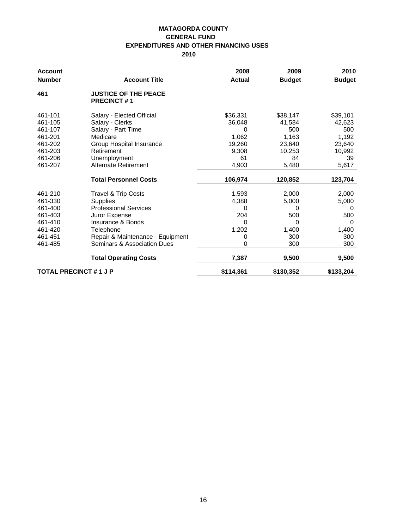| <b>Account</b><br><b>Number</b> | <b>Account Title</b>                             | 2008<br><b>Actual</b> | 2009          | 2010          |
|---------------------------------|--------------------------------------------------|-----------------------|---------------|---------------|
|                                 |                                                  |                       | <b>Budget</b> | <b>Budget</b> |
| 461                             | <b>JUSTICE OF THE PEACE</b><br><b>PRECINCT#1</b> |                       |               |               |
| 461-101                         | Salary - Elected Official                        | \$36,331              | \$38,147      | \$39,101      |
| 461-105                         | Salary - Clerks                                  | 36,048                | 41,584        | 42,623        |
| 461-107                         | Salary - Part Time                               | $\Omega$              | 500           | 500           |
| 461-201                         | Medicare                                         | 1,062                 | 1,163         | 1,192         |
| 461-202                         | Group Hospital Insurance                         | 19,260                | 23,640        | 23,640        |
| 461-203                         | Retirement                                       | 9,308                 | 10,253        | 10,992        |
| 461-206                         | Unemployment                                     | 61                    | 84            | 39            |
| 461-207                         | <b>Alternate Retirement</b>                      | 4,903                 | 5,480         | 5,617         |
|                                 | <b>Total Personnel Costs</b>                     | 106,974               | 120,852       | 123,704       |
| 461-210                         | <b>Travel &amp; Trip Costs</b>                   | 1,593                 | 2,000         | 2,000         |
| 461-330                         | Supplies                                         | 4,388                 | 5,000         | 5,000         |
| 461-400                         | <b>Professional Services</b>                     | $\Omega$              | $\Omega$      | $\Omega$      |
| 461-403                         | Juror Expense                                    | 204                   | 500           | 500           |
| 461-410                         | Insurance & Bonds                                | 0                     | $\Omega$      | $\Omega$      |
| 461-420                         | Telephone                                        | 1,202                 | 1,400         | 1,400         |
| 461-451                         | Repair & Maintenance - Equipment                 | 0                     | 300           | 300           |
| 461-485                         | <b>Seminars &amp; Association Dues</b>           | $\Omega$              | 300           | 300           |
|                                 | <b>Total Operating Costs</b>                     | 7,387                 | 9,500         | 9,500         |
|                                 | <b>TOTAL PRECINCT #1 J P</b>                     | \$114,361             | \$130,352     | \$133,204     |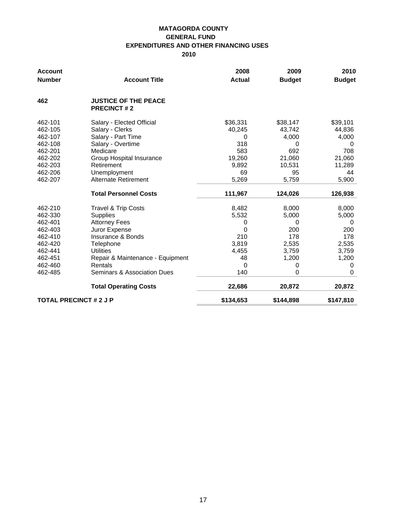| <b>Account</b><br><b>Number</b> | <b>Account Title</b>                             | 2008<br><b>Actual</b> | 2009<br><b>Budget</b> | 2010<br><b>Budget</b> |
|---------------------------------|--------------------------------------------------|-----------------------|-----------------------|-----------------------|
| 462                             | <b>JUSTICE OF THE PEACE</b><br><b>PRECINCT#2</b> |                       |                       |                       |
| 462-101                         | Salary - Elected Official                        | \$36,331              | \$38,147              | \$39,101              |
| 462-105                         | Salary - Clerks                                  | 40,245                | 43,742                | 44,836                |
| 462-107                         | Salary - Part Time                               | 0                     | 4,000                 | 4,000                 |
| 462-108                         | Salary - Overtime                                | 318                   | 0                     | 0                     |
| 462-201                         | Medicare                                         | 583                   | 692                   | 708                   |
| 462-202                         | Group Hospital Insurance                         | 19,260                | 21,060                | 21,060                |
| 462-203                         | Retirement                                       | 9,892                 | 10,531                | 11,289                |
| 462-206                         | Unemployment                                     | 69                    | 95                    | 44                    |
| 462-207                         | <b>Alternate Retirement</b>                      | 5,269                 | 5,759                 | 5,900                 |
|                                 | <b>Total Personnel Costs</b>                     | 111,967               | 124,026               | 126,938               |
| 462-210                         | <b>Travel &amp; Trip Costs</b>                   | 8,482                 | 8,000                 | 8,000                 |
| 462-330                         | <b>Supplies</b>                                  | 5,532                 | 5,000                 | 5,000                 |
| 462-401                         | <b>Attorney Fees</b>                             | 0                     | 0                     | 0                     |
| 462-403                         | Juror Expense                                    | 0                     | 200                   | 200                   |
| 462-410                         | Insurance & Bonds                                | 210                   | 178                   | 178                   |
| 462-420                         | Telephone                                        | 3,819                 | 2,535                 | 2,535                 |
| 462-441                         | <b>Utilities</b>                                 | 4,455                 | 3,759                 | 3,759                 |
| 462-451                         | Repair & Maintenance - Equipment                 | 48                    | 1,200                 | 1,200                 |
| 462-460                         | Rentals                                          | 0                     | 0                     | 0                     |
| 462-485                         | <b>Seminars &amp; Association Dues</b>           | 140                   | 0                     | 0                     |
|                                 | <b>Total Operating Costs</b>                     | 22,686                | 20,872                | 20,872                |
|                                 | <b>TOTAL PRECINCT # 2 J P</b>                    | \$134,653             | \$144,898             | \$147,810             |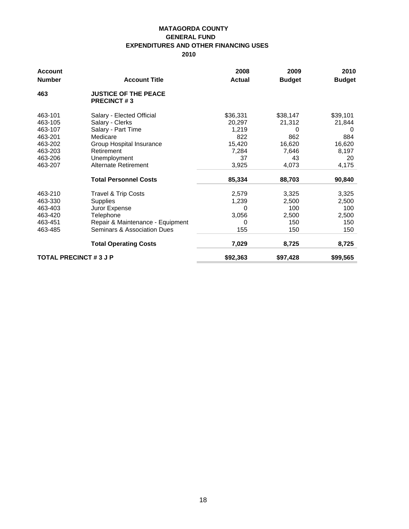| <b>Account</b> |                                                  | 2008          | 2009          | 2010          |
|----------------|--------------------------------------------------|---------------|---------------|---------------|
| <b>Number</b>  | <b>Account Title</b>                             | <b>Actual</b> | <b>Budget</b> | <b>Budget</b> |
| 463            | <b>JUSTICE OF THE PEACE</b><br><b>PRECINCT#3</b> |               |               |               |
| 463-101        | Salary - Elected Official                        | \$36,331      | \$38,147      | \$39,101      |
| 463-105        | Salary - Clerks                                  | 20,297        | 21,312        | 21,844        |
| 463-107        | Salary - Part Time                               | 1,219         | 0             | 0             |
| 463-201        | Medicare                                         | 822           | 862           | 884           |
| 463-202        | Group Hospital Insurance                         | 15,420        | 16,620        | 16,620        |
| 463-203        | Retirement                                       | 7,284         | 7,646         | 8,197         |
| 463-206        | Unemployment                                     | 37            | 43            | 20            |
| 463-207        | <b>Alternate Retirement</b>                      | 3,925         | 4,073         | 4,175         |
|                | <b>Total Personnel Costs</b>                     | 85,334        | 88,703        | 90,840        |
| 463-210        | <b>Travel &amp; Trip Costs</b>                   | 2,579         | 3,325         | 3,325         |
| 463-330        | <b>Supplies</b>                                  | 1,239         | 2,500         | 2,500         |
| 463-403        | Juror Expense                                    | $\Omega$      | 100           | 100           |
| 463-420        | Telephone                                        | 3,056         | 2,500         | 2,500         |
| 463-451        | Repair & Maintenance - Equipment                 | 0             | 150           | 150           |
| 463-485        | <b>Seminars &amp; Association Dues</b>           | 155           | 150           | 150           |
|                | <b>Total Operating Costs</b>                     | 7,029         | 8,725         | 8,725         |
|                | <b>TOTAL PRECINCT #3 J P</b>                     | \$92,363      | \$97,428      | \$99,565      |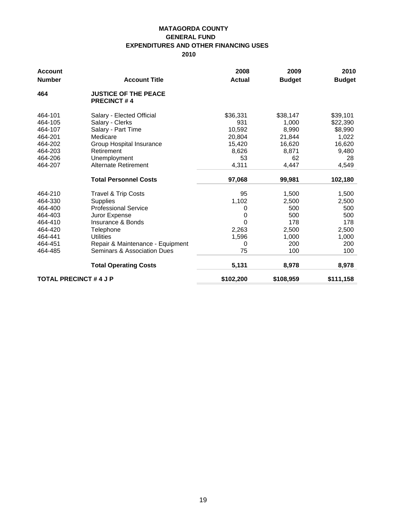| <b>Account</b> |                                                  | 2008          | 2009          | 2010          |
|----------------|--------------------------------------------------|---------------|---------------|---------------|
| <b>Number</b>  | <b>Account Title</b>                             | <b>Actual</b> | <b>Budget</b> | <b>Budget</b> |
| 464            | <b>JUSTICE OF THE PEACE</b><br><b>PRECINCT#4</b> |               |               |               |
| 464-101        | Salary - Elected Official                        | \$36,331      | \$38,147      | \$39,101      |
| 464-105        | Salary - Clerks                                  | 931           | 1,000         | \$22,390      |
| 464-107        | Salary - Part Time                               | 10.592        | 8,990         | \$8,990       |
| 464-201        | Medicare                                         | 20,804        | 21,844        | 1,022         |
| 464-202        | Group Hospital Insurance                         | 15,420        | 16,620        | 16,620        |
| 464-203        | Retirement                                       | 8,626         | 8,871         | 9,480         |
| 464-206        | Unemployment                                     | 53            | 62            | 28            |
| 464-207        | <b>Alternate Retirement</b>                      | 4,311         | 4,447         | 4,549         |
|                | <b>Total Personnel Costs</b>                     | 97,068        | 99,981        | 102,180       |
| 464-210        | <b>Travel &amp; Trip Costs</b>                   | 95            | 1,500         | 1,500         |
| 464-330        | <b>Supplies</b>                                  | 1,102         | 2,500         | 2,500         |
| 464-400        | <b>Professional Service</b>                      | 0             | 500           | 500           |
| 464-403        | Juror Expense                                    | 0             | 500           | 500           |
| 464-410        | Insurance & Bonds                                | $\Omega$      | 178           | 178           |
| 464-420        | Telephone                                        | 2,263         | 2,500         | 2,500         |
| 464-441        | <b>Utilities</b>                                 | 1,596         | 1,000         | 1,000         |
| 464-451        | Repair & Maintenance - Equipment                 | 0             | 200           | 200           |
| 464-485        | <b>Seminars &amp; Association Dues</b>           | 75            | 100           | 100           |
|                | <b>Total Operating Costs</b>                     | 5,131         | 8,978         | 8,978         |
|                | <b>TOTAL PRECINCT #4 J P</b>                     | \$102,200     | \$108,959     | \$111,158     |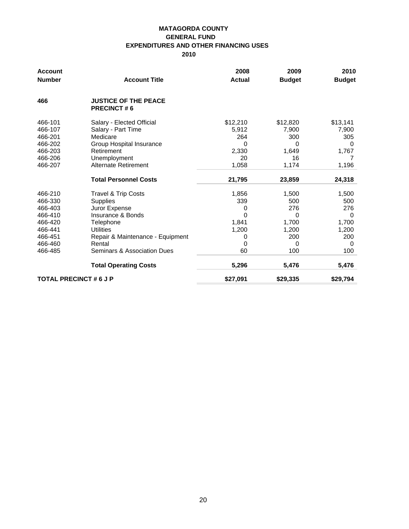| <b>Account</b><br><b>Number</b> | <b>Account Title</b>                            | 2008<br><b>Actual</b> | 2009<br><b>Budget</b> | 2010<br><b>Budget</b> |
|---------------------------------|-------------------------------------------------|-----------------------|-----------------------|-----------------------|
| 466                             | <b>JUSTICE OF THE PEACE</b><br>PRECINCT#6       |                       |                       |                       |
| 466-101<br>466-107              | Salary - Elected Official<br>Salary - Part Time | \$12,210<br>5,912     | \$12,820<br>7,900     | \$13,141<br>7,900     |
| 466-201                         | Medicare                                        | 264                   | 300                   | 305                   |
| 466-202                         | Group Hospital Insurance                        | $\Omega$              | 0                     | $\Omega$              |
| 466-203                         | Retirement                                      | 2,330                 | 1,649                 | 1,767                 |
| 466-206                         | Unemployment                                    | 20                    | 16                    | 7                     |
| 466-207                         | <b>Alternate Retirement</b>                     | 1,058                 | 1,174                 | 1,196                 |
|                                 | <b>Total Personnel Costs</b>                    | 21,795                | 23,859                | 24,318                |
| 466-210                         | <b>Travel &amp; Trip Costs</b>                  | 1,856                 | 1,500                 | 1,500                 |
| 466-330                         | <b>Supplies</b>                                 | 339                   | 500                   | 500                   |
| 466-403                         | Juror Expense                                   | 0                     | 276                   | 276                   |
| 466-410                         | Insurance & Bonds                               | 0                     | 0                     | 0                     |
| 466-420                         | Telephone                                       | 1,841                 | 1,700                 | 1,700                 |
| 466-441                         | Utilities                                       | 1,200                 | 1,200                 | 1,200                 |
| 466-451                         | Repair & Maintenance - Equipment                | 0                     | 200                   | 200                   |
| 466-460                         | Rental                                          | $\Omega$              | 0                     | $\Omega$              |
| 466-485                         | <b>Seminars &amp; Association Dues</b>          | 60                    | 100                   | 100                   |
|                                 | <b>Total Operating Costs</b>                    | 5,296                 | 5,476                 | 5,476                 |
|                                 | <b>TOTAL PRECINCT #6 J P</b>                    | \$27,091              | \$29,335              | \$29,794              |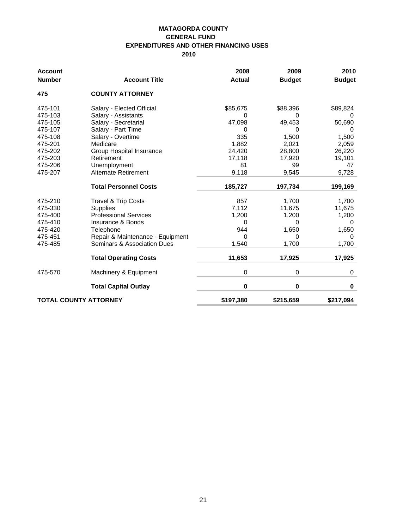| <b>Account</b><br><b>Number</b> | <b>Account Title</b>                   | 2008<br><b>Actual</b> | 2009<br><b>Budget</b> | 2010<br><b>Budget</b> |
|---------------------------------|----------------------------------------|-----------------------|-----------------------|-----------------------|
| 475                             | <b>COUNTY ATTORNEY</b>                 |                       |                       |                       |
| 475-101                         | Salary - Elected Official              | \$85,675              | \$88,396              | \$89,824              |
| 475-103                         | Salary - Assistants                    | 0                     | 0                     |                       |
| 475-105                         | Salary - Secretarial                   | 47,098                | 49,453                | 50,690                |
| 475-107                         | Salary - Part Time                     | 0                     | 0                     | 0                     |
| 475-108                         | Salary - Overtime                      | 335                   | 1,500                 | 1,500                 |
| 475-201                         | Medicare                               | 1.882                 | 2,021                 | 2,059                 |
| 475-202                         | Group Hospital Insurance               | 24,420                | 28,800                | 26,220                |
| 475-203                         | Retirement                             | 17,118                | 17,920                | 19,101                |
| 475-206                         | Unemployment                           | 81                    | 99                    | 47                    |
| 475-207                         | <b>Alternate Retirement</b>            | 9,118                 | 9,545                 | 9,728                 |
|                                 | <b>Total Personnel Costs</b>           | 185,727               | 197,734               | 199,169               |
| 475-210                         | <b>Travel &amp; Trip Costs</b>         | 857                   | 1,700                 | 1,700                 |
| 475-330                         | <b>Supplies</b>                        | 7,112                 | 11,675                | 11,675                |
| 475-400                         | <b>Professional Services</b>           | 1,200                 | 1,200                 | 1,200                 |
| 475-410                         | Insurance & Bonds                      | $\Omega$              | 0                     | $\Omega$              |
| 475-420                         | Telephone                              | 944                   | 1,650                 | 1,650                 |
| 475-451                         | Repair & Maintenance - Equipment       | 0                     | 0                     | 0                     |
| 475-485                         | <b>Seminars &amp; Association Dues</b> | 1,540                 | 1,700                 | 1,700                 |
|                                 | <b>Total Operating Costs</b>           | 11,653                | 17,925                | 17,925                |
| 475-570                         | Machinery & Equipment                  | $\Omega$              | $\Omega$              | 0                     |
|                                 | <b>Total Capital Outlay</b>            | $\bf{0}$              | $\mathbf 0$           | $\mathbf 0$           |
|                                 | <b>TOTAL COUNTY ATTORNEY</b>           | \$197,380             | \$215,659             | \$217,094             |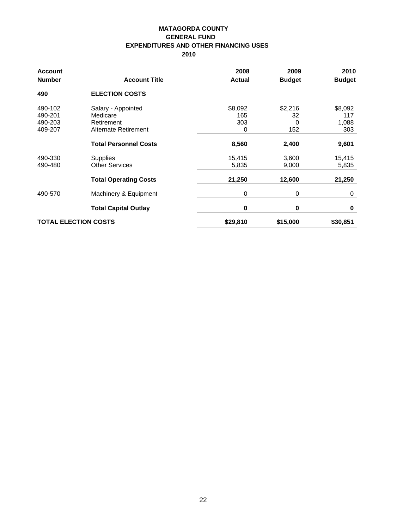| <b>Account</b>     |                                           | 2008            | 2009           | 2010            |
|--------------------|-------------------------------------------|-----------------|----------------|-----------------|
| <b>Number</b>      | <b>Account Title</b>                      | <b>Actual</b>   | <b>Budget</b>  | <b>Budget</b>   |
| 490                | <b>ELECTION COSTS</b>                     |                 |                |                 |
| 490-102<br>490-201 | Salary - Appointed<br>Medicare            | \$8,092<br>165  | \$2,216<br>32  | \$8,092<br>117  |
| 490-203<br>409-207 | Retirement<br><b>Alternate Retirement</b> | 303<br>0        | 0<br>152       | 1,088<br>303    |
|                    | <b>Total Personnel Costs</b>              | 8,560           | 2,400          | 9,601           |
| 490-330<br>490-480 | <b>Supplies</b><br>Other Services         | 15,415<br>5,835 | 3,600<br>9,000 | 15,415<br>5,835 |
|                    | <b>Total Operating Costs</b>              | 21,250          | 12,600         | 21,250          |
| 490-570            | Machinery & Equipment                     | $\mathbf 0$     | 0              | 0               |
|                    | <b>Total Capital Outlay</b>               | $\bf{0}$        | $\mathbf 0$    | 0               |
|                    | <b>TOTAL ELECTION COSTS</b>               | \$29,810        | \$15,000       | \$30,851        |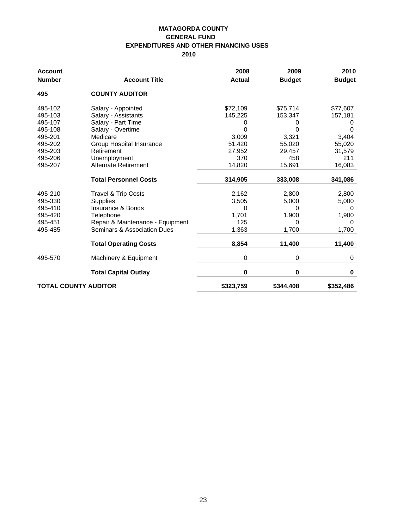| <b>Account</b><br><b>Number</b> | <b>Account Title</b>             | 2008<br><b>Actual</b> | 2009<br><b>Budget</b> | 2010<br><b>Budget</b> |
|---------------------------------|----------------------------------|-----------------------|-----------------------|-----------------------|
| 495                             | <b>COUNTY AUDITOR</b>            |                       |                       |                       |
| 495-102                         | Salary - Appointed               | \$72,109              | \$75,714              | \$77,607              |
| 495-103                         | Salary - Assistants              | 145,225               | 153,347               | 157,181               |
| 495-107                         | Salary - Part Time               | O                     | 0                     | O                     |
| 495-108                         | Salary - Overtime                | 0                     | 0                     | 0                     |
| 495-201                         | Medicare                         | 3,009                 | 3,321                 | 3,404                 |
| 495-202                         | Group Hospital Insurance         | 51,420                | 55,020                | 55,020                |
| 495-203                         | Retirement                       | 27,952                | 29,457                | 31,579                |
| 495-206                         | Unemployment                     | 370                   | 458                   | 211                   |
| 495-207                         | <b>Alternate Retirement</b>      | 14,820                | 15,691                | 16,083                |
|                                 | <b>Total Personnel Costs</b>     | 314,905               | 333,008               | 341,086               |
| 495-210                         | <b>Travel &amp; Trip Costs</b>   | 2,162                 | 2,800                 | 2,800                 |
| 495-330                         | <b>Supplies</b>                  | 3,505                 | 5,000                 | 5,000                 |
| 495-410                         | Insurance & Bonds                | 0                     | 0                     | 0                     |
| 495-420                         | Telephone                        | 1,701                 | 1,900                 | 1,900                 |
| 495-451                         | Repair & Maintenance - Equipment | 125                   | 0                     | 0                     |
| 495-485                         | Seminars & Association Dues      | 1,363                 | 1,700                 | 1,700                 |
|                                 | <b>Total Operating Costs</b>     | 8,854                 | 11,400                | 11,400                |
| 495-570                         | Machinery & Equipment            | 0                     | 0                     | 0                     |
|                                 | <b>Total Capital Outlay</b>      | 0                     | 0                     | $\mathbf 0$           |
| <b>TOTAL COUNTY AUDITOR</b>     |                                  | \$323,759             | \$344,408             | \$352,486             |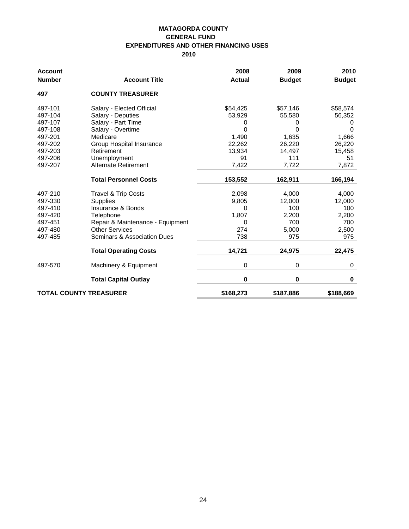| <b>Account</b>                |                                        | 2008          | 2009          | 2010          |
|-------------------------------|----------------------------------------|---------------|---------------|---------------|
| <b>Number</b>                 | <b>Account Title</b>                   | <b>Actual</b> | <b>Budget</b> | <b>Budget</b> |
| 497                           | <b>COUNTY TREASURER</b>                |               |               |               |
| 497-101                       | Salary - Elected Official              | \$54,425      | \$57,146      | \$58,574      |
| 497-104                       | Salary - Deputies                      | 53,929        | 55,580        | 56,352        |
| 497-107                       | Salary - Part Time                     | 0             | 0             | 0             |
| 497-108                       | Salary - Overtime                      | 0             | 0             | 0             |
| 497-201                       | Medicare                               | 1,490         | 1,635         | 1,666         |
| 497-202                       | Group Hospital Insurance               | 22,262        | 26,220        | 26,220        |
| 497-203                       | Retirement                             | 13,934        | 14,497        | 15,458        |
| 497-206                       | Unemployment                           | 91            | 111           | 51            |
| 497-207                       | Alternate Retirement                   | 7,422         | 7,722         | 7,872         |
|                               | <b>Total Personnel Costs</b>           | 153,552       | 162,911       | 166,194       |
| 497-210                       | <b>Travel &amp; Trip Costs</b>         | 2,098         | 4,000         | 4,000         |
| 497-330                       | <b>Supplies</b>                        | 9,805         | 12,000        | 12,000        |
| 497-410                       | Insurance & Bonds                      | 0             | 100           | 100           |
| 497-420                       | Telephone                              | 1,807         | 2,200         | 2,200         |
| 497-451                       | Repair & Maintenance - Equipment       | 0             | 700           | 700           |
| 497-480                       | <b>Other Services</b>                  | 274           | 5,000         | 2,500         |
| 497-485                       | <b>Seminars &amp; Association Dues</b> | 738           | 975           | 975           |
|                               | <b>Total Operating Costs</b>           | 14,721        | 24,975        | 22,475        |
|                               |                                        |               |               |               |
| 497-570                       | Machinery & Equipment                  | 0             | 0             | 0             |
|                               | <b>Total Capital Outlay</b>            | $\bf{0}$      | $\bf{0}$      | $\mathbf 0$   |
| <b>TOTAL COUNTY TREASURER</b> |                                        | \$168,273     | \$187,886     | \$188,669     |
|                               |                                        |               |               |               |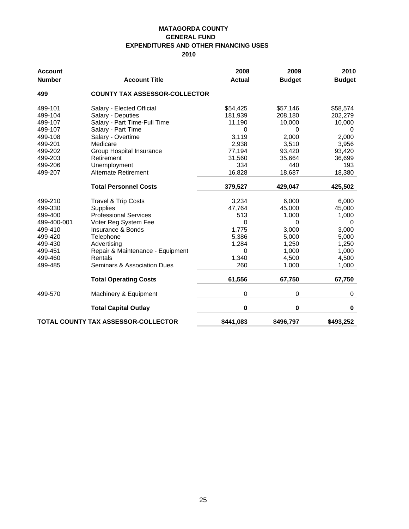| <b>Account</b><br><b>Number</b> | <b>Account Title</b>                   | 2008<br><b>Actual</b> | 2009<br><b>Budget</b> | 2010<br><b>Budget</b> |
|---------------------------------|----------------------------------------|-----------------------|-----------------------|-----------------------|
| 499                             | <b>COUNTY TAX ASSESSOR-COLLECTOR</b>   |                       |                       |                       |
| 499-101                         | Salary - Elected Official              | \$54,425              | \$57,146              | \$58,574              |
| 499-104                         | Salary - Deputies                      | 181,939               | 208,180               | 202,279               |
| 499-107                         | Salary - Part Time-Full Time           | 11,190                | 10,000                | 10,000                |
| 499-107                         | Salary - Part Time                     | 0                     | $\Omega$              | $\Omega$              |
| 499-108                         | Salary - Overtime                      | 3,119                 | 2.000                 | 2,000                 |
| 499-201                         | Medicare                               | 2,938                 | 3,510                 | 3,956                 |
| 499-202                         | Group Hospital Insurance               | 77,194                | 93,420                | 93,420                |
| 499-203                         | Retirement                             | 31,560                | 35,664                | 36,699                |
| 499-206                         | Unemployment                           | 334                   | 440                   | 193                   |
| 499-207                         | <b>Alternate Retirement</b>            | 16,828                | 18,687                | 18,380                |
|                                 | <b>Total Personnel Costs</b>           | 379,527               | 429,047               | 425,502               |
| 499-210                         | <b>Travel &amp; Trip Costs</b>         | 3,234                 | 6,000                 | 6,000                 |
| 499-330                         | <b>Supplies</b>                        | 47,764                | 45,000                | 45,000                |
| 499-400                         | <b>Professional Services</b>           | 513                   | 1,000                 | 1,000                 |
| 499-400-001                     | Voter Reg System Fee                   | 0                     | $\Omega$              | $\Omega$              |
| 499-410                         | Insurance & Bonds                      | 1,775                 | 3,000                 | 3,000                 |
| 499-420                         | Telephone                              | 5,386                 | 5,000                 | 5,000                 |
| 499-430                         | Advertising                            | 1,284                 | 1,250                 | 1,250                 |
| 499-451                         | Repair & Maintenance - Equipment       | 0                     | 1,000                 | 1,000                 |
| 499-460                         | Rentals                                | 1,340                 | 4,500                 | 4,500                 |
| 499-485                         | <b>Seminars &amp; Association Dues</b> | 260                   | 1,000                 | 1,000                 |
|                                 | <b>Total Operating Costs</b>           | 61,556                | 67,750                | 67,750                |
| 499-570                         | Machinery & Equipment                  | 0                     | $\pmb{0}$             | 0                     |
|                                 | <b>Total Capital Outlay</b>            | $\bf{0}$              | $\bf{0}$              | $\mathbf 0$           |
|                                 | TOTAL COUNTY TAX ASSESSOR-COLLECTOR    | \$441,083             | \$496,797             | \$493,252             |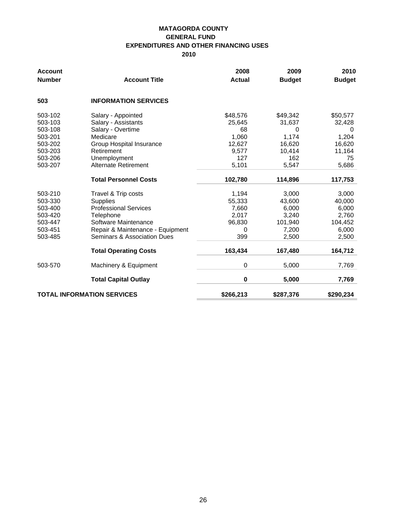| <b>Account</b><br><b>Number</b> | <b>Account Title</b>              | 2008<br><b>Actual</b> | 2009<br><b>Budget</b> | 2010<br><b>Budget</b> |
|---------------------------------|-----------------------------------|-----------------------|-----------------------|-----------------------|
| 503                             | <b>INFORMATION SERVICES</b>       |                       |                       |                       |
| 503-102                         | Salary - Appointed                | \$48,576              | \$49,342              | \$50,577              |
| 503-103                         | Salary - Assistants               | 25,645                | 31,637                | 32,428                |
| 503-108                         | Salary - Overtime                 | 68                    | 0                     | $\Omega$              |
| 503-201                         | Medicare                          | 1,060                 | 1,174                 | 1,204                 |
| 503-202                         | Group Hospital Insurance          | 12,627                | 16,620                | 16,620                |
| 503-203                         | Retirement                        | 9,577                 | 10,414                | 11,164                |
| 503-206                         | Unemployment                      | 127                   | 162                   | 75                    |
| 503-207                         | <b>Alternate Retirement</b>       | 5,101                 | 5,547                 | 5,686                 |
|                                 | <b>Total Personnel Costs</b>      | 102,780               | 114,896               | 117,753               |
| 503-210                         | Travel & Trip costs               | 1,194                 | 3,000                 | 3,000                 |
| 503-330                         | <b>Supplies</b>                   | 55,333                | 43,600                | 40,000                |
| 503-400                         | <b>Professional Services</b>      | 7,660                 | 6,000                 | 6,000                 |
| 503-420                         | Telephone                         | 2,017                 | 3,240                 | 2,760                 |
| 503-447                         | Software Maintenance              | 96,830                | 101,940               | 104,452               |
| 503-451                         | Repair & Maintenance - Equipment  | $\Omega$              | 7,200                 | 6,000                 |
| 503-485                         | Seminars & Association Dues       | 399                   | 2,500                 | 2,500                 |
|                                 | <b>Total Operating Costs</b>      | 163,434               | 167,480               | 164,712               |
| 503-570                         | Machinery & Equipment             | $\Omega$              | 5,000                 | 7,769                 |
|                                 | <b>Total Capital Outlay</b>       | 0                     | 5,000                 | 7,769                 |
|                                 | <b>TOTAL INFORMATION SERVICES</b> | \$266,213             | \$287,376             | \$290,234             |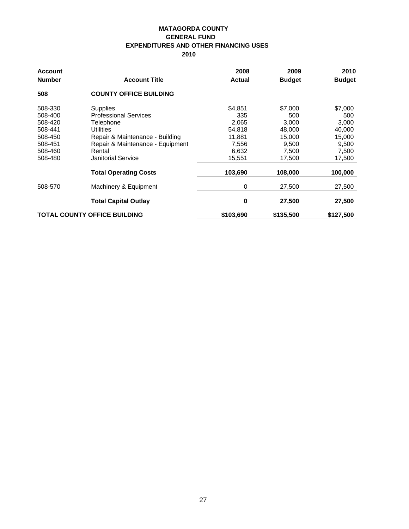| <b>Account</b><br><b>Number</b> | <b>Account Title</b>                | 2008<br><b>Actual</b> | 2009<br><b>Budget</b> | 2010<br><b>Budget</b> |
|---------------------------------|-------------------------------------|-----------------------|-----------------------|-----------------------|
| 508                             | <b>COUNTY OFFICE BUILDING</b>       |                       |                       |                       |
| 508-330                         | <b>Supplies</b>                     | \$4,851               | \$7,000               | \$7,000               |
| 508-400                         | <b>Professional Services</b>        | 335                   | 500                   | 500                   |
| 508-420                         | Telephone                           | 2,065                 | 3,000                 | 3,000                 |
| 508-441                         | <b>Utilities</b>                    | 54,818                | 48,000                | 40,000                |
| 508-450                         | Repair & Maintenance - Building     | 11,881                | 15,000                | 15,000                |
| 508-451                         | Repair & Maintenance - Equipment    | 7,556                 | 9,500                 | 9,500                 |
| 508-460                         | Rental                              | 6,632                 | 7,500                 | 7,500                 |
| 508-480                         | <b>Janitorial Service</b>           | 15,551                | 17,500                | 17,500                |
|                                 | <b>Total Operating Costs</b>        | 103.690               | 108,000               | 100,000               |
| 508-570                         | Machinery & Equipment               | 0                     | 27,500                | 27,500                |
|                                 | <b>Total Capital Outlay</b>         | 0                     | 27,500                | 27,500                |
|                                 | <b>TOTAL COUNTY OFFICE BUILDING</b> | \$103,690             | \$135,500             | \$127,500             |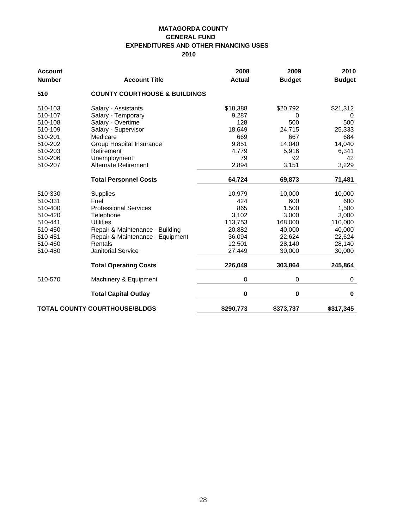| <b>Account</b><br><b>Number</b> | <b>Account Title</b>                     | 2008<br><b>Actual</b> | 2009<br><b>Budget</b> | 2010<br><b>Budget</b> |
|---------------------------------|------------------------------------------|-----------------------|-----------------------|-----------------------|
| 510                             | <b>COUNTY COURTHOUSE &amp; BUILDINGS</b> |                       |                       |                       |
| 510-103                         | Salary - Assistants                      | \$18,388              | \$20,792              | \$21,312              |
| 510-107                         | Salary - Temporary                       | 9,287                 | $\Omega$              | $\Omega$              |
| 510-108                         | Salary - Overtime                        | 128                   | 500                   | 500                   |
| 510-109                         | Salary - Supervisor                      | 18,649                | 24,715                | 25,333                |
| 510-201                         | Medicare                                 | 669                   | 667                   | 684                   |
| 510-202                         | Group Hospital Insurance                 | 9,851                 | 14,040                | 14,040                |
| 510-203                         | Retirement                               | 4,779                 | 5,916                 | 6,341                 |
| 510-206                         | Unemployment                             | 79                    | 92                    | 42                    |
| 510-207                         | <b>Alternate Retirement</b>              | 2,894                 | 3,151                 | 3,229                 |
|                                 | <b>Total Personnel Costs</b>             | 64,724                | 69,873                | 71,481                |
| 510-330                         | <b>Supplies</b>                          | 10,979                | 10,000                | 10,000                |
| 510-331                         | Fuel                                     | 424                   | 600                   | 600                   |
| 510-400                         | <b>Professional Services</b>             | 865                   | 1,500                 | 1,500                 |
| 510-420                         | Telephone                                | 3,102                 | 3,000                 | 3,000                 |
| 510-441                         | <b>Utilities</b>                         | 113,753               | 168,000               | 110,000               |
| 510-450                         | Repair & Maintenance - Building          | 20,882                | 40,000                | 40,000                |
| 510-451                         | Repair & Maintenance - Equipment         | 36,094                | 22,624                | 22,624                |
| 510-460                         | Rentals                                  | 12,501                | 28,140                | 28,140                |
| 510-480                         | <b>Janitorial Service</b>                | 27,449                | 30,000                | 30,000                |
|                                 | <b>Total Operating Costs</b>             | 226,049               | 303,864               | 245,864               |
| 510-570                         | Machinery & Equipment                    | 0                     | 0                     | $\mathbf 0$           |
|                                 | <b>Total Capital Outlay</b>              | 0                     | $\mathbf 0$           | $\bf{0}$              |
|                                 | <b>TOTAL COUNTY COURTHOUSE/BLDGS</b>     | \$290,773             | \$373,737             | \$317,345             |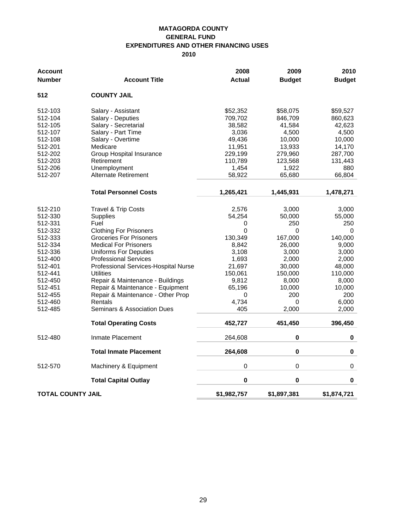| <b>Account</b><br><b>Number</b> | <b>Account Title</b>                   | 2008<br><b>Actual</b> | 2009<br><b>Budget</b> | 2010<br><b>Budget</b> |
|---------------------------------|----------------------------------------|-----------------------|-----------------------|-----------------------|
| 512                             | <b>COUNTY JAIL</b>                     |                       |                       |                       |
| 512-103                         | Salary - Assistant                     | \$52,352              | \$58,075              | \$59,527              |
| 512-104                         | Salary - Deputies                      | 709,702               | 846,709               | 860,623               |
| 512-105                         | Salary - Secretarial                   | 38,582                | 41,584                | 42,623                |
| 512-107                         | Salary - Part Time                     | 3,036                 | 4,500                 | 4,500                 |
| 512-108                         | Salary - Overtime                      | 49,436                | 10,000                | 10,000                |
| 512-201                         | Medicare                               | 11,951                | 13,933                | 14,170                |
| 512-202                         | <b>Group Hospital Insurance</b>        | 229,199               | 279,960               | 287,700               |
| 512-203                         | Retirement                             | 110,789               | 123,568               | 131,443               |
| 512-206                         | Unemployment                           | 1,454                 | 1,922                 | 880                   |
| 512-207                         | <b>Alternate Retirement</b>            | 58,922                | 65,680                | 66,804                |
|                                 | <b>Total Personnel Costs</b>           | 1,265,421             | 1,445,931             | 1,478,271             |
|                                 |                                        |                       |                       |                       |
| 512-210                         | Travel & Trip Costs                    | 2,576                 | 3,000                 | 3,000                 |
| 512-330                         | Supplies                               | 54,254                | 50,000                | 55,000                |
| 512-331                         | Fuel                                   | 0                     | 250                   | 250                   |
| 512-332                         | <b>Clothing For Prisoners</b>          | $\Omega$              | 0                     | $\Omega$              |
| 512-333                         | <b>Groceries For Prisoners</b>         | 130,349               | 167,000               | 140,000               |
| 512-334                         | <b>Medical For Prisoners</b>           | 8,842                 | 26,000                | 9,000                 |
| 512-336                         | <b>Uniforms For Deputies</b>           | 3,108                 | 3,000                 | 3,000                 |
| 512-400                         | <b>Professional Services</b>           | 1,693                 | 2,000                 | 2,000                 |
| 512-401                         | Professional Services-Hospital Nurse   | 21,697                | 30,000                | 48,000                |
| 512-441                         | <b>Utilities</b>                       | 150,061               | 150,000               | 110,000               |
| 512-450                         | Repair & Maintenance - Buildings       | 9,812                 | 8,000                 | 8,000                 |
| 512-451                         | Repair & Maintenance - Equipment       | 65,196                | 10,000                | 10,000                |
| 512-455                         | Repair & Maintenance - Other Prop      | 0                     | 200                   | 200                   |
| 512-460                         | Rentals                                | 4,734                 | 0                     | 6,000                 |
| 512-485                         | <b>Seminars &amp; Association Dues</b> | 405                   | 2,000                 | 2,000                 |
|                                 | <b>Total Operating Costs</b>           | 452,727               | 451,450               | 396,450               |
| 512-480                         | Inmate Placement                       | 264,608               | 0                     | 0                     |
|                                 | <b>Total Inmate Placement</b>          | 264,608               | $\mathbf 0$           | 0                     |
| 512-570                         | Machinery & Equipment                  | 0                     | $\mathbf 0$           | 0                     |
|                                 | <b>Total Capital Outlay</b>            | $\mathbf 0$           | $\bf{0}$              | 0                     |
| <b>TOTAL COUNTY JAIL</b>        |                                        | \$1,982,757           | \$1,897,381           | \$1,874,721           |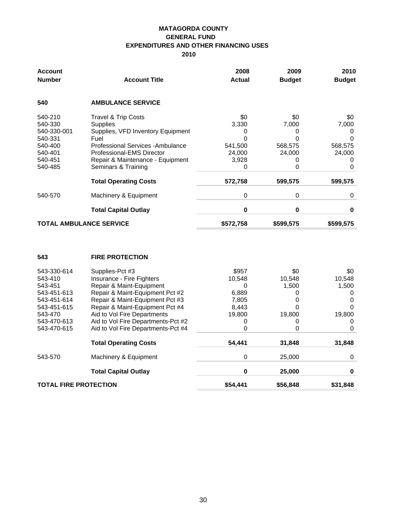| <b>Account</b><br><b>Number</b>                                                          | <b>Account Title</b>                                                                                                                                                                                                        | 2008<br><b>Actual</b>                           | 2009<br><b>Budget</b>             | 2010<br><b>Budget</b>                            |
|------------------------------------------------------------------------------------------|-----------------------------------------------------------------------------------------------------------------------------------------------------------------------------------------------------------------------------|-------------------------------------------------|-----------------------------------|--------------------------------------------------|
| 540                                                                                      | <b>AMBULANCE SERVICE</b>                                                                                                                                                                                                    |                                                 |                                   |                                                  |
| 540-210<br>540-330<br>540-330-001<br>540-331<br>540-400<br>540-401<br>540-451<br>540-485 | <b>Travel &amp; Trip Costs</b><br><b>Supplies</b><br>Supplies, VFD Inventory Equipment<br>Fuel<br>Professional Services - Ambulance<br>Professional-EMS Director<br>Repair & Maintenance - Equipment<br>Seminars & Training | \$0<br>3,330<br>541,500<br>24,000<br>3,928<br>0 | \$0<br>7,000<br>568,575<br>24,000 | \$0<br>7,000<br>0<br>O<br>568,575<br>24,000<br>0 |
|                                                                                          | <b>Total Operating Costs</b>                                                                                                                                                                                                | 572,758                                         | 599,575                           | 599,575                                          |
| 540-570                                                                                  | Machinery & Equipment                                                                                                                                                                                                       | $\Omega$                                        | $\Omega$                          | $\Omega$                                         |
|                                                                                          | <b>Total Capital Outlay</b>                                                                                                                                                                                                 | 0                                               | $\bf{0}$                          | 0                                                |
|                                                                                          | <b>TOTAL AMBULANCE SERVICE</b>                                                                                                                                                                                              | \$572,758                                       | \$599,575                         | \$599,575                                        |

#### **543 FIRE PROTECTION**

| 543-330-614                  | Supplies-Pct #3                    | \$957    | \$0      | \$0      |
|------------------------------|------------------------------------|----------|----------|----------|
| 543-410                      | Insurance - Fire Fighters          | 10.548   | 10.548   | 10,548   |
| 543-451                      | Repair & Maint-Equipment           | $\Omega$ | 1.500    | 1,500    |
| 543-451-613                  | Repair & Maint-Equipment Pct #2    | 6,889    |          | O        |
| 543-451-614                  | Repair & Maint-Equipment Pct #3    | 7,805    |          | 0        |
| 543-451-615                  | Repair & Maint-Equipment Pct #4    | 8,443    |          | 0        |
| 543-470                      | Aid to Vol Fire Departments        | 19.800   | 19,800   | 19,800   |
| 543-470-613                  | Aid to Vol Fire Departments-Pct #2 |          |          | 0        |
| 543-470-615                  | Aid to Vol Fire Departments-Pct #4 | 0        |          | 0        |
|                              | <b>Total Operating Costs</b>       | 54.441   | 31,848   | 31,848   |
| 543-570                      | Machinery & Equipment              | $\Omega$ | 25,000   | 0        |
|                              |                                    |          |          |          |
|                              | <b>Total Capital Outlay</b>        | 0        | 25,000   | 0        |
| <b>TOTAL FIRE PROTECTION</b> |                                    | \$54,441 | \$56,848 | \$31,848 |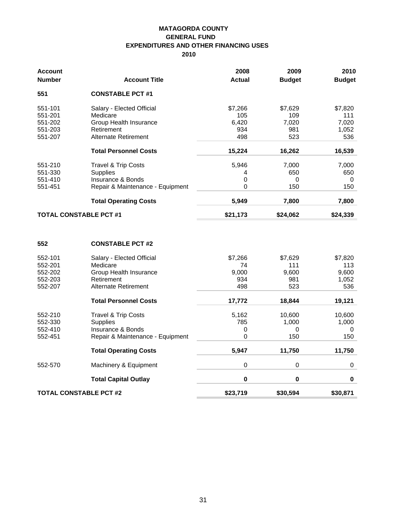| Account<br><b>Number</b>      | <b>Account Title</b>             | 2008<br><b>Actual</b> | 2009<br><b>Budget</b> | 2010<br><b>Budget</b> |
|-------------------------------|----------------------------------|-----------------------|-----------------------|-----------------------|
| 551                           | <b>CONSTABLE PCT#1</b>           |                       |                       |                       |
| 551-101                       | Salary - Elected Official        | \$7,266               | \$7,629               | \$7,820               |
| 551-201                       | Medicare                         | 105                   | 109                   | 111                   |
| 551-202                       | Group Health Insurance           | 6,420                 | 7,020                 | 7,020                 |
| 551-203                       | Retirement                       | 934                   | 981                   | 1,052                 |
| 551-207                       | Alternate Retirement             | 498                   | 523                   | 536                   |
|                               | <b>Total Personnel Costs</b>     | 15,224                | 16,262                | 16,539                |
| 551-210                       | <b>Travel &amp; Trip Costs</b>   | 5,946                 | 7,000                 | 7,000                 |
| 551-330                       | Supplies                         | 4                     | 650                   | 650                   |
| 551-410                       | Insurance & Bonds                | 0                     | 0                     | 0                     |
| 551-451                       | Repair & Maintenance - Equipment | $\Omega$              | 150                   | 150                   |
|                               | <b>Total Operating Costs</b>     | 5,949                 | 7,800                 | 7,800                 |
| <b>TOTAL CONSTABLE PCT #1</b> |                                  | \$21,173              | \$24,062              | \$24,339              |
| 552                           | <b>CONSTABLE PCT #2</b>          |                       |                       |                       |
| 552-101                       | Salary - Elected Official        | \$7,266               | \$7,629               | \$7,820               |
| 552-201                       | Medicare                         | 74                    | 111                   | 113                   |
| 552-202                       | Group Health Insurance           | 9,000                 | 9,600                 | 9,600                 |
| 552-203                       | Retirement                       | 934                   | 981                   | 1,052                 |
| 552-207                       | Alternate Retirement             | 498                   | 523                   | 536                   |
|                               | <b>Total Personnel Costs</b>     | 17,772                | 18,844                | 19,121                |
| 552-210                       | <b>Travel &amp; Trip Costs</b>   | 5,162                 | 10,600                | 10,600                |
| 552-330                       | Supplies                         | 785                   | 1,000                 | 1,000                 |
| 552-410                       | Insurance & Bonds                | 0                     | 0                     | 0                     |
| 552-451                       | Repair & Maintenance - Equipment | 0                     | 150                   | 150                   |
|                               | <b>Total Operating Costs</b>     | 5,947                 | 11,750                | 11,750                |
| 552-570                       | Machinery & Equipment            | $\pmb{0}$             | 0                     | 0                     |
|                               | <b>Total Capital Outlay</b>      | 0                     | 0                     | 0                     |
|                               | <b>TOTAL CONSTABLE PCT #2</b>    | \$23,719              | \$30,594              | \$30,871              |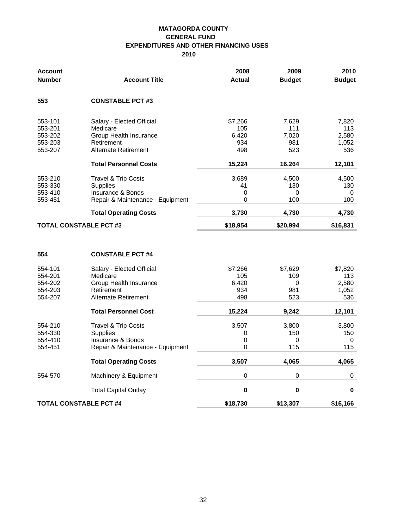| <b>Account</b><br><b>Number</b>          | <b>Account Title</b>                                                                                       | 2008<br>Actual          | 2009<br><b>Budget</b>    | 2010<br><b>Budget</b>    |
|------------------------------------------|------------------------------------------------------------------------------------------------------------|-------------------------|--------------------------|--------------------------|
| 553                                      | <b>CONSTABLE PCT #3</b>                                                                                    |                         |                          |                          |
| 553-101<br>553-201<br>553-202            | Salary - Elected Official<br>Medicare<br>Group Health Insurance                                            | \$7,266<br>105<br>6,420 | 7,629<br>111<br>7,020    | 7,820<br>113<br>2,580    |
| 553-203<br>553-207                       | Retirement<br>Alternate Retirement                                                                         | 934<br>498              | 981<br>523               | 1,052<br>536             |
|                                          | <b>Total Personnel Costs</b>                                                                               | 15,224                  | 16,264                   | 12,101                   |
| 553-210<br>553-330<br>553-410<br>553-451 | Travel & Trip Costs<br>Supplies<br>Insurance & Bonds<br>Repair & Maintenance - Equipment                   | 3,689<br>41<br>0<br>0   | 4,500<br>130<br>0<br>100 | 4,500<br>130<br>0<br>100 |
|                                          | <b>Total Operating Costs</b>                                                                               | 3,730                   | 4,730                    | 4,730                    |
| <b>TOTAL CONSTABLE PCT #3</b>            |                                                                                                            | \$18,954                | \$20,994                 | \$16,831                 |
| 554                                      | <b>CONSTABLE PCT #4</b>                                                                                    |                         |                          |                          |
| 554-101<br>554-201<br>554-202            | Salary - Elected Official<br>Medicare<br>Group Health Insurance                                            | \$7,266<br>105<br>6,420 | \$7,629<br>109<br>0      | \$7,820<br>113<br>2,580  |
| 554-203<br>554-207                       | Retirement<br><b>Alternate Retirement</b>                                                                  | 934<br>498              | 981<br>523               | 1,052<br>536             |
|                                          | <b>Total Personnel Cost</b>                                                                                | 15,224                  | 9,242                    | 12,101                   |
| 554-210<br>554-330<br>554-410<br>554-451 | <b>Travel &amp; Trip Costs</b><br><b>Supplies</b><br>Insurance & Bonds<br>Repair & Maintenance - Equipment | 3,507<br>0<br>0<br>0    | 3,800<br>150<br>0<br>115 | 3,800<br>150<br>0<br>115 |
|                                          | <b>Total Operating Costs</b>                                                                               | 3,507                   | 4,065                    | 4,065                    |
| 554-570                                  | Machinery & Equipment                                                                                      | $\boldsymbol{0}$        | $\pmb{0}$                | 0                        |
|                                          | <b>Total Capital Outlay</b>                                                                                | 0                       | 0                        | 0                        |
|                                          | <b>TOTAL CONSTABLE PCT #4</b>                                                                              | \$18,730                | \$13,307                 | \$16,166                 |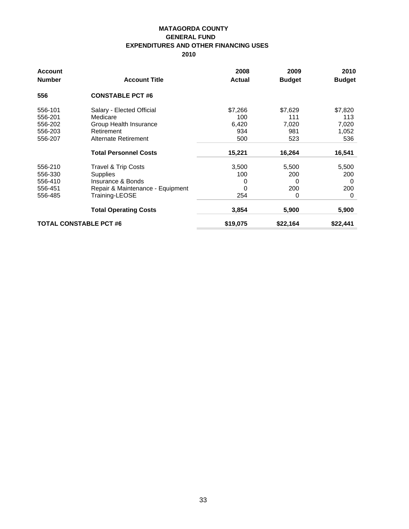| <b>Account</b><br><b>Number</b> | <b>Account Title</b>             | 2008<br><b>Actual</b> | 2009<br><b>Budget</b> | 2010<br><b>Budget</b> |
|---------------------------------|----------------------------------|-----------------------|-----------------------|-----------------------|
|                                 |                                  |                       |                       |                       |
| 556                             | <b>CONSTABLE PCT #6</b>          |                       |                       |                       |
| 556-101                         | Salary - Elected Official        | \$7,266               | \$7,629               | \$7,820               |
| 556-201                         | Medicare                         | 100                   | 111                   | 113                   |
| 556-202                         | Group Health Insurance           | 6,420                 | 7,020                 | 7,020                 |
| 556-203                         | Retirement                       | 934                   | 981                   | 1,052                 |
| 556-207                         | Alternate Retirement             | 500                   | 523                   | 536                   |
|                                 | <b>Total Personnel Costs</b>     | 15,221                | 16,264                | 16,541                |
| 556-210                         | Travel & Trip Costs              | 3,500                 | 5,500                 | 5,500                 |
| 556-330                         | <b>Supplies</b>                  | 100                   | 200                   | 200                   |
| 556-410                         | Insurance & Bonds                | 0                     | 0                     | 0                     |
| 556-451                         | Repair & Maintenance - Equipment | 0                     | 200                   | 200                   |
| 556-485                         | Training-LEOSE                   | 254                   | 0                     | 0                     |
|                                 | <b>Total Operating Costs</b>     | 3,854                 | 5,900                 | 5,900                 |
|                                 | <b>TOTAL CONSTABLE PCT #6</b>    | \$19,075              | \$22,164              | \$22,441              |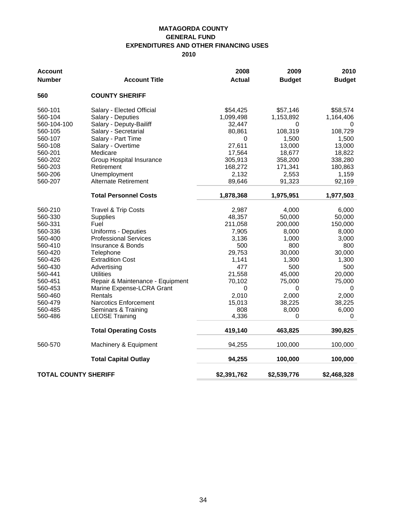| <b>Account</b>              |                                  | 2008          | 2009          | 2010          |
|-----------------------------|----------------------------------|---------------|---------------|---------------|
| <b>Number</b>               | <b>Account Title</b>             | <b>Actual</b> | <b>Budget</b> | <b>Budget</b> |
| 560                         | <b>COUNTY SHERIFF</b>            |               |               |               |
| 560-101                     | Salary - Elected Official        | \$54,425      | \$57,146      | \$58,574      |
| 560-104                     | Salary - Deputies                | 1,099,498     | 1,153,892     | 1,164,406     |
| 560-104-100                 | Salary - Deputy-Bailiff          | 32,447        | 0             | 0             |
| 560-105                     | Salary - Secretarial             | 80,861        | 108,319       | 108,729       |
| 560-107                     | Salary - Part Time               | 0             | 1,500         | 1,500         |
| 560-108                     | Salary - Overtime                | 27,611        | 13,000        | 13,000        |
| 560-201                     | Medicare                         | 17,564        | 18,677        | 18,822        |
| 560-202                     | Group Hospital Insurance         | 305,913       | 358,200       | 338,280       |
| 560-203                     | Retirement                       | 168,272       | 171,341       | 180,863       |
| 560-206                     | Unemployment                     | 2,132         | 2,553         | 1,159         |
| 560-207                     | <b>Alternate Retirement</b>      | 89,646        | 91,323        | 92,169        |
|                             | <b>Total Personnel Costs</b>     | 1,878,368     | 1,975,951     | 1,977,503     |
| 560-210                     | <b>Travel &amp; Trip Costs</b>   | 2,987         | 4,000         | 6,000         |
| 560-330                     | <b>Supplies</b>                  | 48,357        | 50,000        | 50,000        |
| 560-331                     | Fuel                             | 211,058       | 200,000       | 150,000       |
| 560-336                     | Uniforms - Deputies              | 7,905         | 8,000         | 8,000         |
| 560-400                     | <b>Professional Services</b>     | 3,136         | 1,000         | 3,000         |
| 560-410                     | Insurance & Bonds                | 500           | 800           | 800           |
| 560-420                     | Telephone                        | 29,753        | 30,000        | 30,000        |
| 560-426                     | <b>Extradition Cost</b>          | 1,141         | 1,300         | 1,300         |
| 560-430                     | Advertising                      | 477           | 500           | 500           |
| 560-441                     | <b>Utilities</b>                 | 21,558        | 45,000        | 20,000        |
| 560-451                     | Repair & Maintenance - Equipment | 70,102        | 75,000        | 75,000        |
| 560-453                     | Marine Expense-LCRA Grant        | 0             | 0             | 0             |
| 560-460                     | Rentals                          | 2,010         | 2,000         | 2,000         |
| 560-479                     | <b>Narcotics Enforcement</b>     | 15,013        | 38,225        | 38,225        |
| 560-485                     | Seminars & Training              | 808           | 8,000         | 6,000         |
| 560-486                     | <b>LEOSE Training</b>            | 4,336         | 0             | 0             |
|                             | <b>Total Operating Costs</b>     | 419,140       | 463,825       | 390,825       |
| 560-570                     | Machinery & Equipment            | 94,255        | 100,000       | 100,000       |
|                             | <b>Total Capital Outlay</b>      | 94,255        | 100,000       | 100,000       |
|                             |                                  |               |               |               |
| <b>TOTAL COUNTY SHERIFF</b> |                                  | \$2,391,762   | \$2,539,776   | \$2,468,328   |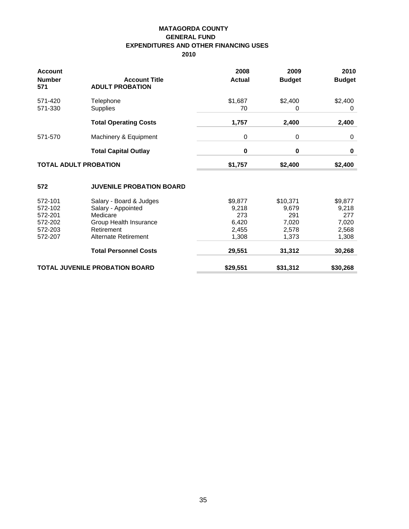| <b>Account</b>                                                 |                                                                                                                                                           | 2008                                                         | 2009                                                          | 2010                                                         |
|----------------------------------------------------------------|-----------------------------------------------------------------------------------------------------------------------------------------------------------|--------------------------------------------------------------|---------------------------------------------------------------|--------------------------------------------------------------|
| <b>Number</b><br>571                                           | <b>Account Title</b><br><b>ADULT PROBATION</b>                                                                                                            | <b>Actual</b>                                                | <b>Budget</b>                                                 | <b>Budget</b>                                                |
| 571-420<br>571-330                                             | Telephone<br><b>Supplies</b>                                                                                                                              | \$1,687<br>70                                                | \$2,400<br>0                                                  | \$2,400<br>$\Omega$                                          |
|                                                                | <b>Total Operating Costs</b>                                                                                                                              | 1,757                                                        | 2,400                                                         | 2,400                                                        |
| 571-570                                                        | Machinery & Equipment                                                                                                                                     | 0                                                            | 0                                                             | 0                                                            |
|                                                                | <b>Total Capital Outlay</b>                                                                                                                               | 0                                                            | $\mathbf 0$                                                   | $\mathbf 0$                                                  |
|                                                                | <b>TOTAL ADULT PROBATION</b>                                                                                                                              | \$1,757                                                      | \$2,400                                                       | \$2,400                                                      |
| 572                                                            | <b>JUVENILE PROBATION BOARD</b>                                                                                                                           |                                                              |                                                               |                                                              |
| 572-101<br>572-102<br>572-201<br>572-202<br>572-203<br>572-207 | Salary - Board & Judges<br>Salary - Appointed<br>Medicare<br>Group Health Insurance<br>Retirement<br>Alternate Retirement<br><b>Total Personnel Costs</b> | \$9,877<br>9,218<br>273<br>6,420<br>2,455<br>1,308<br>29,551 | \$10,371<br>9,679<br>291<br>7,020<br>2,578<br>1,373<br>31,312 | \$9,877<br>9,218<br>277<br>7,020<br>2,568<br>1,308<br>30,268 |
|                                                                | <b>TOTAL JUVENILE PROBATION BOARD</b>                                                                                                                     | \$29,551                                                     | \$31,312                                                      | \$30,268                                                     |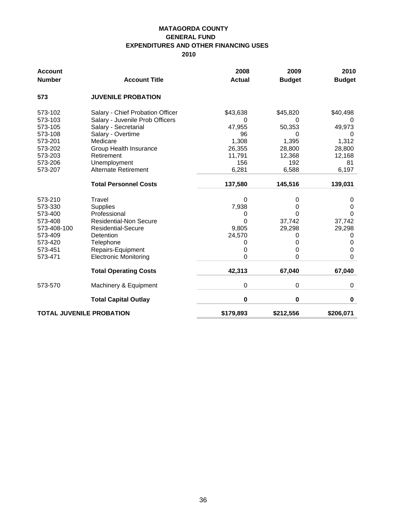| <b>Account</b><br><b>Number</b> | <b>Account Title</b>             | 2008<br><b>Actual</b> | 2009<br><b>Budget</b> | 2010<br><b>Budget</b> |
|---------------------------------|----------------------------------|-----------------------|-----------------------|-----------------------|
| 573                             | <b>JUVENILE PROBATION</b>        |                       |                       |                       |
| 573-102                         | Salary - Chief Probation Officer | \$43,638              | \$45,820              | \$40,498              |
| 573-103                         | Salary - Juvenile Prob Officers  | 0                     | 0                     | 0                     |
| 573-105                         | Salary - Secretarial             | 47,955                | 50,353                | 49,973                |
| 573-108                         | Salary - Overtime                | 96                    | 0                     | $\Omega$              |
| 573-201                         | Medicare                         | 1,308                 | 1,395                 | 1,312                 |
| 573-202                         | Group Health Insurance           | 26,355                | 28,800                | 28,800                |
| 573-203                         | Retirement                       | 11,791                | 12,368                | 12,168                |
| 573-206                         | Unemployment                     | 156                   | 192                   | 81                    |
| 573-207                         | <b>Alternate Retirement</b>      | 6,281                 | 6,588                 | 6,197                 |
|                                 | <b>Total Personnel Costs</b>     | 137,580               | 145,516               | 139,031               |
| 573-210                         | Travel                           | 0                     | 0                     | 0                     |
| 573-330                         | <b>Supplies</b>                  | 7,938                 | 0                     | 0                     |
| 573-400                         | Professional                     | 0                     | 0                     | $\Omega$              |
| 573-408                         | <b>Residential-Non Secure</b>    | 0                     | 37,742                | 37,742                |
| 573-408-100                     | <b>Residential-Secure</b>        | 9.805                 | 29,298                | 29,298                |
| 573-409                         | Detention                        | 24,570                | 0                     | 0                     |
| 573-420                         | Telephone                        | 0                     | 0                     | 0                     |
| 573-451                         | Repairs-Equipment                | 0                     | 0                     | 0                     |
| 573-471                         | <b>Electronic Monitoring</b>     | 0                     | $\Omega$              | $\Omega$              |
|                                 | <b>Total Operating Costs</b>     | 42,313                | 67,040                | 67,040                |
| 573-570                         | Machinery & Equipment            | $\mathbf 0$           | 0                     | 0                     |
|                                 | <b>Total Capital Outlay</b>      | 0                     | $\mathbf 0$           | $\mathbf 0$           |
|                                 | <b>TOTAL JUVENILE PROBATION</b>  | \$179,893             | \$212,556             | \$206,071             |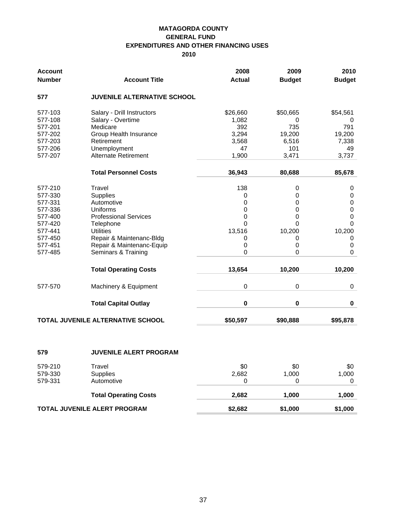| <b>Account</b><br><b>Number</b> | <b>Account Title</b>                     | 2008<br><b>Actual</b> | 2009<br><b>Budget</b> | 2010<br><b>Budget</b> |
|---------------------------------|------------------------------------------|-----------------------|-----------------------|-----------------------|
| 577                             | <b>JUVENILE ALTERNATIVE SCHOOL</b>       |                       |                       |                       |
| 577-103                         | Salary - Drill Instructors               | \$26,660              | \$50,665              | \$54,561              |
| 577-108                         | Salary - Overtime                        | 1,082                 | 0                     | 0                     |
| 577-201                         | Medicare                                 | 392                   | 735                   | 791                   |
| 577-202                         | Group Health Insurance                   | 3,294                 | 19,200                | 19,200                |
| 577-203                         | Retirement                               | 3,568                 | 6,516                 | 7,338                 |
| 577-206                         | Unemployment                             | 47                    | 101                   | 49                    |
| 577-207                         | <b>Alternate Retirement</b>              | 1,900                 | 3,471                 | 3,737                 |
|                                 | <b>Total Personnel Costs</b>             | 36,943                | 80,688                | 85,678                |
| 577-210                         | Travel                                   | 138                   | 0                     | 0                     |
| 577-330                         | <b>Supplies</b>                          | 0                     | $\mathbf 0$           | 0                     |
| 577-331                         | Automotive                               | 0                     | 0                     | 0                     |
| 577-336                         | Uniforms                                 | $\mathbf 0$           | 0                     | $\pmb{0}$             |
| 577-400                         | <b>Professional Services</b>             | 0                     | 0                     | $\pmb{0}$             |
| 577-420                         | Telephone                                | $\mathbf 0$           | 0                     | $\mathbf 0$           |
| 577-441                         | <b>Utilities</b>                         | 13,516                | 10,200                | 10,200                |
| 577-450                         | Repair & Maintenanc-Bldg                 | $\mathbf 0$           | 0                     | 0                     |
| 577-451                         | Repair & Maintenanc-Equip                | 0                     | 0                     | 0                     |
| 577-485                         | Seminars & Training                      | $\Omega$              | 0                     | $\mathbf 0$           |
|                                 | <b>Total Operating Costs</b>             | 13,654                | 10,200                | 10,200                |
| 577-570                         | Machinery & Equipment                    | $\mathbf 0$           | 0                     | 0                     |
|                                 |                                          |                       |                       |                       |
|                                 | <b>Total Capital Outlay</b>              | $\bf{0}$              | $\bf{0}$              | $\mathbf 0$           |
|                                 | <b>TOTAL JUVENILE ALTERNATIVE SCHOOL</b> | \$50,597              | \$90,888              | \$95,878              |

|         | <b>TOTAL JUVENILE ALERT PROGRAM</b> | \$2,682 | \$1,000 | \$1,000 |
|---------|-------------------------------------|---------|---------|---------|
|         | <b>Total Operating Costs</b>        | 2,682   | 1,000   | 1,000   |
| 579-331 | Automotive                          |         | 0       |         |
| 579-330 | <b>Supplies</b>                     | 2,682   | 1,000   | 1,000   |
| 579-210 | Travel                              | \$0     | \$0     | \$0     |
| 579     | <b>JUVENILE ALERT PROGRAM</b>       |         |         |         |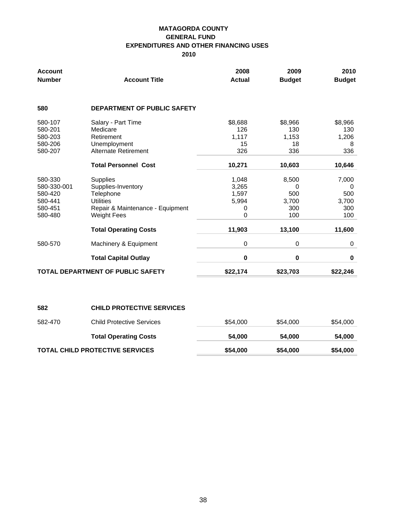| <b>Account</b><br><b>Number</b>                                    | <b>Account Title</b>                                                                                                             | 2008<br><b>Actual</b>                             | 2009<br><b>Budget</b>                           | 2010<br><b>Budget</b>                    |
|--------------------------------------------------------------------|----------------------------------------------------------------------------------------------------------------------------------|---------------------------------------------------|-------------------------------------------------|------------------------------------------|
| 580                                                                | DEPARTMENT OF PUBLIC SAFETY                                                                                                      |                                                   |                                                 |                                          |
| 580-107<br>580-201<br>580-203<br>580-206                           | Salary - Part Time<br>Medicare<br>Retirement<br>Unemployment                                                                     | \$8,688<br>126<br>1,117<br>15                     | \$8,966<br>130<br>1,153<br>18                   | \$8,966<br>130<br>1,206<br>8             |
| 580-207                                                            | <b>Alternate Retirement</b><br><b>Total Personnel Cost</b>                                                                       | 326<br>10,271                                     | 336<br>10,603                                   | 336<br>10,646                            |
| 580-330<br>580-330-001<br>580-420<br>580-441<br>580-451<br>580-480 | <b>Supplies</b><br>Supplies-Inventory<br>Telephone<br><b>Utilities</b><br>Repair & Maintenance - Equipment<br><b>Weight Fees</b> | 1,048<br>3,265<br>1,597<br>5,994<br>0<br>$\Omega$ | 8,500<br>$\Omega$<br>500<br>3,700<br>300<br>100 | 7,000<br>0<br>500<br>3,700<br>300<br>100 |
|                                                                    | <b>Total Operating Costs</b>                                                                                                     | 11,903                                            | 13,100                                          | 11,600                                   |
| 580-570                                                            | Machinery & Equipment                                                                                                            | $\mathbf 0$                                       | 0                                               | 0                                        |
|                                                                    | <b>Total Capital Outlay</b>                                                                                                      | $\bf{0}$                                          | $\bf{0}$                                        | 0                                        |
|                                                                    | <b>TOTAL DEPARTMENT OF PUBLIC SAFETY</b>                                                                                         | \$22,174                                          | \$23,703                                        | \$22,246                                 |
| 582                                                                | <b>CHILD PROTECTIVE SERVICES</b>                                                                                                 |                                                   |                                                 |                                          |

## 582-470 Child Protective Services \$54,000 \$54,000 \$54,000 \$54,000 **Total Operating Costs 54,000 54,000 54,000 TOTAL CHILD PROTECTIVE SERVICES \$54,000 \$54,000 \$54,000**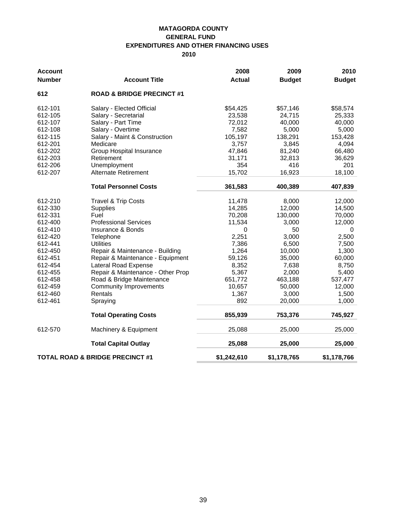| <b>Account</b> |                                            | 2008          | 2009          | 2010          |
|----------------|--------------------------------------------|---------------|---------------|---------------|
| <b>Number</b>  | <b>Account Title</b>                       | <b>Actual</b> | <b>Budget</b> | <b>Budget</b> |
| 612            | <b>ROAD &amp; BRIDGE PRECINCT #1</b>       |               |               |               |
| 612-101        | Salary - Elected Official                  | \$54,425      | \$57,146      | \$58,574      |
| 612-105        | Salary - Secretarial                       | 23,538        | 24,715        | 25,333        |
| 612-107        | Salary - Part Time                         | 72,012        | 40,000        | 40,000        |
| 612-108        | Salary - Overtime                          | 7,582         | 5,000         | 5,000         |
| 612-115        | Salary - Maint & Construction              | 105,197       | 138,291       | 153,428       |
| 612-201        | Medicare                                   | 3,757         | 3,845         | 4,094         |
| 612-202        | Group Hospital Insurance                   | 47,846        | 81,240        | 66,480        |
| 612-203        | Retirement                                 | 31,171        | 32,813        | 36,629        |
| 612-206        | Unemployment                               | 354           | 416           | 201           |
| 612-207        | <b>Alternate Retirement</b>                | 15,702        | 16,923        | 18,100        |
|                | <b>Total Personnel Costs</b>               | 361,583       | 400,389       | 407,839       |
| 612-210        | <b>Travel &amp; Trip Costs</b>             | 11,478        | 8,000         | 12,000        |
| 612-330        | Supplies                                   | 14,285        | 12,000        | 14,500        |
| 612-331        | Fuel                                       | 70,208        | 130,000       | 70,000        |
| 612-400        | <b>Professional Services</b>               | 11,534        | 3,000         | 12,000        |
| 612-410        | Insurance & Bonds                          | 0             | 50            | 0             |
| 612-420        | Telephone                                  | 2,251         | 3,000         | 2,500         |
| 612-441        | <b>Utilities</b>                           | 7,386         | 6,500         | 7,500         |
| 612-450        | Repair & Maintenance - Building            | 1,264         | 10,000        | 1,300         |
| 612-451        | Repair & Maintenance - Equipment           | 59,126        | 35,000        | 60,000        |
| 612-454        | <b>Lateral Road Expense</b>                | 8,352         | 7,638         | 8,750         |
| 612-455        | Repair & Maintenance - Other Prop          | 5,367         | 2,000         | 5,400         |
| 612-458        | Road & Bridge Maintenance                  | 651,772       | 463,188       | 537,477       |
| 612-459        | <b>Community Improvements</b>              | 10,657        | 50,000        | 12,000        |
| 612-460        | Rentals                                    | 1,367         | 3,000         | 1,500         |
| 612-461        | Spraying                                   | 892           | 20,000        | 1,000         |
|                | <b>Total Operating Costs</b>               | 855,939       | 753,376       | 745,927       |
| 612-570        | Machinery & Equipment                      | 25,088        | 25,000        | 25,000        |
|                |                                            |               |               |               |
|                | <b>Total Capital Outlay</b>                | 25,088        | 25,000        | 25,000        |
|                | <b>TOTAL ROAD &amp; BRIDGE PRECINCT #1</b> | \$1,242,610   | \$1,178,765   | \$1,178,766   |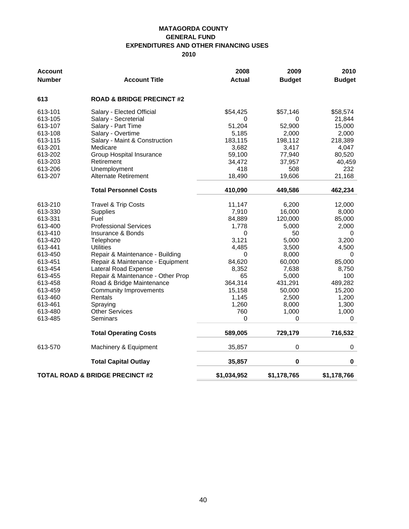| <b>Account</b><br><b>Number</b> | <b>Account Title</b>                       | 2008<br><b>Actual</b> | 2009<br><b>Budget</b> | 2010<br><b>Budget</b> |
|---------------------------------|--------------------------------------------|-----------------------|-----------------------|-----------------------|
| 613                             | <b>ROAD &amp; BRIDGE PRECINCT #2</b>       |                       |                       |                       |
| 613-101                         | Salary - Elected Official                  | \$54,425              | \$57,146              | \$58,574              |
| 613-105                         | Salary - Secreterial                       | 0                     | 0                     | 21,844                |
| 613-107                         | Salary - Part Time                         | 51,204                | 52,900                | 15,000                |
| 613-108                         | Salary - Overtime                          | 5,185                 | 2,000                 | 2,000                 |
| 613-115                         | Salary - Maint & Construction              | 183,115               | 198,112               | 218,389               |
| 613-201                         | Medicare                                   | 3,682                 | 3,417                 | 4,047                 |
| 613-202                         | Group Hospital Insurance                   | 59,100                | 77,940                | 80,520                |
| 613-203                         | Retirement                                 | 34,472                | 37,957                | 40,459                |
| 613-206                         | Unemployment                               | 418                   | 508                   | 232                   |
| 613-207                         | <b>Alternate Retirement</b>                | 18,490                | 19,606                | 21,168                |
|                                 | <b>Total Personnel Costs</b>               | 410,090               | 449,586               | 462,234               |
|                                 |                                            |                       |                       |                       |
| 613-210                         | <b>Travel &amp; Trip Costs</b>             | 11,147                | 6,200                 | 12,000                |
| 613-330                         | <b>Supplies</b>                            | 7,910                 | 16,000                | 8,000                 |
| 613-331                         | Fuel                                       | 84,889                | 120,000               | 85,000                |
| 613-400                         | <b>Professional Services</b>               | 1,778                 | 5,000                 | 2,000                 |
| 613-410                         | Insurance & Bonds                          | 0                     | 50                    | 0                     |
| 613-420                         | Telephone                                  | 3,121                 | 5,000                 | 3,200                 |
| 613-441                         | Utilities                                  | 4,485                 | 3,500                 | 4,500                 |
| 613-450                         | Repair & Maintenance - Building            | 0                     | 8,000                 | 0                     |
| 613-451                         | Repair & Maintenance - Equipment           | 84,620                | 60,000                | 85,000                |
| 613-454                         | <b>Lateral Road Expense</b>                | 8,352                 | 7,638                 | 8,750                 |
| 613-455                         | Repair & Maintenance - Other Prop          | 65                    | 5,000                 | 100                   |
| 613-458                         | Road & Bridge Maintenance                  | 364,314               | 431,291               | 489,282               |
| 613-459                         | <b>Community Improvements</b>              | 15,158                | 50,000                | 15,200                |
| 613-460                         | Rentals                                    | 1,145                 | 2,500                 | 1,200                 |
| 613-461                         | Spraying                                   | 1,260                 | 8,000                 | 1,300                 |
| 613-480                         | <b>Other Services</b>                      | 760                   | 1,000                 | 1,000                 |
| 613-485                         | Seminars                                   | 0                     | 0                     | $\Omega$              |
|                                 | <b>Total Operating Costs</b>               | 589,005               | 729,179               | 716,532               |
| 613-570                         | Machinery & Equipment                      | 35,857                | 0                     | 0                     |
|                                 | <b>Total Capital Outlay</b>                | 35,857                | $\mathbf 0$           | 0                     |
|                                 | <b>TOTAL ROAD &amp; BRIDGE PRECINCT #2</b> | \$1,034,952           | \$1,178,765           | \$1,178,766           |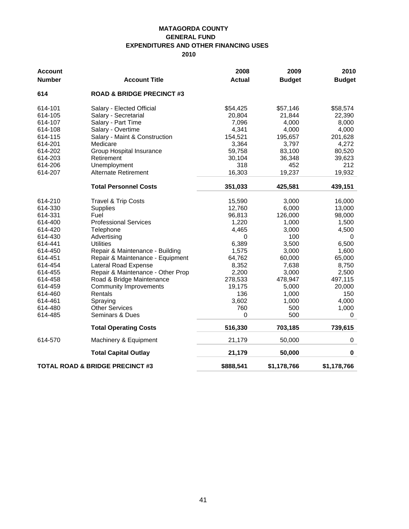| Account            |                                            | 2008          | 2009           | 2010          |
|--------------------|--------------------------------------------|---------------|----------------|---------------|
| <b>Number</b>      | <b>Account Title</b>                       | <b>Actual</b> | <b>Budget</b>  | <b>Budget</b> |
| 614                | <b>ROAD &amp; BRIDGE PRECINCT #3</b>       |               |                |               |
| 614-101            | Salary - Elected Official                  | \$54,425      | \$57,146       | \$58,574      |
| 614-105            | Salary - Secretarial                       | 20,804        | 21,844         | 22,390        |
| 614-107            | Salary - Part Time                         | 7,096         | 4,000          | 8,000         |
| 614-108            | Salary - Overtime                          | 4,341         | 4,000          | 4,000         |
| 614-115            | Salary - Maint & Construction              | 154,521       | 195,657        | 201,628       |
| 614-201            | Medicare                                   | 3,364         | 3,797          | 4,272         |
| 614-202            | Group Hospital Insurance                   | 59,758        | 83,100         | 80,520        |
| 614-203            | Retirement                                 | 30,104        | 36,348         | 39,623        |
| 614-206            | Unemployment                               | 318           | 452            | 212           |
| 614-207            | <b>Alternate Retirement</b>                | 16,303        | 19,237         | 19,932        |
|                    | <b>Total Personnel Costs</b>               | 351,033       | 425,581        | 439,151       |
| 614-210            | <b>Travel &amp; Trip Costs</b>             | 15,590        | 3,000          | 16,000        |
| 614-330            | <b>Supplies</b>                            | 12,760        | 6,000          | 13,000        |
| 614-331            | Fuel                                       | 96,813        | 126,000        | 98,000        |
| 614-400            | <b>Professional Services</b>               | 1,220         |                | 1,500         |
| 614-420            | Telephone                                  | 4,465         | 1,000<br>3,000 | 4,500         |
| 614-430            | Advertising                                | 0             | 100            | 0             |
| 614-441            | <b>Utilities</b>                           | 6,389         | 3,500          | 6,500         |
| 614-450            | Repair & Maintenance - Building            | 1,575         | 3,000          | 1,600         |
| 614-451            | Repair & Maintenance - Equipment           | 64,762        | 60,000         | 65,000        |
| 614-454            | <b>Lateral Road Expense</b>                | 8,352         | 7,638          | 8,750         |
| 614-455            |                                            |               |                | 2,500         |
|                    | Repair & Maintenance - Other Prop          | 2,200         | 3,000          |               |
| 614-458<br>614-459 | Road & Bridge Maintenance                  | 278,533       | 478,947        | 497,115       |
|                    | <b>Community Improvements</b>              | 19,175<br>136 | 5,000          | 20,000<br>150 |
| 614-460            | Rentals                                    |               | 1,000          |               |
| 614-461            | Spraying<br><b>Other Services</b>          | 3,602         | 1,000          | 4,000         |
| 614-480            |                                            | 760           | 500            | 1,000         |
| 614-485            | <b>Seminars &amp; Dues</b>                 | 0             | 500            | 0             |
|                    | <b>Total Operating Costs</b>               | 516,330       | 703,185        | 739,615       |
| 614-570            | Machinery & Equipment                      | 21,179        | 50,000         | 0             |
|                    | <b>Total Capital Outlay</b>                | 21,179        | 50,000         | 0             |
|                    | <b>TOTAL ROAD &amp; BRIDGE PRECINCT #3</b> | \$888,541     | \$1,178,766    | \$1,178,766   |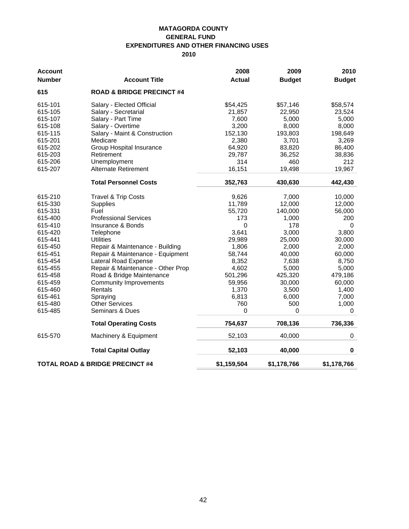| <b>Account</b> |                                            | 2008          | 2009          | 2010          |
|----------------|--------------------------------------------|---------------|---------------|---------------|
| <b>Number</b>  | <b>Account Title</b>                       | <b>Actual</b> | <b>Budget</b> | <b>Budget</b> |
| 615            | <b>ROAD &amp; BRIDGE PRECINCT #4</b>       |               |               |               |
| 615-101        | Salary - Elected Official                  | \$54,425      | \$57,146      | \$58,574      |
| 615-105        | Salary - Secretarial                       | 21,857        | 22,950        | 23,524        |
| 615-107        | Salary - Part Time                         | 7,600         | 5,000         | 5,000         |
| 615-108        | Salary - Overtime                          | 3,200         | 8,000         | 8,000         |
| 615-115        | Salary - Maint & Construction              | 152,130       | 193,803       | 198,649       |
| 615-201        | Medicare                                   | 2,380         | 3,701         | 3,269         |
| 615-202        | Group Hospital Insurance                   | 64,920        | 83,820        | 86,400        |
| 615-203        | Retirement                                 | 29,787        | 36,252        | 38,836        |
| 615-206        | Unemployment                               | 314           | 460           | 212           |
| 615-207        | <b>Alternate Retirement</b>                | 16,151        | 19,498        | 19,967        |
|                | <b>Total Personnel Costs</b>               | 352,763       | 430,630       | 442,430       |
| 615-210        | <b>Travel &amp; Trip Costs</b>             | 9,626         | 7,000         | 10,000        |
| 615-330        | <b>Supplies</b>                            | 11,789        | 12,000        | 12,000        |
| 615-331        | Fuel                                       | 55,720        | 140,000       | 56,000        |
| 615-400        | <b>Professional Services</b>               | 173           | 1,000         | 200           |
| 615-410        | Insurance & Bonds                          | 0             | 178           | 0             |
| 615-420        | Telephone                                  | 3,641         | 3,000         | 3,800         |
| 615-441        | <b>Utilities</b>                           | 29,989        | 25,000        | 30,000        |
| 615-450        | Repair & Maintenance - Building            | 1,806         | 2,000         | 2,000         |
| 615-451        | Repair & Maintenance - Equipment           | 58,744        | 40,000        | 60,000        |
| 615-454        | <b>Lateral Road Expense</b>                | 8,352         | 7,638         | 8,750         |
| 615-455        | Repair & Maintenance - Other Prop          | 4,602         | 5,000         | 5,000         |
| 615-458        | Road & Bridge Maintenance                  | 501,296       | 425,320       | 479,186       |
| 615-459        | <b>Community Improvements</b>              | 59,956        | 30,000        | 60,000        |
| 615-460        | Rentals                                    | 1,370         | 3,500         | 1,400         |
| 615-461        | Spraying                                   | 6,813         | 6,000         | 7,000         |
| 615-480        | <b>Other Services</b>                      | 760           | 500           | 1,000         |
| 615-485        | Seminars & Dues                            | 0             | 0             | $\Omega$      |
|                | <b>Total Operating Costs</b>               | 754,637       | 708,136       | 736,336       |
| 615-570        | Machinery & Equipment                      | 52,103        | 40,000        | 0             |
|                | <b>Total Capital Outlay</b>                | 52,103        | 40,000        | 0             |
|                | <b>TOTAL ROAD &amp; BRIDGE PRECINCT #4</b> | \$1,159,504   | \$1,178,766   | \$1,178,766   |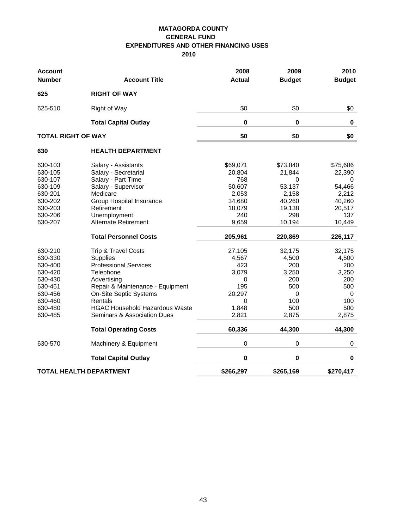| Account<br><b>Number</b>  | <b>Account Title</b>                   | 2008<br><b>Actual</b> | 2009<br><b>Budget</b> | 2010<br><b>Budget</b> |
|---------------------------|----------------------------------------|-----------------------|-----------------------|-----------------------|
| 625                       | <b>RIGHT OF WAY</b>                    |                       |                       |                       |
| 625-510                   | <b>Right of Way</b>                    | \$0                   | \$0                   | \$0                   |
|                           | <b>Total Capital Outlay</b>            | $\bf{0}$              | $\bf{0}$              | $\bf{0}$              |
| <b>TOTAL RIGHT OF WAY</b> |                                        | \$0                   | \$0                   | \$0                   |
| 630                       | <b>HEALTH DEPARTMENT</b>               |                       |                       |                       |
| 630-103                   | Salary - Assistants                    | \$69,071              | \$73,840              | \$75,686              |
| 630-105                   | Salary - Secretarial                   | 20,804                | 21,844                | 22,390                |
| 630-107                   | Salary - Part Time                     | 768                   | 0                     | 0                     |
| 630-109                   | Salary - Supervisor                    | 50,607                | 53,137                | 54,466                |
| 630-201                   | Medicare                               | 2,053                 | 2,158                 | 2,212                 |
| 630-202                   | Group Hospital Insurance               | 34,680                | 40,260                | 40,260                |
| 630-203                   | Retirement                             | 18,079                | 19,138                | 20,517                |
| 630-206                   | Unemployment                           | 240                   | 298                   | 137                   |
| 630-207                   | <b>Alternate Retirement</b>            | 9,659                 | 10,194                | 10,449                |
|                           | <b>Total Personnel Costs</b>           | 205,961               | 220,869               | 226,117               |
| 630-210                   | Trip & Travel Costs                    | 27,105                | 32,175                | 32,175                |
| 630-330                   | Supplies                               | 4,567                 | 4,500                 | 4,500                 |
| 630-400                   | <b>Professional Services</b>           | 423                   | 200                   | 200                   |
| 630-420                   | Telephone                              | 3,079                 | 3,250                 | 3,250                 |
| 630-430                   | Advertising                            | 0                     | 200                   | 200                   |
| 630-451                   | Repair & Maintenance - Equipment       | 195                   | 500                   | 500                   |
| 630-456                   | On-Site Septic Systems                 | 20,297                | 0                     | 0                     |
| 630-460                   | Rentals                                | 0                     | 100                   | 100                   |
| 630-480                   | <b>HGAC Household Hazardous Waste</b>  | 1,848                 | 500                   | 500                   |
| 630-485                   | <b>Seminars &amp; Association Dues</b> | 2,821                 | 2,875                 | 2,875                 |
|                           | <b>Total Operating Costs</b>           | 60,336                | 44,300                | 44,300                |
| 630-570                   | Machinery & Equipment                  | $\Omega$              | $\Omega$              | $\mathbf 0$           |
|                           | <b>Total Capital Outlay</b>            | $\bf{0}$              | $\mathbf{0}$          | $\mathbf 0$           |
|                           | <b>TOTAL HEALTH DEPARTMENT</b>         | \$266,297             | \$265,169             | \$270,417             |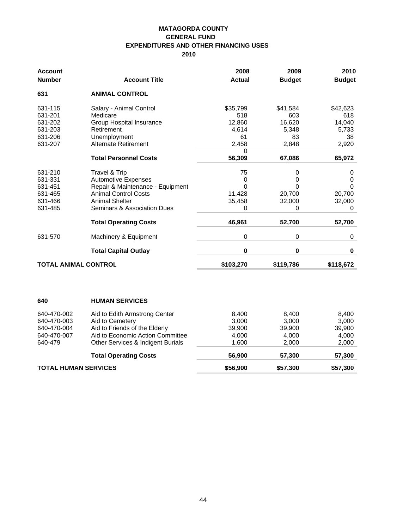| <b>Account</b>              |                                   | 2008          | 2009          | 2010          |
|-----------------------------|-----------------------------------|---------------|---------------|---------------|
| <b>Number</b>               | <b>Account Title</b>              | <b>Actual</b> | <b>Budget</b> | <b>Budget</b> |
| 631                         | <b>ANIMAL CONTROL</b>             |               |               |               |
| 631-115                     | Salary - Animal Control           | \$35,799      | \$41,584      | \$42,623      |
| 631-201                     | Medicare                          | 518           | 603           | 618           |
| 631-202                     | Group Hospital Insurance          | 12,860        | 16,620        | 14,040        |
| 631-203                     | Retirement                        | 4,614         | 5,348         | 5,733         |
| 631-206                     | Unemployment                      | 61            | 83            | 38            |
| 631-207                     | <b>Alternate Retirement</b>       | 2,458         | 2,848         | 2,920         |
|                             |                                   | $\Omega$      |               |               |
|                             | <b>Total Personnel Costs</b>      | 56,309        | 67,086        | 65,972        |
| 631-210                     | <b>Travel &amp; Trip</b>          | 75            | 0             | 0             |
| 631-331                     | <b>Automotive Expenses</b>        | 0             | 0             | 0             |
| 631-451                     | Repair & Maintenance - Equipment  | 0             | 0             | 0             |
| 631-465                     | <b>Animal Control Costs</b>       | 11,428        | 20,700        | 20,700        |
| 631-466                     | <b>Animal Shelter</b>             | 35,458        | 32,000        | 32,000        |
| 631-485                     | Seminars & Association Dues       | 0             | 0             | 0             |
|                             | <b>Total Operating Costs</b>      | 46,961        | 52,700        | 52,700        |
| 631-570                     | Machinery & Equipment             | $\mathsf 0$   | $\mathbf 0$   | 0             |
|                             | <b>Total Capital Outlay</b>       | 0             | $\bf{0}$      | $\mathbf 0$   |
| <b>TOTAL ANIMAL CONTROL</b> |                                   | \$103,270     | \$119,786     | \$118,672     |
|                             |                                   |               |               |               |
| 640                         | <b>HUMAN SERVICES</b>             |               |               |               |
| 640-470-002                 | Aid to Edith Armstrong Center     | 8,400         | 8,400         | 8,400         |
| 640-470-003                 | Aid to Cemetery                   | 3,000         | 3,000         | 3,000         |
| 640-470-004                 | Aid to Friends of the Elderly     | 39,900        | 39,900        | 39,900        |
| 0.10, 170, 007              | Aid to Esconomic Astion Committoo | $\sqrt{2}$    | 1.000         | 1.000         |

| <b>TOTAL HUMAN SERVICES</b> |                                   | \$56,900 | \$57,300 | \$57,300 |
|-----------------------------|-----------------------------------|----------|----------|----------|
|                             | <b>Total Operating Costs</b>      | 56,900   | 57.300   | 57,300   |
| 640-479                     | Other Services & Indigent Burials | 1.600    | 2.000    | 2,000    |
| 640-470-007                 | Aid to Economic Action Committee  | 4.000    | 4.000    | 4,000    |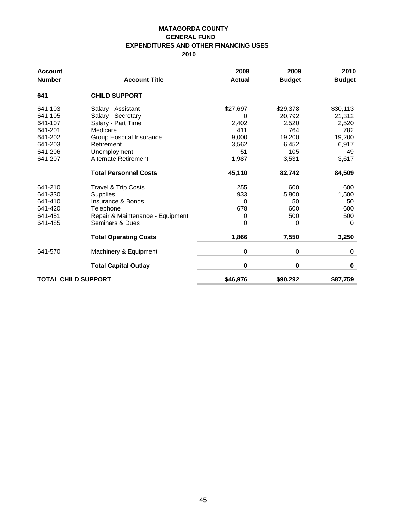| <b>Account</b><br><b>Number</b> | <b>Account Title</b>             | 2008<br><b>Actual</b> | 2009<br><b>Budget</b> | 2010<br><b>Budget</b> |
|---------------------------------|----------------------------------|-----------------------|-----------------------|-----------------------|
| 641                             | <b>CHILD SUPPORT</b>             |                       |                       |                       |
| 641-103                         | Salary - Assistant               | \$27,697              | \$29,378              | \$30,113              |
| 641-105                         | Salary - Secretary               | $\Omega$              | 20,792                | 21,312                |
| 641-107                         | Salary - Part Time               | 2,402                 | 2,520                 | 2,520                 |
| 641-201                         | Medicare                         | 411                   | 764                   | 782                   |
| 641-202                         | Group Hospital Insurance         | 9,000                 | 19,200                | 19,200                |
| 641-203                         | Retirement                       | 3,562                 | 6,452                 | 6,917                 |
| 641-206                         | Unemployment                     | 51                    | 105                   | 49                    |
| 641-207                         | <b>Alternate Retirement</b>      | 1,987                 | 3,531                 | 3,617                 |
|                                 | <b>Total Personnel Costs</b>     | 45,110                | 82,742                | 84,509                |
| 641-210                         | <b>Travel &amp; Trip Costs</b>   | 255                   | 600                   | 600                   |
| 641-330                         | <b>Supplies</b>                  | 933                   | 5,800                 | 1,500                 |
| 641-410                         | Insurance & Bonds                | $\Omega$              | 50                    | 50                    |
| 641-420                         | Telephone                        | 678                   | 600                   | 600                   |
| 641-451                         | Repair & Maintenance - Equipment | 0                     | 500                   | 500                   |
| 641-485                         | Seminars & Dues                  | 0                     | $\Omega$              | $\Omega$              |
|                                 | <b>Total Operating Costs</b>     | 1,866                 | 7,550                 | 3,250                 |
| 641-570                         | Machinery & Equipment            | 0                     | 0                     | $\mathbf 0$           |
|                                 | <b>Total Capital Outlay</b>      | $\bf{0}$              | $\bf{0}$              | $\bf{0}$              |
| <b>TOTAL CHILD SUPPORT</b>      |                                  | \$46,976              | \$90,292              | \$87,759              |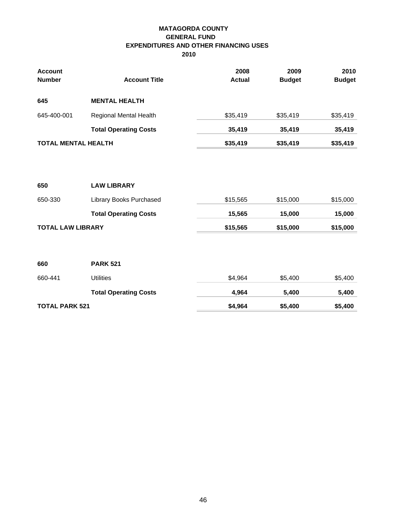| <b>Account</b><br><b>Number</b> | <b>Account Title</b>          | 2008<br><b>Actual</b> | 2009<br><b>Budget</b> | 2010<br><b>Budget</b> |
|---------------------------------|-------------------------------|-----------------------|-----------------------|-----------------------|
| 645                             | <b>MENTAL HEALTH</b>          |                       |                       |                       |
| 645-400-001                     | <b>Regional Mental Health</b> | \$35,419              | \$35,419              | \$35,419              |
|                                 | <b>Total Operating Costs</b>  | 35,419                | 35,419                | 35,419                |
| <b>TOTAL MENTAL HEALTH</b>      |                               | \$35,419              | \$35,419              | \$35,419              |

| 650                      | <b>LAW LIBRARY</b>           |          |          |          |
|--------------------------|------------------------------|----------|----------|----------|
| 650-330                  | Library Books Purchased      | \$15,565 | \$15,000 | \$15,000 |
|                          | <b>Total Operating Costs</b> | 15.565   | 15,000   | 15,000   |
| <b>TOTAL LAW LIBRARY</b> |                              | \$15,565 | \$15,000 | \$15,000 |

| 660                   | <b>PARK 521</b>              |         |         |         |
|-----------------------|------------------------------|---------|---------|---------|
| 660-441               | Utilities                    | \$4,964 | \$5,400 | \$5,400 |
|                       | <b>Total Operating Costs</b> | 4,964   | 5.400   | 5,400   |
| <b>TOTAL PARK 521</b> |                              | \$4,964 | \$5,400 | \$5,400 |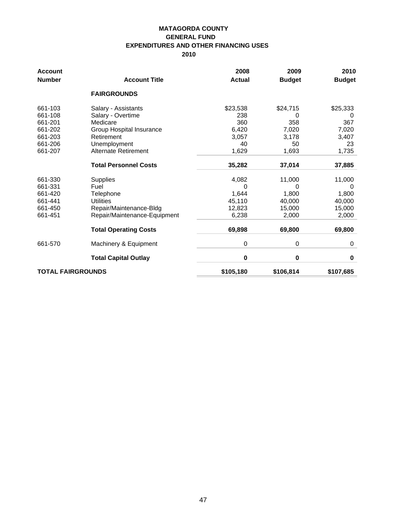| <b>Account</b>           |                              | 2008          | 2009          | 2010          |
|--------------------------|------------------------------|---------------|---------------|---------------|
| <b>Number</b>            | <b>Account Title</b>         | <b>Actual</b> | <b>Budget</b> | <b>Budget</b> |
|                          | <b>FAIRGROUNDS</b>           |               |               |               |
| 661-103                  | Salary - Assistants          | \$23,538      | \$24,715      | \$25,333      |
| 661-108                  | Salary - Overtime            | 238           | 0             | 0             |
| 661-201                  | Medicare                     | 360           | 358           | 367           |
| 661-202                  | Group Hospital Insurance     | 6,420         | 7,020         | 7,020         |
| 661-203                  | Retirement                   | 3,057         | 3,178         | 3,407         |
| 661-206                  | Unemployment                 | 40            | 50            | 23            |
| 661-207                  | <b>Alternate Retirement</b>  | 1,629         | 1,693         | 1,735         |
|                          | <b>Total Personnel Costs</b> | 35,282        | 37,014        | 37,885        |
| 661-330                  | <b>Supplies</b>              | 4,082         | 11,000        | 11,000        |
| 661-331                  | Fuel                         | 0             | 0             | 0             |
| 661-420                  | Telephone                    | 1,644         | 1,800         | 1,800         |
| 661-441                  | <b>Utilities</b>             | 45,110        | 40,000        | 40,000        |
| 661-450                  | Repair/Maintenance-Bldg      | 12,823        | 15,000        | 15,000        |
| 661-451                  | Repair/Maintenance-Equipment | 6,238         | 2,000         | 2,000         |
|                          | <b>Total Operating Costs</b> | 69,898        | 69,800        | 69,800        |
| 661-570                  | Machinery & Equipment        | 0             | 0             | 0             |
|                          | <b>Total Capital Outlay</b>  | 0             | $\mathbf 0$   | $\bf{0}$      |
| <b>TOTAL FAIRGROUNDS</b> |                              | \$105,180     | \$106,814     | \$107,685     |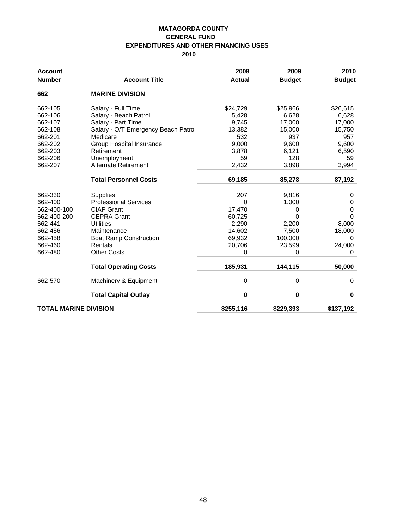| <b>Account</b><br><b>Number</b> | <b>Account Title</b>                | 2008<br><b>Actual</b> | 2009<br><b>Budget</b> | 2010<br><b>Budget</b> |
|---------------------------------|-------------------------------------|-----------------------|-----------------------|-----------------------|
| 662                             | <b>MARINE DIVISION</b>              |                       |                       |                       |
| 662-105                         | Salary - Full Time                  | \$24,729              | \$25,966              | \$26,615              |
| 662-106                         | Salary - Beach Patrol               | 5,428                 | 6,628                 | 6,628                 |
| 662-107                         | Salary - Part Time                  | 9,745                 | 17,000                | 17,000                |
| 662-108                         | Salary - O/T Emergency Beach Patrol | 13,382                | 15,000                | 15,750                |
| 662-201                         | Medicare                            | 532                   | 937                   | 957                   |
| 662-202                         | Group Hospital Insurance            | 9,000                 | 9,600                 | 9,600                 |
| 662-203                         | Retirement                          | 3,878                 | 6,121                 | 6,590                 |
| 662-206                         | Unemployment                        | 59                    | 128                   | 59                    |
| 662-207                         | Alternate Retirement                | 2,432                 | 3,898                 | 3,994                 |
|                                 | <b>Total Personnel Costs</b>        | 69,185                | 85,278                | 87,192                |
| 662-330                         | <b>Supplies</b>                     | 207                   | 9,816                 | 0                     |
| 662-400                         | <b>Professional Services</b>        | $\Omega$              | 1,000                 | 0                     |
| 662-400-100                     | <b>CIAP Grant</b>                   | 17,470                | 0                     | 0                     |
| 662-400-200                     | <b>CEPRA Grant</b>                  | 60,725                | $\Omega$              | $\Omega$              |
| 662-441                         | <b>Utilities</b>                    | 2,290                 | 2,200                 | 8,000                 |
| 662-456                         | Maintenance                         | 14,602                | 7,500                 | 18,000                |
| 662-458                         | <b>Boat Ramp Construction</b>       | 69,932                | 100,000               | $\Omega$              |
| 662-460                         | Rentals                             | 20,706                | 23,599                | 24,000                |
| 662-480                         | <b>Other Costs</b>                  | $\Omega$              | $\Omega$              | $\Omega$              |
|                                 | <b>Total Operating Costs</b>        | 185,931               | 144,115               | 50,000                |
| 662-570                         | Machinery & Equipment               | 0                     | $\mathbf 0$           | 0                     |
|                                 | <b>Total Capital Outlay</b>         | $\mathbf 0$           | $\bf{0}$              | $\mathbf 0$           |
| <b>TOTAL MARINE DIVISION</b>    |                                     | \$255,116             | \$229,393             | \$137,192             |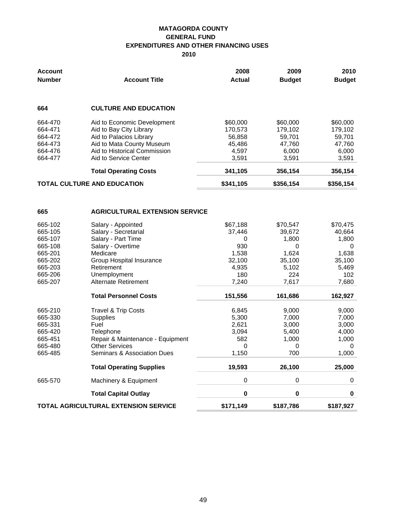| Account<br><b>Number</b> | <b>Account Title</b>                   | 2008<br><b>Actual</b> | 2009<br><b>Budget</b> | 2010<br><b>Budget</b> |
|--------------------------|----------------------------------------|-----------------------|-----------------------|-----------------------|
| 664                      | <b>CULTURE AND EDUCATION</b>           |                       |                       |                       |
| 664-470                  | Aid to Economic Development            | \$60,000              | \$60,000              | \$60,000              |
| 664-471                  | Aid to Bay City Library                | 170,573               | 179,102               | 179,102               |
| 664-472                  | Aid to Palacios Library                | 56,858                | 59,701                | 59,701                |
| 664-473                  | Aid to Mata County Museum              | 45,486                | 47,760                | 47,760                |
| 664-476                  | Aid to Historical Commission           | 4,597                 | 6,000                 | 6,000                 |
| 664-477                  | Aid to Service Center                  | 3,591                 | 3,591                 | 3,591                 |
|                          | <b>Total Operating Costs</b>           | 341,105               | 356,154               | 356,154               |
|                          | TOTAL CULTURE AND EDUCATION            | \$341,105             | \$356,154             | \$356,154             |
| 665                      | <b>AGRICULTURAL EXTENSION SERVICE</b>  |                       |                       |                       |
| 665-102                  | Salary - Appointed                     | \$67,188              | \$70,547              | \$70,475              |
| 665-105                  | Salary - Secretarial                   | 37,446                | 39,672                | 40,664                |
| 665-107                  | Salary - Part Time                     | 0                     | 1,800                 | 1,800                 |
| 665-108                  | Salary - Overtime                      | 930                   | 0                     | 0                     |
| 665-201                  | Medicare                               | 1,538                 | 1,624                 | 1,638                 |
| 665-202                  | Group Hospital Insurance               | 32,100                | 35,100                | 35,100                |
| 665-203                  | Retirement                             | 4,935                 | 5,102                 | 5,469                 |
| 665-206                  | Unemployment                           | 180                   | 224                   | 102                   |
| 665-207                  | <b>Alternate Retirement</b>            | 7,240                 | 7,617                 | 7,680                 |
|                          | <b>Total Personnel Costs</b>           | 151,556               | 161,686               | 162,927               |
| 665-210                  | <b>Travel &amp; Trip Costs</b>         | 6,845                 | 9,000                 | 9,000                 |
| 665-330                  | Supplies                               | 5,300                 | 7,000                 | 7,000                 |
| 665-331                  | Fuel                                   | 2,621                 | 3,000                 | 3,000                 |
| 665-420                  | Telephone                              | 3,094                 | 5,400                 | 4,000                 |
| 665-451                  | Repair & Maintenance - Equipment       | 582                   | 1,000                 | 1,000                 |
| 665-480                  | <b>Other Services</b>                  | 0                     | 0                     | 0                     |
| 665-485                  | <b>Seminars &amp; Association Dues</b> | 1,150                 | 700                   | 1,000                 |
|                          | <b>Total Operating Supplies</b>        | 19,593                | 26,100                | 25,000                |
| 665-570                  | Machinery & Equipment                  | 0                     | 0                     | 0                     |
|                          | <b>Total Capital Outlay</b>            | 0                     | 0                     | 0                     |
|                          | TOTAL AGRICULTURAL EXTENSION SERVICE   | \$171,149             | \$187,786             | \$187,927             |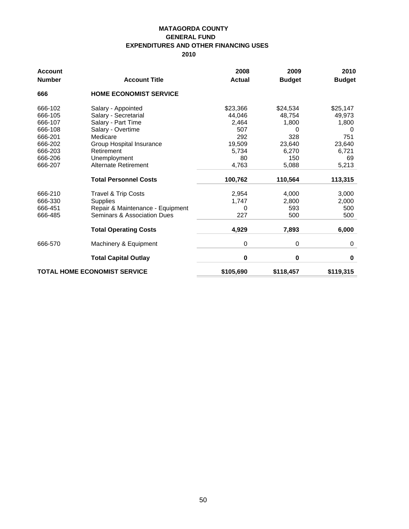| <b>Account</b><br><b>Number</b> | <b>Account Title</b>                   | 2008<br><b>Actual</b> | 2009          | 2010          |
|---------------------------------|----------------------------------------|-----------------------|---------------|---------------|
|                                 |                                        |                       | <b>Budget</b> | <b>Budget</b> |
| 666                             | <b>HOME ECONOMIST SERVICE</b>          |                       |               |               |
| 666-102                         | Salary - Appointed                     | \$23,366              | \$24,534      | \$25,147      |
| 666-105                         | Salary - Secretarial                   | 44,046                | 48,754        | 49,973        |
| 666-107                         | Salary - Part Time                     | 2,464                 | 1,800         | 1,800         |
| 666-108                         | Salary - Overtime                      | 507                   | <sup>0</sup>  | 0             |
| 666-201                         | Medicare                               | 292                   | 328           | 751           |
| 666-202                         | Group Hospital Insurance               | 19,509                | 23,640        | 23,640        |
| 666-203                         | Retirement                             | 5,734                 | 6,270         | 6,721         |
| 666-206                         | Unemployment                           | 80                    | 150           | 69            |
| 666-207                         | <b>Alternate Retirement</b>            | 4,763                 | 5,088         | 5,213         |
|                                 | <b>Total Personnel Costs</b>           | 100,762               | 110,564       | 113,315       |
| 666-210                         | <b>Travel &amp; Trip Costs</b>         | 2,954                 | 4,000         | 3,000         |
| 666-330                         | <b>Supplies</b>                        | 1,747                 | 2,800         | 2,000         |
| 666-451                         | Repair & Maintenance - Equipment       | 0                     | 593           | 500           |
| 666-485                         | <b>Seminars &amp; Association Dues</b> | 227                   | 500           | 500           |
|                                 | <b>Total Operating Costs</b>           | 4,929                 | 7,893         | 6,000         |
| 666-570                         | Machinery & Equipment                  | 0                     | $\mathbf 0$   | $\mathbf 0$   |
|                                 | <b>Total Capital Outlay</b>            | 0                     | $\bf{0}$      | $\bf{0}$      |
|                                 | <b>TOTAL HOME ECONOMIST SERVICE</b>    | \$105,690             | \$118,457     | \$119,315     |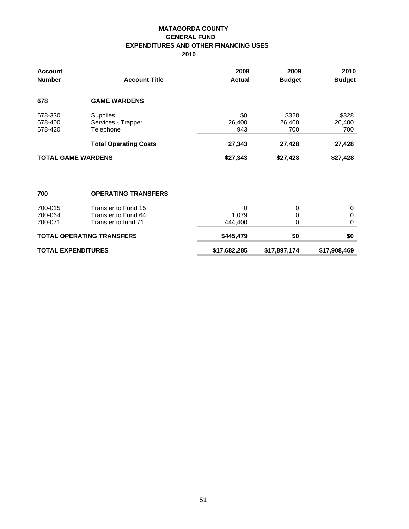| <b>Account</b><br><b>Number</b> | <b>Account Title</b>         | 2008<br><b>Actual</b> | 2009<br><b>Budget</b> | 2010<br><b>Budget</b> |
|---------------------------------|------------------------------|-----------------------|-----------------------|-----------------------|
| 678                             | <b>GAME WARDENS</b>          |                       |                       |                       |
| 678-330                         | <b>Supplies</b>              | \$0                   | \$328                 | \$328                 |
| 678-400                         | Services - Trapper           | 26,400                | 26,400                | 26,400                |
| 678-420                         | Telephone                    | 943                   | 700                   | 700                   |
|                                 | <b>Total Operating Costs</b> | 27,343                | 27,428                | 27,428                |
| <b>TOTAL GAME WARDENS</b>       |                              | \$27,343              | \$27,428              | \$27,428              |
|                                 |                              |                       |                       |                       |

| 700                       | <b>OPERATING TRANSFERS</b>       |              |              |              |
|---------------------------|----------------------------------|--------------|--------------|--------------|
| 700-015                   | Transfer to Fund 15              | 0            | 0            |              |
| 700-064                   | Transfer to Fund 64              | 1,079        | 0            |              |
| 700-071                   | Transfer to fund 71              | 444.400      | 0            |              |
|                           | <b>TOTAL OPERATING TRANSFERS</b> | \$445,479    | \$0          | \$0          |
| <b>TOTAL EXPENDITURES</b> |                                  | \$17,682,285 | \$17,897,174 | \$17,908,469 |
|                           |                                  |              |              |              |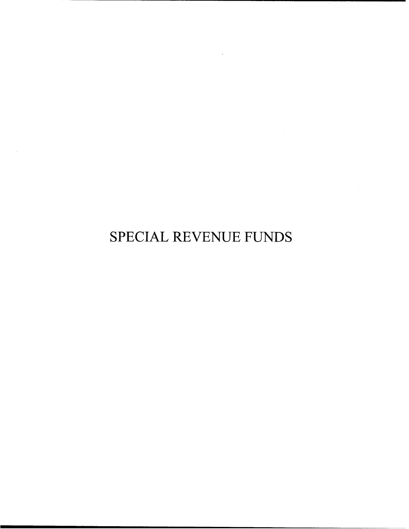SPECIAL REVENUE FUNDS

 $\mathcal{L}^{\text{max}}_{\text{max}}$  and  $\mathcal{L}^{\text{max}}_{\text{max}}$ 

 $\sim$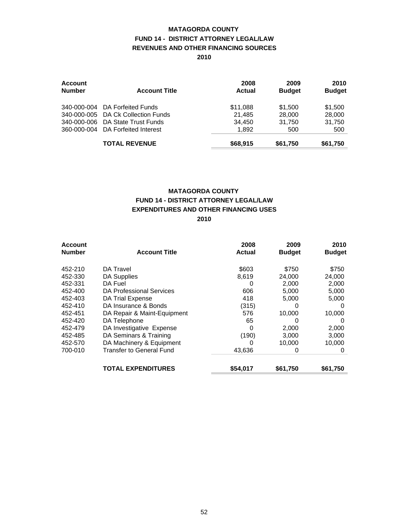#### **MATAGORDA COUNTY FUND 14 - DISTRICT ATTORNEY LEGAL/LAW REVENUES AND OTHER FINANCING SOURCES 2010**

| Account<br><b>Number</b> | <b>Account Title</b>               | 2008<br><b>Actual</b> | 2009<br><b>Budget</b> | 2010<br><b>Budget</b> |
|--------------------------|------------------------------------|-----------------------|-----------------------|-----------------------|
|                          | 340-000-004 DA Forfeited Funds     | \$11,088              | \$1,500               | \$1,500               |
|                          | 340-000-005 DA Ck Collection Funds | 21.485                | 28,000                | 28,000                |
|                          | 340-000-006 DA State Trust Funds   | 34,450                | 31,750                | 31,750                |
|                          | 360-000-004 DA Forfeited Interest  | 1.892                 | 500                   | 500                   |
|                          | <b>TOTAL REVENUE</b>               | \$68,915              | \$61,750              | \$61,750              |

## **MATAGORDA COUNTY FUND 14 - DISTRICT ATTORNEY LEGAL/LAW EXPENDITURES AND OTHER FINANCING USES**

| <b>Account</b><br><b>Number</b> | <b>Account Title</b>            | 2008<br><b>Actual</b> | 2009<br><b>Budget</b> | 2010<br><b>Budget</b> |
|---------------------------------|---------------------------------|-----------------------|-----------------------|-----------------------|
| 452-210                         | DA Travel                       | \$603                 | \$750                 | \$750                 |
| 452-330                         | DA Supplies                     | 8,619                 | 24,000                | 24,000                |
| 452-331                         | DA Fuel                         | O                     | 2,000                 | 2,000                 |
| 452-400                         | <b>DA Professional Services</b> | 606                   | 5,000                 | 5,000                 |
| 452-403                         | DA Trial Expense                | 418                   | 5,000                 | 5,000                 |
| 452-410                         | DA Insurance & Bonds            | (315)                 | O                     | $\Omega$              |
| 452-451                         | DA Repair & Maint-Equipment     | 576                   | 10,000                | 10,000                |
| 452-420                         | DA Telephone                    | 65                    | O                     |                       |
| 452-479                         | DA Investigative Expense        | 0                     | 2,000                 | 2,000                 |
| 452-485                         | DA Seminars & Training          | (190)                 | 3,000                 | 3,000                 |
| 452-570                         | DA Machinery & Equipment        | O                     | 10,000                | 10,000                |
| 700-010                         | Transfer to General Fund        | 43,636                | 0                     | 0                     |
|                                 | <b>TOTAL EXPENDITURES</b>       | \$54,017              | \$61,750              | \$61,750              |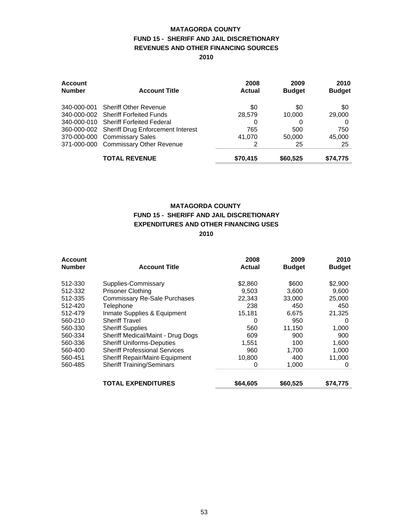## **MATAGORDA COUNTY FUND 15 - SHERIFF AND JAIL DISCRETIONARY REVENUES AND OTHER FINANCING SOURCES**

**2010**

| <b>Account</b><br><b>Number</b> | <b>Account Title</b>                          | 2008<br><b>Actual</b> | 2009<br><b>Budget</b> | 2010<br><b>Budget</b> |
|---------------------------------|-----------------------------------------------|-----------------------|-----------------------|-----------------------|
| 340-000-001                     | <b>Sheriff Other Revenue</b>                  | \$0                   | \$0                   | \$0                   |
|                                 | 340-000-002 Sheriff Forfeited Funds           | 28,579                | 10,000                | 29,000                |
|                                 | 340-000-010 Sheriff Forfeited Federal         | 0                     | 0                     |                       |
|                                 | 360-000-002 Sheriff Drug Enforcement Interest | 765                   | 500                   | 750                   |
|                                 | 370-000-000 Commissary Sales                  | 41,070                | 50,000                | 45,000                |
|                                 | 371-000-000 Commissary Other Revenue          | 2                     | 25                    | 25                    |
|                                 | <b>TOTAL REVENUE</b>                          | \$70,415              | \$60,525              | \$74,775              |

#### **MATAGORDA COUNTY FUND 15 - SHERIFF AND JAIL DISCRETIONARY EXPENDITURES AND OTHER FINANCING USES 2010**

| <b>Account</b><br><b>Number</b> | <b>Account Title</b>                  | 2008<br>Actual | 2009<br><b>Budget</b> | 2010<br><b>Budget</b> |
|---------------------------------|---------------------------------------|----------------|-----------------------|-----------------------|
| 512-330                         | Supplies-Commissary                   | \$2,860        | \$600                 | \$2,900               |
| 512-332                         | <b>Prisoner Clothing</b>              | 9,503          | 3,600                 | 9,600                 |
| 512-335                         | <b>Commissary Re-Sale Purchases</b>   | 22,343         | 33,000                | 25,000                |
| 512-420                         | Telephone                             | 238            | 450                   | 450                   |
| 512-479                         | Inmate Supplies & Equipment           | 15,181         | 6,675                 | 21,325                |
| 560-210                         | <b>Sheriff Travel</b>                 | 0              | 950                   | $\Omega$              |
| 560-330                         | <b>Sheriff Supplies</b>               | 560            | 11,150                | 1,000                 |
| 560-334                         | Sheriff Medical/Maint - Drug Dogs     | 609            | 900                   | 900                   |
| 560-336                         | <b>Sheriff Uniforms-Deputies</b>      | 1,551          | 100                   | 1,600                 |
| 560-400                         | <b>Sheriff Professional Services</b>  | 960            | 1.700                 | 1,000                 |
| 560-451                         | <b>Sheriff Repair/Maint-Equipment</b> | 10,800         | 400                   | 11,000                |
| 560-485                         | <b>Sheriff Training/Seminars</b>      | 0              | 1,000                 | 0                     |
|                                 | <b>TOTAL EXPENDITURES</b>             | \$64,605       | \$60,525              | \$74,775              |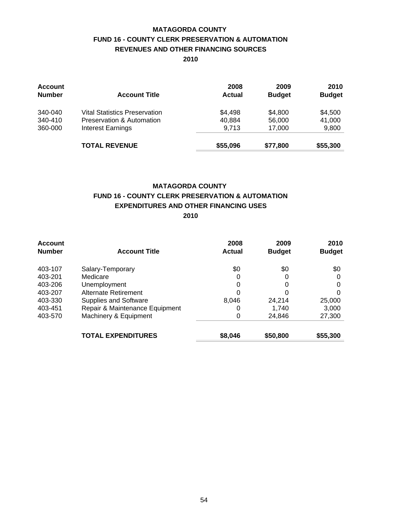## **MATAGORDA COUNTY FUND 16 - COUNTY CLERK PRESERVATION & AUTOMATION REVENUES AND OTHER FINANCING SOURCES**

**2010**

| <b>Account</b><br><b>Number</b> | <b>Account Title</b>                 | 2008<br>Actual | 2009<br><b>Budget</b> | 2010<br><b>Budget</b> |
|---------------------------------|--------------------------------------|----------------|-----------------------|-----------------------|
| 340-040                         | <b>Vital Statistics Preservation</b> | \$4,498        | \$4,800               | \$4,500               |
| 340-410                         | <b>Preservation &amp; Automation</b> | 40.884         | 56,000                | 41,000                |
| 360-000                         | Interest Earnings                    | 9.713          | 17,000                | 9,800                 |
|                                 | <b>TOTAL REVENUE</b>                 | \$55,096       | \$77,800              | \$55,300              |

## **MATAGORDA COUNTY FUND 16 - COUNTY CLERK PRESERVATION & AUTOMATION EXPENDITURES AND OTHER FINANCING USES 2010**

| <b>Account</b><br><b>Number</b> | <b>Account Title</b>           | 2008<br><b>Actual</b> | 2009<br><b>Budget</b> | 2010<br><b>Budget</b> |
|---------------------------------|--------------------------------|-----------------------|-----------------------|-----------------------|
| 403-107                         | Salary-Temporary               | \$0                   | \$0                   | \$0                   |
| 403-201                         | Medicare                       | 0                     | 0                     | 0                     |
| 403-206                         | Unemployment                   | 0                     | 0                     | 0                     |
| 403-207                         | Alternate Retirement           | 0                     | 0                     |                       |
| 403-330                         | <b>Supplies and Software</b>   | 8.046                 | 24,214                | 25,000                |
| 403-451                         | Repair & Maintenance Equipment | 0                     | 1.740                 | 3,000                 |
| 403-570                         | Machinery & Equipment          | 0                     | 24,846                | 27,300                |
|                                 | <b>TOTAL EXPENDITURES</b>      | \$8,046               | \$50,800              | \$55,300              |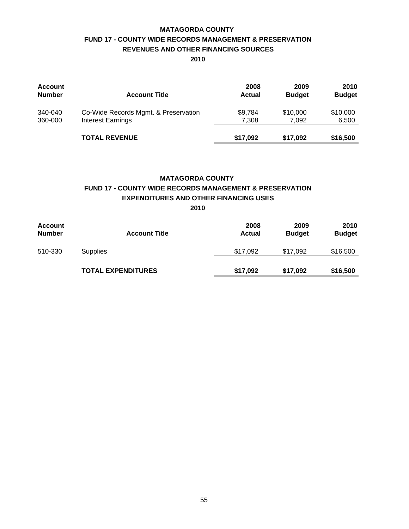## **MATAGORDA COUNTY FUND 17 - COUNTY WIDE RECORDS MANAGEMENT & PRESERVATION REVENUES AND OTHER FINANCING SOURCES**

**2010**

| <b>Account</b><br><b>Number</b> | <b>Account Title</b>                 | 2008<br><b>Actual</b> | 2009<br><b>Budget</b> | 2010<br><b>Budget</b> |
|---------------------------------|--------------------------------------|-----------------------|-----------------------|-----------------------|
| 340-040                         | Co-Wide Records Mgmt. & Preservation | \$9,784               | \$10,000              | \$10,000              |
| 360-000                         | Interest Earnings                    | 7.308                 | 7.092                 | 6,500                 |
|                                 | <b>TOTAL REVENUE</b>                 | \$17,092              | \$17,092              | \$16,500              |

### **MATAGORDA COUNTY FUND 17 - COUNTY WIDE RECORDS MANAGEMENT & PRESERVATION EXPENDITURES AND OTHER FINANCING USES 2010**

| Account<br><b>Number</b> | <b>Account Title</b>      | 2008<br><b>Actual</b> | 2009<br><b>Budget</b> | 2010<br><b>Budget</b> |
|--------------------------|---------------------------|-----------------------|-----------------------|-----------------------|
| 510-330                  | <b>Supplies</b>           | \$17.092              | \$17,092              | \$16,500              |
|                          | <b>TOTAL EXPENDITURES</b> | \$17,092              | \$17,092              | \$16,500              |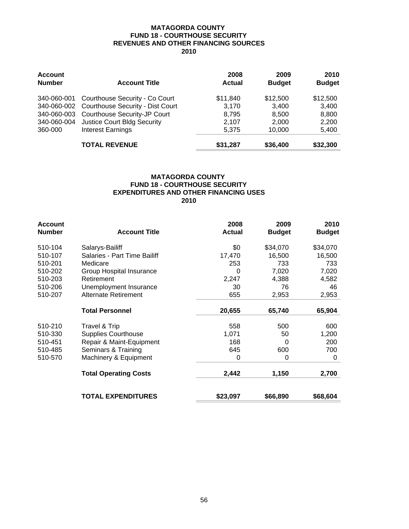#### **MATAGORDA COUNTY FUND 18 - COURTHOUSE SECURITY REVENUES AND OTHER FINANCING SOURCES 2010**

| <b>Account</b><br><b>Number</b> | <b>Account Title</b>                         | 2008<br><b>Actual</b> | 2009<br><b>Budget</b> | 2010<br><b>Budget</b> |
|---------------------------------|----------------------------------------------|-----------------------|-----------------------|-----------------------|
|                                 | 340-060-001 Courthouse Security - Co Court   | \$11,840              | \$12,500              | \$12,500              |
|                                 | 340-060-002 Courthouse Security - Dist Court | 3,170                 | 3.400                 | 3,400                 |
| 340-060-003                     | Courthouse Security-JP Court                 | 8,795                 | 8,500                 | 8,800                 |
| 340-060-004                     | Justice Court Bldg Security                  | 2,107                 | 2,000                 | 2,200                 |
| 360-000                         | <b>Interest Earnings</b>                     | 5.375                 | 10,000                | 5,400                 |
|                                 | <b>TOTAL REVENUE</b>                         | \$31,287              | \$36,400              | \$32,300              |

#### **MATAGORDA COUNTY FUND 18 - COURTHOUSE SECURITY EXPENDITURES AND OTHER FINANCING USES 2010**

| <b>Account</b><br><b>Number</b> | <b>Account Title</b>         | 2008<br><b>Actual</b> | 2009<br><b>Budget</b> | 2010<br><b>Budget</b> |
|---------------------------------|------------------------------|-----------------------|-----------------------|-----------------------|
| 510-104                         | Salarys-Bailiff              | \$0                   | \$34,070              | \$34,070              |
| 510-107                         | Salaries - Part Time Bailiff | 17,470                | 16,500                | 16,500                |
| 510-201                         | Medicare                     | 253                   | 733                   | 733                   |
| 510-202                         | Group Hospital Insurance     | 0                     | 7,020                 | 7,020                 |
| 510-203                         | Retirement                   | 2,247                 | 4,388                 | 4,582                 |
| 510-206                         | Unemployment Insurance       | 30                    | 76                    | 46                    |
| 510-207                         | <b>Alternate Retirement</b>  | 655                   | 2,953                 | 2,953                 |
|                                 | <b>Total Personnel</b>       | 20,655                | 65,740                | 65,904                |
| 510-210                         | Travel & Trip                | 558                   | 500                   | 600                   |
| 510-330                         | <b>Supplies Courthouse</b>   | 1,071                 | 50                    | 1,200                 |
| 510-451                         | Repair & Maint-Equipment     | 168                   | 0                     | 200                   |
| 510-485                         | Seminars & Training          | 645                   | 600                   | 700                   |
| 510-570                         | Machinery & Equipment        | 0                     | 0                     | 0                     |
|                                 | <b>Total Operating Costs</b> | 2,442                 | 1,150                 | 2,700                 |
|                                 | <b>TOTAL EXPENDITURES</b>    | \$23,097              | \$66,890              | \$68,604              |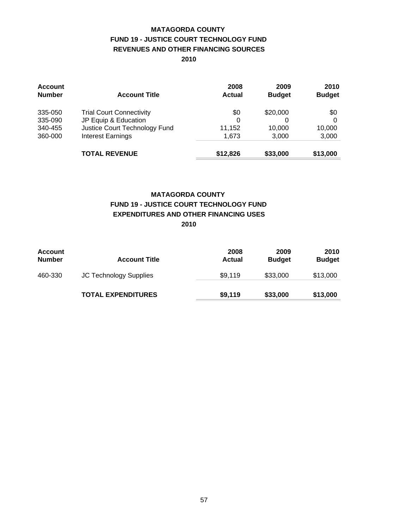## **MATAGORDA COUNTY FUND 19 - JUSTICE COURT TECHNOLOGY FUND REVENUES AND OTHER FINANCING SOURCES**

**2010**

| <b>Account</b><br><b>Number</b> | <b>Account Title</b>            | 2008<br><b>Actual</b> | 2009<br><b>Budget</b> | 2010<br><b>Budget</b> |
|---------------------------------|---------------------------------|-----------------------|-----------------------|-----------------------|
| 335-050                         | <b>Trial Court Connectivity</b> | \$0                   | \$20,000              | \$0                   |
| 335-090                         | JP Equip & Education            | 0                     |                       |                       |
| 340-455                         | Justice Court Technology Fund   | 11,152                | 10,000                | 10,000                |
| 360-000                         | <b>Interest Earnings</b>        | 1,673                 | 3,000                 | 3,000                 |
|                                 | <b>TOTAL REVENUE</b>            | \$12,826              | \$33,000              | \$13,000              |

## **MATAGORDA COUNTY FUND 19 - JUSTICE COURT TECHNOLOGY FUND EXPENDITURES AND OTHER FINANCING USES**

**2010**

| <b>Account</b><br><b>Number</b> | <b>Account Title</b>      | 2008<br><b>Actual</b> | 2009<br><b>Budget</b> | 2010<br><b>Budget</b> |
|---------------------------------|---------------------------|-----------------------|-----------------------|-----------------------|
| 460-330                         | JC Technology Supplies    | \$9,119               | \$33,000              | \$13,000              |
|                                 | <b>TOTAL EXPENDITURES</b> | \$9,119               | \$33,000              | \$13,000              |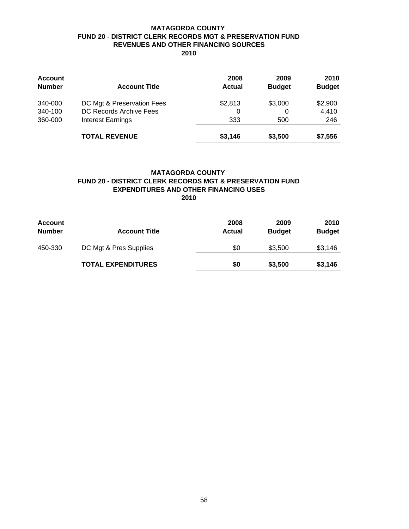## **MATAGORDA COUNTY FUND 20 - DISTRICT CLERK RECORDS MGT & PRESERVATION FUND REVENUES AND OTHER FINANCING SOURCES**

**2010**

| <b>Account</b><br><b>Number</b> | <b>Account Title</b>       | 2008<br><b>Actual</b> | 2009<br><b>Budget</b> | 2010<br><b>Budget</b> |
|---------------------------------|----------------------------|-----------------------|-----------------------|-----------------------|
| 340-000                         | DC Mgt & Preservation Fees | \$2,813               | \$3,000               | \$2,900               |
| 340-100                         | DC Records Archive Fees    | 0                     | 0                     | 4,410                 |
| 360-000                         | Interest Earnings          | 333                   | 500                   | 246                   |
|                                 | <b>TOTAL REVENUE</b>       | \$3,146               | \$3,500               | \$7,556               |

#### **MATAGORDA COUNTY FUND 20 - DISTRICT CLERK RECORDS MGT & PRESERVATION FUND EXPENDITURES AND OTHER FINANCING USES 2010**

| <b>Account</b><br><b>Number</b> | <b>Account Title</b>      | 2008<br><b>Actual</b> | 2009<br><b>Budget</b> | 2010<br><b>Budget</b> |
|---------------------------------|---------------------------|-----------------------|-----------------------|-----------------------|
| 450-330                         | DC Mgt & Pres Supplies    | \$0                   | \$3,500               | \$3,146               |
|                                 | <b>TOTAL EXPENDITURES</b> | \$0                   | \$3,500               | \$3,146               |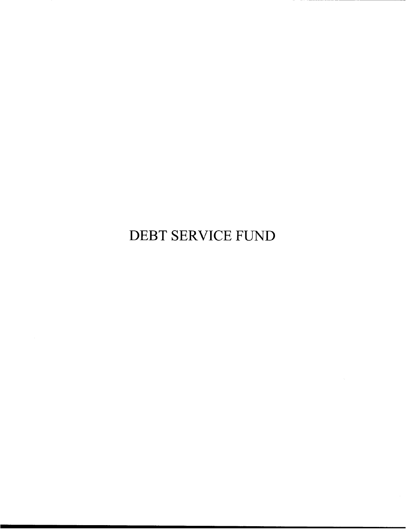# DEBT SERVICE FUND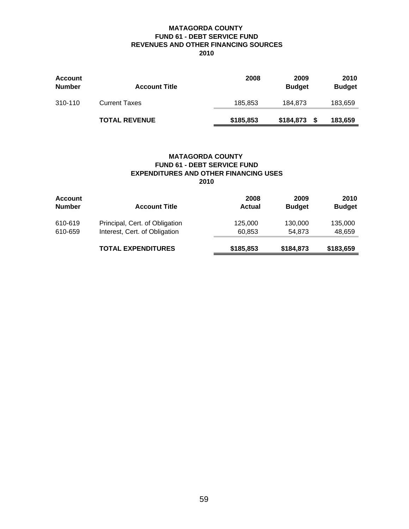## **MATAGORDA COUNTY FUND 61 - DEBT SERVICE FUND REVENUES AND OTHER FINANCING SOURCES 2010**

| <b>Account</b><br><b>Number</b> | <b>Account Title</b> | 2008      | 2009<br><b>Budget</b> | 2010<br><b>Budget</b> |
|---------------------------------|----------------------|-----------|-----------------------|-----------------------|
| 310-110                         | <b>Current Taxes</b> | 185,853   | 184.873               | 183,659               |
|                                 | <b>TOTAL REVENUE</b> | \$185,853 | \$184,873<br>S        | 183,659               |

## **MATAGORDA COUNTY FUND 61 - DEBT SERVICE FUND EXPENDITURES AND OTHER FINANCING USES 2010**

| <b>Account</b> |                                | 2008          | 2009          | 2010          |
|----------------|--------------------------------|---------------|---------------|---------------|
| <b>Number</b>  | <b>Account Title</b>           | <b>Actual</b> | <b>Budget</b> | <b>Budget</b> |
| 610-619        | Principal, Cert. of Obligation | 125,000       | 130,000       | 135,000       |
| 610-659        | Interest, Cert. of Obligation  | 60,853        | 54.873        | 48,659        |
|                | <b>TOTAL EXPENDITURES</b>      | \$185,853     | \$184,873     | \$183,659     |